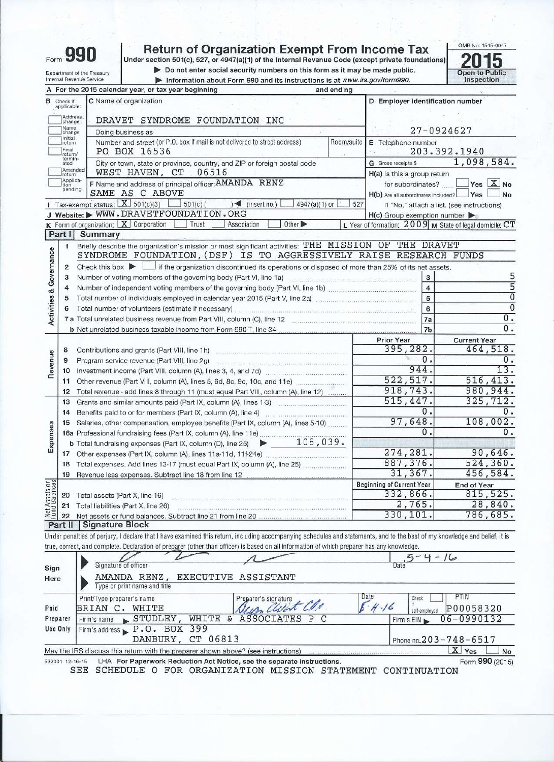| Form                       |
|----------------------------|
| Department of the Treasury |

Internal Revenue Service

в

 $\mathbf{I}$ 

Activities & Governance

Revenue

Expenses

Assets or

Vet A

Sign

Here

Paid

532001 12-16-15

### **Return of Organization Exempt From Income Tax**

OMB No. 1545-0047

5

5

 $\overline{5}$ 

 $\overline{0}$ 

 $\overline{0}$ 

**Open to Public<br>Inspection** 

Under section 501(c), 527, or 4947(a)(1) of the Internal Revenue Code (except private foundations) Do not enter social security numbers on this form as it may be made public.

Information about Form 990 and its instructions is at www.irs.gov/form990.

A For the 2015 calendar year, or tax year beginning and ending Check if<br>applicable C Name of organization D Employer identification number Address<br>Change DRAVET SYNDROME FOUNDATION INC Name<br>Change 27-0924627 Doing business as ] Initial<br>] return Number and street (or P.O. box if mail is not delivered to street address) Room/suite E Telephone number Final<br>Treturn/ PO BOX 16536 203.392.1940 termin-<br>ated 1,098,584. City or town, state or province, country, and ZIP or foreign postal code G Gross receipts \$ Amended WEST HAVEN, CT 06516 H(a) Is this a group return Applica-F Name and address of principal officer: AMANDA RENZ for subordinates? .....  $Yes$   $Xno$ pending SAME AS C ABOVE  $H(b)$  Are all subordinates included?  $\exists$  Yes  $\Box$  $|N_0$ Tax-exempt status:  $X$  501(c)(3)  $\frac{1}{2}$  501(c) (  $\leq$  (insert no.)  $\frac{1}{2}$  4947(a)(1) or  $\frac{1}{2}$ 527 If "No," attach a list. (see instructions) J Website: WWW.DRAVETFOUNDATION.ORG H(c) Group exemption number K Form of organization:  $\boxed{\mathbf{X}}$  Corporation Trust Association Other L Year of formation: 2009 M State of legal domicile: CT Part I Summary Briefly describe the organization's mission or most significant activities: THE MISSION OF THE DRAVET  $\blacksquare$ SYNDROME FOUNDATION, (DSF) IS TO AGGRESSIVELY RAISE RESEARCH FUNDS Check this box  $\blacktriangleright$  if the organization discontinued its operations or disposed of more than 25% of its net assets.  $\overline{2}$ Number of voting members of the governing body (Part VI, line 1a) .................................. 3  $\mathbf{3}$ Number of independent voting members of the governing body (Part VI, line 1b) ................................  $\overline{4}$  $\overline{4}$ 5 6 7 a Total unrelated business revenue from Part VIII, column (C), line 12 О. 7a  $\overline{0}$  . b Net unrelated business taxable income from Form 990-T, line 34 ...  $7<sub>b</sub>$ **Prior Year Current Year** 395,282.  $464,518.$ 8 Contributions and grants (Part VIII, line 1h)  $\overline{0}$ .  $0.$  $\overline{9}$ Program service revenue (Part VIII, line 2g) 944.  $13.$ 522, 517.  $516, 413.$ Other revenue (Part VIII, column (A), lines 5, 6d, 8c, 9c, 10c, and 11e) 11 918,743. 980,944.  $12$ Total revenue · add lines 8 through 11 (must equal Part VIII, column (A), line 12)  $325, 712.$ 515,447.  $13$ Grants and similar amounts paid (Part IX, column (A), lines 1-3) σ.  $\overline{0}$  .  $14$ Benefits paid to or for members (Part IX, column (A), line 4)  $97,648.$ Salaries, other compensation, employee benefits (Part IX, column (A), lines 5-10) ........ 108,002. 15 16a Professional fundraising fees (Part IX, column (A), line 11e)  $\overline{0}$ . 0. 108,039. **b** Total fundraising expenses (Part IX, column (D), line 25)  $\triangleright$ 274,281. 90,646.  $\frac{887,376.}{31,367.}$  $524, 360.$ 18 Total expenses. Add lines 13-17 (must equal Part IX, column (A), line 25) [ ..................... 456,584. 19 Revenue less expenses. Subtract line 18 from line 12 **Beginning of Current Year** End of Year 332,866.  $815,525.$ 20 Total assets (Part X, line 16)  $2,765.$  $28,840.$ 21 Total liabilities (Part X, line 26) 330,101. 786,685. 22 Net assets or fund balances. Subtract line 21 from line 20 Part II | Signature Block Under penalties of perjury, I declare that I have examined this return, including accompanying schedules and statements, and to the best of my knowledge and belief, it is true, correct, and complete. Declaration of preparer (other than officer) is based on all information of which preparer has any knowledge. Signature of officer AMANDA RENZ, EXECUTIVE ASSISTANT Type or print name and title Print/Type preparer's name Date PTIN Check Preparer's signature  $8.4.16$ BRIAN C. WHITE Oun awat P00058320 Preparer Firm's name STUDLEY, WHITE & ASSOCIATES P  $06 - 0990132$ Firm's EIN Use Only Firm's address P.O. BOX 399 CT 06813 Phone no. 203-748-6517 DANBURY, May the IRS discuss this return with the preparer shown above? (see instructions)  $X$  Yes  $\Box$  No LHA For Paperwork Reduction Act Notice, see the separate instructions. Form 990 (2015)

SEE SCHEDULE O FOR ORGANIZATION MISSION STATEMENT CONTINUATION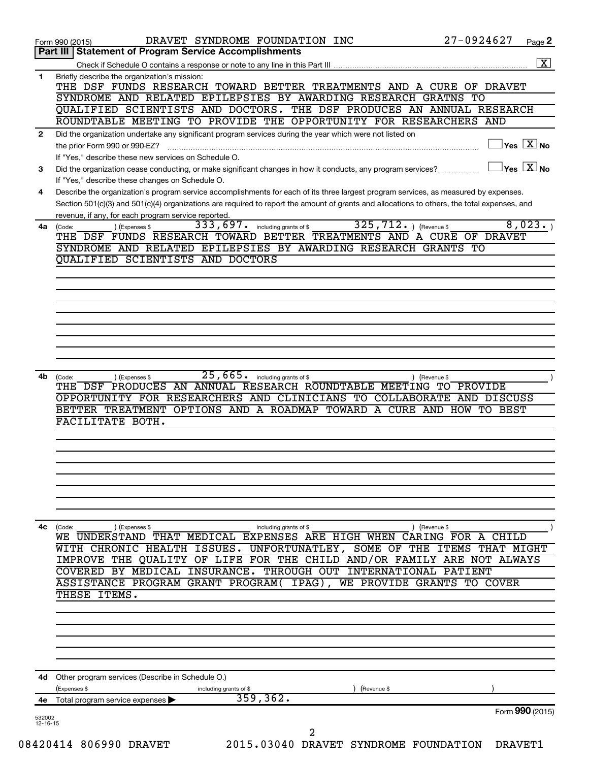|                          | DRAVET SYNDROME FOUNDATION INC<br>Form 990 (2015)                                                                                                                    | 27-0924627                   | Page 2                                                             |
|--------------------------|----------------------------------------------------------------------------------------------------------------------------------------------------------------------|------------------------------|--------------------------------------------------------------------|
|                          | Part III   Statement of Program Service Accomplishments                                                                                                              |                              |                                                                    |
|                          |                                                                                                                                                                      |                              | $\vert X \vert$                                                    |
| 1                        | Briefly describe the organization's mission:<br>THE DSF FUNDS RESEARCH TOWARD BETTER TREATMENTS AND A CURE OF DRAVET                                                 |                              |                                                                    |
|                          | SYNDROME AND RELATED EPILEPSIES BY AWARDING RESEARCH GRATNS TO                                                                                                       |                              |                                                                    |
|                          | QUALIFIED SCIENTISTS AND DOCTORS. THE DSF PRODUCES AN ANNUAL RESEARCH                                                                                                |                              |                                                                    |
|                          | ROUNDTABLE MEETING TO PROVIDE THE OPPORTUNITY FOR RESEARCHERS AND                                                                                                    |                              |                                                                    |
| $\mathbf{2}$             | Did the organization undertake any significant program services during the year which were not listed on                                                             |                              |                                                                    |
|                          | the prior Form 990 or 990-EZ?                                                                                                                                        |                              | $\sqrt{\mathsf{Yes}\ \mathbf{X}}$ No                               |
| 3                        | If "Yes," describe these new services on Schedule O.<br>Did the organization cease conducting, or make significant changes in how it conducts, any program services? |                              | $\sqrt{\mathsf{Yes}\mathord{\;\mathbb{X}}\mathord{\;\mathsf{No}}}$ |
|                          | If "Yes," describe these changes on Schedule O.                                                                                                                      |                              |                                                                    |
| 4                        | Describe the organization's program service accomplishments for each of its three largest program services, as measured by expenses.                                 |                              |                                                                    |
|                          | Section 501(c)(3) and 501(c)(4) organizations are required to report the amount of grants and allocations to others, the total expenses, and                         |                              |                                                                    |
|                          | revenue, if any, for each program service reported.                                                                                                                  |                              |                                                                    |
| 4a                       | $325, 712.$ ) (Revenue \$<br>333,697.<br>) (Expenses \$<br>including grants of \$<br>(Code:                                                                          |                              | 8,023.                                                             |
|                          | THE DSF FUNDS RESEARCH TOWARD BETTER TREATMENTS AND A CURE OF DRAVET<br>SYNDROME AND RELATED EPILEPSIES BY AWARDING RESEARCH GRANTS TO                               |                              |                                                                    |
|                          | <b>QUALIFIED SCIENTISTS AND DOCTORS</b>                                                                                                                              |                              |                                                                    |
|                          |                                                                                                                                                                      |                              |                                                                    |
|                          |                                                                                                                                                                      |                              |                                                                    |
|                          |                                                                                                                                                                      |                              |                                                                    |
|                          |                                                                                                                                                                      |                              |                                                                    |
|                          |                                                                                                                                                                      |                              |                                                                    |
|                          |                                                                                                                                                                      |                              |                                                                    |
|                          |                                                                                                                                                                      |                              |                                                                    |
|                          |                                                                                                                                                                      |                              |                                                                    |
| 4b                       | 25,665.<br>) (Expenses \$<br>including grants of \$<br>(Code:                                                                                                        | ) (Revenue \$                |                                                                    |
|                          | THE DSF PRODUCES AN ANNUAL RESEARCH ROUNDTABLE MEETING TO PROVIDE                                                                                                    |                              |                                                                    |
|                          | OPPORTUNITY FOR RESEARCHERS AND CLINICIANS TO COLLABORATE AND DISCUSS                                                                                                |                              |                                                                    |
|                          | BETTER TREATMENT OPTIONS AND A ROADMAP TOWARD A CURE AND HOW TO BEST                                                                                                 |                              |                                                                    |
|                          | FACILITATE BOTH.                                                                                                                                                     |                              |                                                                    |
|                          |                                                                                                                                                                      |                              |                                                                    |
|                          |                                                                                                                                                                      |                              |                                                                    |
|                          |                                                                                                                                                                      |                              |                                                                    |
|                          |                                                                                                                                                                      |                              |                                                                    |
|                          |                                                                                                                                                                      |                              |                                                                    |
|                          |                                                                                                                                                                      |                              |                                                                    |
|                          |                                                                                                                                                                      |                              |                                                                    |
| 4c                       | (Code:<br>) (Expenses \$<br>including grants of \$                                                                                                                   | ) (Revenue \$                |                                                                    |
|                          | WE UNDERSTAND THAT MEDICAL EXPENSES ARE HIGH WHEN CARING FOR A<br>SOME OF THE                                                                                        | CHILD<br>THAT MIGHT<br>ITEMS |                                                                    |
|                          | WITH CHRONIC HEALTH ISSUES. UNFORTUNATLEY,<br>THE QUALITY OF LIFE FOR THE CHILD AND/OR FAMILY ARE<br><b>IMPROVE</b>                                                  | NOT ALWAYS                   |                                                                    |
|                          | INSURANCE.<br><b>THROUGH OUT</b><br>COVERED BY MEDICAL                                                                                                               | INTERNATIONAL PATIENT        |                                                                    |
|                          | ASSISTANCE PROGRAM GRANT PROGRAM (<br>$IPAG$ ),<br>WE PROVIDE GRANTS                                                                                                 | TO COVER                     |                                                                    |
|                          | THESE ITEMS.                                                                                                                                                         |                              |                                                                    |
|                          |                                                                                                                                                                      |                              |                                                                    |
|                          |                                                                                                                                                                      |                              |                                                                    |
|                          |                                                                                                                                                                      |                              |                                                                    |
|                          |                                                                                                                                                                      |                              |                                                                    |
|                          |                                                                                                                                                                      |                              |                                                                    |
|                          |                                                                                                                                                                      |                              |                                                                    |
|                          | 4d Other program services (Describe in Schedule O.)                                                                                                                  |                              |                                                                    |
| 4e                       | (Expenses \$<br>(Revenue \$<br>including grants of \$<br>359, 362.<br>Total program service expenses                                                                 |                              |                                                                    |
|                          |                                                                                                                                                                      |                              | Form 990 (2015)                                                    |
| 532002<br>$12 - 16 - 15$ |                                                                                                                                                                      |                              |                                                                    |
|                          | 2                                                                                                                                                                    |                              |                                                                    |
|                          | 08420414 806990 DRAVET<br>2015.03040 DRAVET SYNDROME FOUNDATION                                                                                                      |                              | DRAVET1                                                            |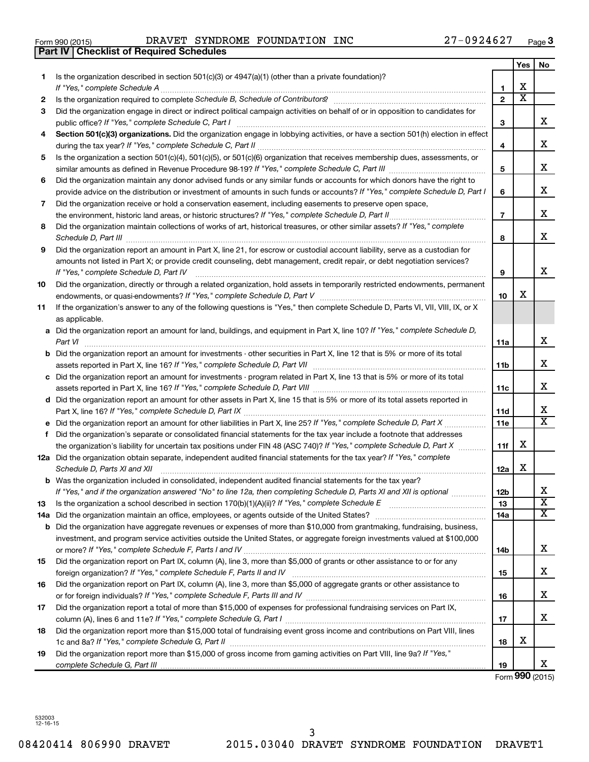| Form 990 (2015) |  |  |
|-----------------|--|--|

Form 990 (2015) **Page 12 COVIDENT DRAVET SYNDROME FOUNDATION INC** 27-0924627  $_{\text{Page}}$ 

|     | <b>Part IV   Checklist of Required Schedules</b>                                                                                                                                                                                    |                 |                         |                             |
|-----|-------------------------------------------------------------------------------------------------------------------------------------------------------------------------------------------------------------------------------------|-----------------|-------------------------|-----------------------------|
|     |                                                                                                                                                                                                                                     |                 | <b>Yes</b>              | No                          |
| 1.  | Is the organization described in section 501(c)(3) or 4947(a)(1) (other than a private foundation)?                                                                                                                                 |                 |                         |                             |
|     |                                                                                                                                                                                                                                     | 1               | X                       |                             |
| 2   | Is the organization required to complete Schedule B, Schedule of Contributors? [11] the organization required to complete Schedule B, Schedule of Contributors?                                                                     | $\mathbf{2}$    | $\overline{\mathbf{X}}$ |                             |
| З   | Did the organization engage in direct or indirect political campaign activities on behalf of or in opposition to candidates for                                                                                                     |                 |                         |                             |
|     |                                                                                                                                                                                                                                     | 3               |                         | x                           |
| 4   | Section 501(c)(3) organizations. Did the organization engage in lobbying activities, or have a section 501(h) election in effect                                                                                                    |                 |                         |                             |
|     |                                                                                                                                                                                                                                     | 4               |                         | X                           |
| 5   | Is the organization a section 501(c)(4), 501(c)(5), or 501(c)(6) organization that receives membership dues, assessments, or                                                                                                        |                 |                         |                             |
|     |                                                                                                                                                                                                                                     | 5               |                         | х                           |
| 6   | Did the organization maintain any donor advised funds or any similar funds or accounts for which donors have the right to                                                                                                           |                 |                         |                             |
|     | provide advice on the distribution or investment of amounts in such funds or accounts? If "Yes," complete Schedule D, Part I                                                                                                        | 6               |                         | х                           |
|     |                                                                                                                                                                                                                                     |                 |                         |                             |
| 7   | Did the organization receive or hold a conservation easement, including easements to preserve open space,                                                                                                                           |                 |                         | х                           |
|     |                                                                                                                                                                                                                                     | $\overline{7}$  |                         |                             |
| 8   | Did the organization maintain collections of works of art, historical treasures, or other similar assets? If "Yes," complete                                                                                                        |                 |                         | X                           |
|     | Schedule D, Part III <b>Marting Community</b> Construction of the Construction of the Construction of the Construction of the Construction of the Construction of the Construction of the Construction of the Construction of the C | 8               |                         |                             |
| 9   | Did the organization report an amount in Part X, line 21, for escrow or custodial account liability, serve as a custodian for                                                                                                       |                 |                         |                             |
|     | amounts not listed in Part X; or provide credit counseling, debt management, credit repair, or debt negotiation services?                                                                                                           |                 |                         |                             |
|     | If "Yes," complete Schedule D, Part IV                                                                                                                                                                                              | 9               |                         | X                           |
| 10  | Did the organization, directly or through a related organization, hold assets in temporarily restricted endowments, permanent                                                                                                       |                 |                         |                             |
|     |                                                                                                                                                                                                                                     | 10              | х                       |                             |
| 11  | If the organization's answer to any of the following questions is "Yes," then complete Schedule D, Parts VI, VII, VIII, IX, or X                                                                                                    |                 |                         |                             |
|     | as applicable.                                                                                                                                                                                                                      |                 |                         |                             |
|     | a Did the organization report an amount for land, buildings, and equipment in Part X, line 10? If "Yes," complete Schedule D,                                                                                                       |                 |                         |                             |
|     |                                                                                                                                                                                                                                     | 11a             |                         | x                           |
|     | <b>b</b> Did the organization report an amount for investments - other securities in Part X, line 12 that is 5% or more of its total                                                                                                |                 |                         |                             |
|     | assets reported in Part X, line 16? If "Yes," complete Schedule D, Part VII [[[[[[[[[[[[[[[[[[[[[[[[[[[[[[[[[                                                                                                                       | 11b             |                         | х                           |
|     | c Did the organization report an amount for investments - program related in Part X, line 13 that is 5% or more of its total                                                                                                        |                 |                         |                             |
|     |                                                                                                                                                                                                                                     | 11c             |                         | X                           |
|     | d Did the organization report an amount for other assets in Part X, line 15 that is 5% or more of its total assets reported in                                                                                                      |                 |                         |                             |
|     |                                                                                                                                                                                                                                     | 11d             |                         | х                           |
|     |                                                                                                                                                                                                                                     | 11e             |                         | $\overline{\mathtt{x}}$     |
|     | f Did the organization's separate or consolidated financial statements for the tax year include a footnote that addresses                                                                                                           |                 |                         |                             |
|     | the organization's liability for uncertain tax positions under FIN 48 (ASC 740)? If "Yes," complete Schedule D, Part X                                                                                                              | 11f             | х                       |                             |
|     | 12a Did the organization obtain separate, independent audited financial statements for the tax year? If "Yes," complete                                                                                                             |                 |                         |                             |
|     | Schedule D, Parts XI and XII                                                                                                                                                                                                        | 12a             | х                       |                             |
|     | <b>b</b> Was the organization included in consolidated, independent audited financial statements for the tax year?                                                                                                                  |                 |                         |                             |
|     | If "Yes," and if the organization answered "No" to line 12a, then completing Schedule D, Parts XI and XII is optional <i>manum</i>                                                                                                  | 12 <sub>b</sub> |                         | х                           |
| 13  |                                                                                                                                                                                                                                     | 13              |                         | $\overline{\textbf{x}}$     |
| 14a |                                                                                                                                                                                                                                     | 14a             |                         | $\overline{\textnormal{x}}$ |
|     | <b>b</b> Did the organization have aggregate revenues or expenses of more than \$10,000 from grantmaking, fundraising, business,                                                                                                    |                 |                         |                             |
|     | investment, and program service activities outside the United States, or aggregate foreign investments valued at \$100,000                                                                                                          |                 |                         |                             |
|     |                                                                                                                                                                                                                                     | 14b             |                         | х                           |
| 15  | Did the organization report on Part IX, column (A), line 3, more than \$5,000 of grants or other assistance to or for any                                                                                                           |                 |                         |                             |
|     |                                                                                                                                                                                                                                     | 15              |                         | х                           |
| 16  | Did the organization report on Part IX, column (A), line 3, more than \$5,000 of aggregate grants or other assistance to                                                                                                            |                 |                         |                             |
|     |                                                                                                                                                                                                                                     | 16              |                         | х                           |
| 17  | Did the organization report a total of more than \$15,000 of expenses for professional fundraising services on Part IX,                                                                                                             |                 |                         |                             |
|     |                                                                                                                                                                                                                                     | 17              |                         | x                           |
| 18  | Did the organization report more than \$15,000 total of fundraising event gross income and contributions on Part VIII, lines                                                                                                        |                 |                         |                             |
|     |                                                                                                                                                                                                                                     | 18              | х                       |                             |
| 19  | Did the organization report more than \$15,000 of gross income from gaming activities on Part VIII, line 9a? If "Yes,"                                                                                                              |                 |                         |                             |
|     |                                                                                                                                                                                                                                     | 19              |                         | х                           |
|     |                                                                                                                                                                                                                                     |                 |                         |                             |

Form **990** (2015)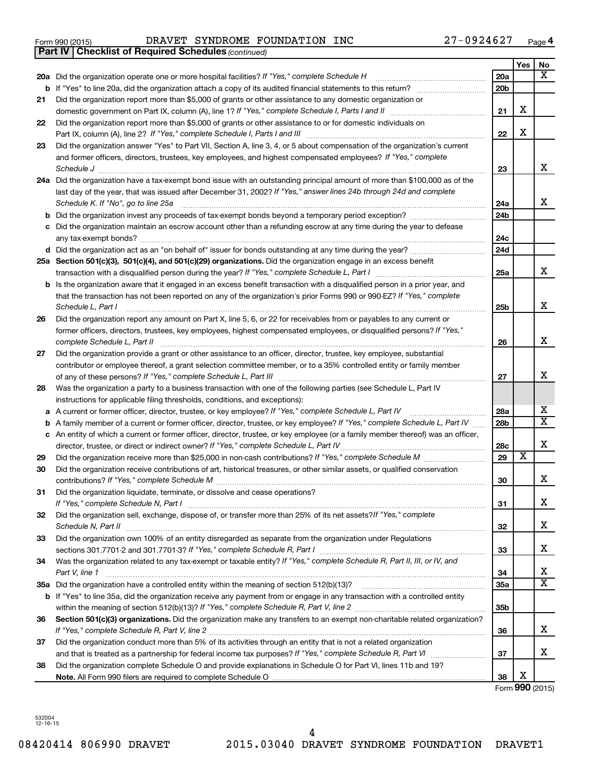|  | Form 990 (2015) |
|--|-----------------|
|  |                 |

Form 990 (2015) **Page 12 COVIDENT DRAVET SYNDROME FOUNDATION INC** 27-0924627  $_{\text{Page}}$ 

*(continued)* **Part IV Checklist of Required Schedules**

|    |                                                                                                                                             |                 | Yes                   | No                           |  |
|----|---------------------------------------------------------------------------------------------------------------------------------------------|-----------------|-----------------------|------------------------------|--|
|    | 20a Did the organization operate one or more hospital facilities? If "Yes," complete Schedule H                                             | 20a             |                       | x                            |  |
|    |                                                                                                                                             | 20 <sub>b</sub> |                       |                              |  |
| 21 | Did the organization report more than \$5,000 of grants or other assistance to any domestic organization or                                 |                 |                       |                              |  |
|    |                                                                                                                                             | 21              | X                     |                              |  |
| 22 | Did the organization report more than \$5,000 of grants or other assistance to or for domestic individuals on                               | 22              | X                     |                              |  |
| 23 | Did the organization answer "Yes" to Part VII, Section A, line 3, 4, or 5 about compensation of the organization's current                  |                 |                       |                              |  |
|    | and former officers, directors, trustees, key employees, and highest compensated employees? If "Yes," complete                              |                 |                       |                              |  |
|    | Schedule J                                                                                                                                  | 23              |                       | x                            |  |
|    | 24a Did the organization have a tax-exempt bond issue with an outstanding principal amount of more than \$100,000 as of the                 |                 |                       |                              |  |
|    | last day of the year, that was issued after December 31, 2002? If "Yes," answer lines 24b through 24d and complete                          |                 |                       |                              |  |
|    | Schedule K. If "No", go to line 25a                                                                                                         | 24a             |                       | x                            |  |
| b  | Did the organization invest any proceeds of tax-exempt bonds beyond a temporary period exception?                                           | 24 <sub>b</sub> |                       |                              |  |
| с  | Did the organization maintain an escrow account other than a refunding escrow at any time during the year to defease                        |                 |                       |                              |  |
|    |                                                                                                                                             | 24c             |                       |                              |  |
|    |                                                                                                                                             | 24d             |                       |                              |  |
|    | 25a Section 501(c)(3), 501(c)(4), and 501(c)(29) organizations. Did the organization engage in an excess benefit                            |                 |                       |                              |  |
|    |                                                                                                                                             | 25a             |                       | x                            |  |
|    | <b>b</b> Is the organization aware that it engaged in an excess benefit transaction with a disqualified person in a prior year, and         |                 |                       |                              |  |
|    | that the transaction has not been reported on any of the organization's prior Forms 990 or 990-EZ? If "Yes," complete<br>Schedule L, Part I | 25b             |                       | X                            |  |
| 26 | Did the organization report any amount on Part X, line 5, 6, or 22 for receivables from or payables to any current or                       |                 |                       |                              |  |
|    | former officers, directors, trustees, key employees, highest compensated employees, or disqualified persons? If "Yes,"                      |                 |                       |                              |  |
|    | complete Schedule L, Part II                                                                                                                | 26              |                       | x                            |  |
| 27 | Did the organization provide a grant or other assistance to an officer, director, trustee, key employee, substantial                        |                 |                       |                              |  |
|    | contributor or employee thereof, a grant selection committee member, or to a 35% controlled entity or family member                         |                 |                       |                              |  |
|    |                                                                                                                                             | 27              |                       | х                            |  |
| 28 | Was the organization a party to a business transaction with one of the following parties (see Schedule L, Part IV                           |                 |                       |                              |  |
|    | instructions for applicable filing thresholds, conditions, and exceptions):                                                                 |                 |                       |                              |  |
| а  | A current or former officer, director, trustee, or key employee? If "Yes," complete Schedule L, Part IV                                     | 28a             |                       | x<br>$\overline{\mathtt{x}}$ |  |
| b  | A family member of a current or former officer, director, trustee, or key employee? If "Yes," complete Schedule L, Part IV                  | 28 <sub>b</sub> |                       |                              |  |
|    | c An entity of which a current or former officer, director, trustee, or key employee (or a family member thereof) was an officer,           | 28c             |                       | X                            |  |
| 29 | director, trustee, or direct or indirect owner? If "Yes," complete Schedule L, Part IV                                                      | 29              | $\overline{\text{x}}$ |                              |  |
| 30 | Did the organization receive contributions of art, historical treasures, or other similar assets, or qualified conservation                 |                 |                       |                              |  |
|    |                                                                                                                                             | 30              |                       | x                            |  |
| 31 | Did the organization liquidate, terminate, or dissolve and cease operations?                                                                |                 |                       |                              |  |
|    |                                                                                                                                             | 31              |                       | х                            |  |
| 32 | Did the organization sell, exchange, dispose of, or transfer more than 25% of its net assets? If "Yes," complete                            |                 |                       |                              |  |
|    | Schedule N, Part II                                                                                                                         | 32              |                       | x                            |  |
| 33 | Did the organization own 100% of an entity disregarded as separate from the organization under Regulations                                  |                 |                       |                              |  |
|    |                                                                                                                                             | 33              |                       | х                            |  |
| 34 | Was the organization related to any tax-exempt or taxable entity? If "Yes," complete Schedule R, Part II, III, or IV, and                   |                 |                       |                              |  |
|    | Part V, line 1                                                                                                                              | 34              |                       | х<br>$\overline{\mathtt{x}}$ |  |
|    | b If "Yes" to line 35a, did the organization receive any payment from or engage in any transaction with a controlled entity                 | 35a             |                       |                              |  |
|    |                                                                                                                                             | 35 <sub>b</sub> |                       |                              |  |
| 36 | Section 501(c)(3) organizations. Did the organization make any transfers to an exempt non-charitable related organization?                  |                 |                       |                              |  |
|    |                                                                                                                                             | 36              |                       | x                            |  |
| 37 | Did the organization conduct more than 5% of its activities through an entity that is not a related organization                            |                 |                       |                              |  |
|    |                                                                                                                                             | 37              |                       | x                            |  |
| 38 | Did the organization complete Schedule O and provide explanations in Schedule O for Part VI, lines 11b and 19?                              |                 |                       |                              |  |
|    |                                                                                                                                             | 38              | х                     |                              |  |

Form **990** (2015)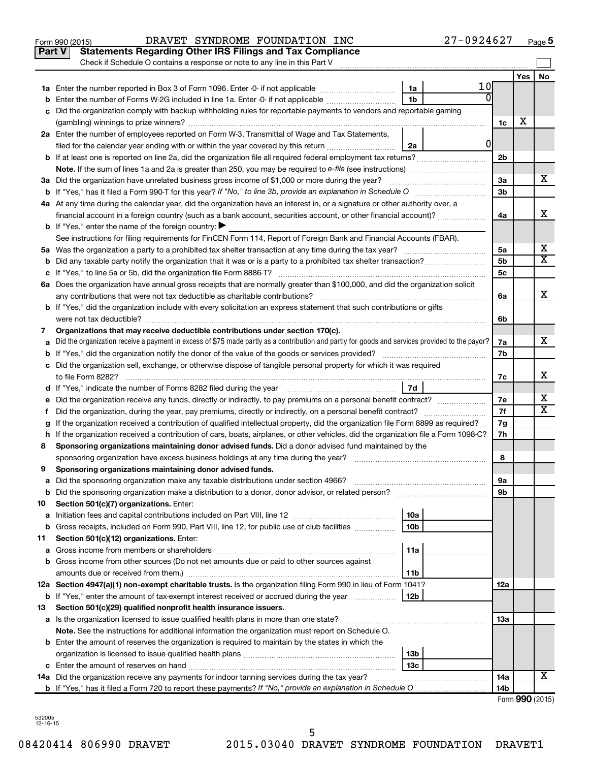|               | 27-0924627<br>DRAVET SYNDROME FOUNDATION INC<br>Form 990 (2015)                                                                                 |                |     | Page 5                  |
|---------------|-------------------------------------------------------------------------------------------------------------------------------------------------|----------------|-----|-------------------------|
| <b>Part V</b> | <b>Statements Regarding Other IRS Filings and Tax Compliance</b>                                                                                |                |     |                         |
|               | Check if Schedule O contains a response or note to any line in this Part V                                                                      |                |     |                         |
|               |                                                                                                                                                 |                | Yes | No                      |
|               | 10<br>1a                                                                                                                                        |                |     |                         |
| b             | Enter the number of Forms W-2G included in line 1a. Enter -0- if not applicable<br>1b                                                           |                |     |                         |
| с             | Did the organization comply with backup withholding rules for reportable payments to vendors and reportable gaming                              |                |     |                         |
|               |                                                                                                                                                 | 1c             | х   |                         |
|               | 2a Enter the number of employees reported on Form W-3, Transmittal of Wage and Tax Statements,                                                  |                |     |                         |
|               | 0<br>filed for the calendar year ending with or within the year covered by this return<br>2a                                                    |                |     |                         |
|               | <b>b</b> If at least one is reported on line 2a, did the organization file all required federal employment tax returns?                         | 2 <sub>b</sub> |     |                         |
|               | Note. If the sum of lines 1a and 2a is greater than 250, you may be required to e-file (see instructions) <i>managererigion</i> ,               |                |     |                         |
|               | 3a Did the organization have unrelated business gross income of \$1,000 or more during the year?                                                | 3a             |     | x.                      |
|               |                                                                                                                                                 | 3b             |     |                         |
|               | 4a At any time during the calendar year, did the organization have an interest in, or a signature or other authority over, a                    |                |     |                         |
|               | financial account in a foreign country (such as a bank account, securities account, or other financial account)?                                | 4a             |     | x                       |
|               | <b>b</b> If "Yes," enter the name of the foreign country: $\blacktriangleright$                                                                 |                |     |                         |
|               | See instructions for filing requirements for FinCEN Form 114, Report of Foreign Bank and Financial Accounts (FBAR).                             |                |     |                         |
|               |                                                                                                                                                 | 5a             |     | x                       |
| b             |                                                                                                                                                 | 5b             |     | $\overline{\mathtt{x}}$ |
|               |                                                                                                                                                 | 5c             |     |                         |
|               | 6a Does the organization have annual gross receipts that are normally greater than \$100,000, and did the organization solicit                  |                |     |                         |
|               |                                                                                                                                                 | 6a             |     | x                       |
|               | <b>b</b> If "Yes," did the organization include with every solicitation an express statement that such contributions or gifts                   |                |     |                         |
|               |                                                                                                                                                 | 6b             |     |                         |
| 7             | Organizations that may receive deductible contributions under section 170(c).                                                                   |                |     |                         |
|               | Did the organization receive a payment in excess of \$75 made partly as a contribution and partly for goods and services provided to the payor? |                |     | x                       |
| а             |                                                                                                                                                 | 7a<br>7b       |     |                         |
| b             |                                                                                                                                                 |                |     |                         |
|               | c Did the organization sell, exchange, or otherwise dispose of tangible personal property for which it was required                             |                |     | x                       |
|               | to file Form 8282?<br>7d                                                                                                                        | 7c             |     |                         |
|               |                                                                                                                                                 |                |     | х                       |
| е             | Did the organization receive any funds, directly or indirectly, to pay premiums on a personal benefit contract?                                 | 7е<br>7f       |     | $\overline{\mathbf{X}}$ |
| f.            | Did the organization, during the year, pay premiums, directly or indirectly, on a personal benefit contract?                                    |                |     |                         |
| g             | If the organization received a contribution of qualified intellectual property, did the organization file Form 8899 as required?                | 7g             |     |                         |
|               | h If the organization received a contribution of cars, boats, airplanes, or other vehicles, did the organization file a Form 1098-C?            | 7h             |     |                         |
| 8             | Sponsoring organizations maintaining donor advised funds. Did a donor advised fund maintained by the                                            |                |     |                         |
|               | sponsoring organization have excess business holdings at any time during the year?                                                              | 8              |     |                         |
| 9             | Sponsoring organizations maintaining donor advised funds.                                                                                       |                |     |                         |
| а             | Did the sponsoring organization make any taxable distributions under section 4966?                                                              | 9а             |     |                         |
| b             |                                                                                                                                                 | 9b             |     |                         |
| 10            | Section 501(c)(7) organizations. Enter:                                                                                                         |                |     |                         |
| а             | 10a                                                                                                                                             |                |     |                         |
| b             | Gross receipts, included on Form 990, Part VIII, line 12, for public use of club facilities<br>10 <sub>b</sub>                                  |                |     |                         |
| 11            | Section 501(c)(12) organizations. Enter:                                                                                                        |                |     |                         |
| а             | 11a                                                                                                                                             |                |     |                         |
| b             | Gross income from other sources (Do not net amounts due or paid to other sources against                                                        |                |     |                         |
|               | 11b                                                                                                                                             |                |     |                         |
|               | 12a Section 4947(a)(1) non-exempt charitable trusts. Is the organization filing Form 990 in lieu of Form 1041?                                  | 12a            |     |                         |
| b             | If "Yes," enter the amount of tax-exempt interest received or accrued during the year<br>12b                                                    |                |     |                         |
| 13            | Section 501(c)(29) qualified nonprofit health insurance issuers.                                                                                |                |     |                         |
|               |                                                                                                                                                 | 13a            |     |                         |
|               | Note. See the instructions for additional information the organization must report on Schedule O.                                               |                |     |                         |
|               | <b>b</b> Enter the amount of reserves the organization is required to maintain by the states in which the                                       |                |     |                         |
|               | 13 <sub>b</sub>                                                                                                                                 |                |     |                         |
|               | 13c                                                                                                                                             |                |     |                         |
|               | <b>14a</b> Did the organization receive any payments for indoor tanning services during the tax year?                                           | 14a            |     | х                       |
|               |                                                                                                                                                 | 14b            |     | $Form$ QQN (2015)       |

Form (2015) **990**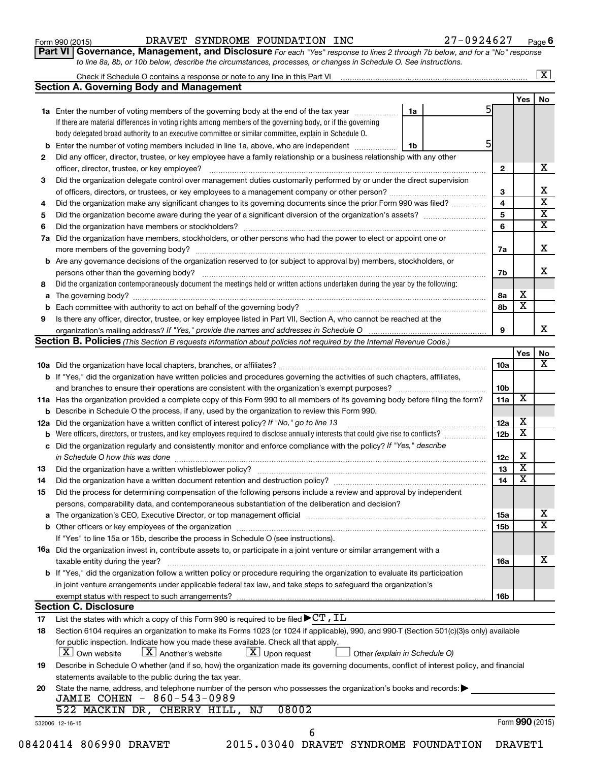| Form 990 (2015) |  |
|-----------------|--|
|-----------------|--|

### Form 990 (2015) Page DRAVET SYNDROME FOUNDATION INC 27-0924627

**Part VI** Governance, Management, and Disclosure For each "Yes" response to lines 2 through 7b below, and for a "No" response *to line 8a, 8b, or 10b below, describe the circumstances, processes, or changes in Schedule O. See instructions.*

|     | Check if Schedule O contains a response or note to any line in this Part VI                                                                                                |    |    |                         |                             | $\overline{\mathbf{x}}$ |
|-----|----------------------------------------------------------------------------------------------------------------------------------------------------------------------------|----|----|-------------------------|-----------------------------|-------------------------|
|     | <b>Section A. Governing Body and Management</b>                                                                                                                            |    |    |                         |                             |                         |
|     |                                                                                                                                                                            |    |    |                         | <b>Yes</b>                  | No                      |
|     | 1a Enter the number of voting members of the governing body at the end of the tax year                                                                                     | 1a | 51 |                         |                             |                         |
|     | If there are material differences in voting rights among members of the governing body, or if the governing                                                                |    |    |                         |                             |                         |
|     | body delegated broad authority to an executive committee or similar committee, explain in Schedule O.                                                                      |    |    |                         |                             |                         |
| b   | Enter the number of voting members included in line 1a, above, who are independent                                                                                         | 1b | 5  |                         |                             |                         |
| 2   | Did any officer, director, trustee, or key employee have a family relationship or a business relationship with any other                                                   |    |    |                         |                             |                         |
|     |                                                                                                                                                                            |    |    | $\mathbf{2}$            |                             |                         |
| 3   | Did the organization delegate control over management duties customarily performed by or under the direct supervision                                                      |    |    |                         |                             |                         |
|     |                                                                                                                                                                            |    |    | 3                       |                             |                         |
| 4   | Did the organization make any significant changes to its governing documents since the prior Form 990 was filed?                                                           |    |    | $\overline{\mathbf{4}}$ |                             |                         |
| 5   |                                                                                                                                                                            |    |    | 5                       |                             |                         |
| 6   |                                                                                                                                                                            |    |    | 6                       |                             |                         |
| 7a  | Did the organization have members, stockholders, or other persons who had the power to elect or appoint one or                                                             |    |    |                         |                             |                         |
|     |                                                                                                                                                                            |    |    | 7a                      |                             |                         |
|     | <b>b</b> Are any governance decisions of the organization reserved to (or subject to approval by) members, stockholders, or                                                |    |    |                         |                             |                         |
|     |                                                                                                                                                                            |    |    |                         |                             |                         |
|     | persons other than the governing body?                                                                                                                                     |    |    | 7b                      |                             |                         |
| 8   | Did the organization contemporaneously document the meetings held or written actions undertaken during the year by the following:                                          |    |    |                         |                             |                         |
| а   |                                                                                                                                                                            |    |    | 8а                      | х                           |                         |
|     |                                                                                                                                                                            |    |    | 8b                      | $\overline{\textbf{x}}$     |                         |
| 9   | Is there any officer, director, trustee, or key employee listed in Part VII, Section A, who cannot be reached at the                                                       |    |    |                         |                             |                         |
|     | organization's mailing address? If "Yes," provide the names and addresses in Schedule O                                                                                    |    |    | 9                       |                             |                         |
|     | Section B. Policies (This Section B requests information about policies not required by the Internal Revenue Code.)                                                        |    |    |                         |                             |                         |
|     |                                                                                                                                                                            |    |    |                         | <b>Yes</b>                  |                         |
|     |                                                                                                                                                                            |    |    | 10a                     |                             |                         |
|     | b If "Yes," did the organization have written policies and procedures governing the activities of such chapters, affiliates,                                               |    |    |                         |                             |                         |
|     |                                                                                                                                                                            |    |    | 10 <sub>b</sub>         |                             |                         |
|     | 11a Has the organization provided a complete copy of this Form 990 to all members of its governing body before filing the form?                                            |    |    | 11a                     | X                           |                         |
|     | <b>b</b> Describe in Schedule O the process, if any, used by the organization to review this Form 990.                                                                     |    |    |                         |                             |                         |
| 12a | Did the organization have a written conflict of interest policy? If "No," go to line 13                                                                                    |    |    | 12a                     | х                           |                         |
|     | Were officers, directors, or trustees, and key employees required to disclose annually interests that could give rise to conflicts?                                        |    |    | 12 <sub>b</sub>         | $\overline{\text{x}}$       |                         |
|     | c Did the organization regularly and consistently monitor and enforce compliance with the policy? If "Yes," describe                                                       |    |    |                         |                             |                         |
|     |                                                                                                                                                                            |    |    | 12c                     | Х                           |                         |
| 13  |                                                                                                                                                                            |    |    | 13                      | $\overline{\textnormal{x}}$ |                         |
|     |                                                                                                                                                                            |    |    | 14                      | $\overline{\textbf{X}}$     |                         |
| 14  | Did the organization have a written document retention and destruction policy? manufactured and the organization have a written document retention and destruction policy? |    |    |                         |                             |                         |
| 15  | Did the process for determining compensation of the following persons include a review and approval by independent                                                         |    |    |                         |                             |                         |
|     | persons, comparability data, and contemporaneous substantiation of the deliberation and decision?                                                                          |    |    |                         |                             |                         |
|     |                                                                                                                                                                            |    |    | 15a                     |                             |                         |
|     |                                                                                                                                                                            |    |    | 15b                     |                             |                         |
|     | If "Yes" to line 15a or 15b, describe the process in Schedule O (see instructions).                                                                                        |    |    |                         |                             |                         |
|     | 16a Did the organization invest in, contribute assets to, or participate in a joint venture or similar arrangement with a                                                  |    |    |                         |                             |                         |
|     | taxable entity during the year?                                                                                                                                            |    |    | <b>16a</b>              |                             |                         |
|     | <b>b</b> If "Yes," did the organization follow a written policy or procedure requiring the organization to evaluate its participation                                      |    |    |                         |                             |                         |
|     | in joint venture arrangements under applicable federal tax law, and take steps to safeguard the organization's                                                             |    |    |                         |                             |                         |
|     |                                                                                                                                                                            |    |    | 16b                     |                             |                         |
|     | <b>Section C. Disclosure</b>                                                                                                                                               |    |    |                         |                             |                         |
| 17  | List the states with which a copy of this Form 990 is required to be filed $\blacktriangleright$ CT, IL                                                                    |    |    |                         |                             |                         |
| 18  | Section 6104 requires an organization to make its Forms 1023 (or 1024 if applicable), 990, and 990-T (Section 501(c)(3)s only) available                                   |    |    |                         |                             |                         |
|     | for public inspection. Indicate how you made these available. Check all that apply.                                                                                        |    |    |                         |                             |                         |
|     | $\lfloor x \rfloor$ Own website<br>$\lfloor x \rfloor$ Another's website<br>$\lfloor x \rfloor$ Upon request<br>Other (explain in Schedule O)                              |    |    |                         |                             |                         |
| 19  | Describe in Schedule O whether (and if so, how) the organization made its governing documents, conflict of interest policy, and financial                                  |    |    |                         |                             |                         |
|     | statements available to the public during the tax year.                                                                                                                    |    |    |                         |                             |                         |
| 20  | State the name, address, and telephone number of the person who possesses the organization's books and records:                                                            |    |    |                         |                             |                         |
|     | JAMIE COHEN - 860-543-0989                                                                                                                                                 |    |    |                         |                             |                         |
|     | 08002<br>522 MACKIN DR, CHERRY HILL, NJ                                                                                                                                    |    |    |                         |                             |                         |
|     | 532006 12-16-15                                                                                                                                                            |    |    |                         | Form 990 (2015)             |                         |
|     | 6<br>08420414 806990 DRAVET<br>2015.03040 DRAVET SYNDROME FOUNDATION                                                                                                       |    |    |                         | DRAVET1                     |                         |
|     |                                                                                                                                                                            |    |    |                         |                             |                         |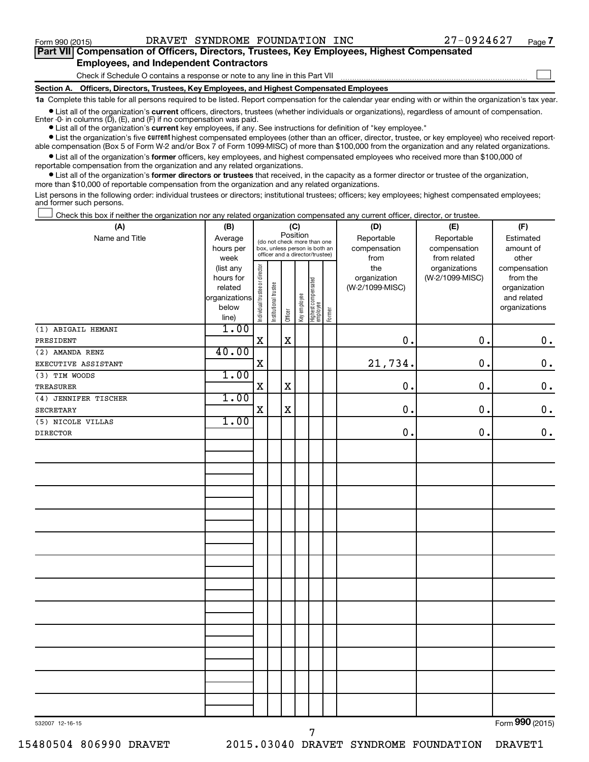$\Box$ 

| Part VII Compensation of Officers, Directors, Trustees, Key Employees, Highest Compensated |  |  |
|--------------------------------------------------------------------------------------------|--|--|
| <b>Employees, and Independent Contractors</b>                                              |  |  |

### Check if Schedule O contains a response or note to any line in this Part VII

**Section A. Officers, Directors, Trustees, Key Employees, and Highest Compensated Employees**

**1a**  Complete this table for all persons required to be listed. Report compensation for the calendar year ending with or within the organization's tax year.

**•** List all of the organization's current officers, directors, trustees (whether individuals or organizations), regardless of amount of compensation. Enter  $-0$ - in columns  $(D)$ ,  $(E)$ , and  $(F)$  if no compensation was paid.

**•** List all of the organization's **current** key employees, if any. See instructions for definition of "key employee."

**•** List the organization's five current highest compensated employees (other than an officer, director, trustee, or key employee) who received reportable compensation (Box 5 of Form W-2 and/or Box 7 of Form 1099-MISC) of more than \$100,000 from the organization and any related organizations.

**•** List all of the organization's former officers, key employees, and highest compensated employees who received more than \$100,000 of reportable compensation from the organization and any related organizations.

**•** List all of the organization's former directors or trustees that received, in the capacity as a former director or trustee of the organization, more than \$10,000 of reportable compensation from the organization and any related organizations.

List persons in the following order: individual trustees or directors; institutional trustees; officers; key employees; highest compensated employees; and former such persons.

|  | Check this box if neither the organization nor any related organization compensated any current officer, director, or trustee. |  |  |  |
|--|--------------------------------------------------------------------------------------------------------------------------------|--|--|--|
|  |                                                                                                                                |  |  |  |
|  |                                                                                                                                |  |  |  |

| (A)                  | (B)<br>(C)                                         |                                |                               |             |              |                                 |        | (D)             | (E)             | (F)                          |
|----------------------|----------------------------------------------------|--------------------------------|-------------------------------|-------------|--------------|---------------------------------|--------|-----------------|-----------------|------------------------------|
| Name and Title       | Position<br>Average<br>(do not check more than one |                                |                               |             |              |                                 |        | Reportable      | Reportable      | Estimated                    |
|                      | hours per                                          |                                | box, unless person is both an |             |              | officer and a director/trustee) |        | compensation    | compensation    | amount of                    |
|                      | week                                               |                                |                               |             |              |                                 |        | from            | from related    | other                        |
|                      | (list any                                          |                                |                               |             |              |                                 |        | the             | organizations   | compensation                 |
|                      | hours for                                          |                                |                               |             |              |                                 |        | organization    | (W-2/1099-MISC) | from the                     |
|                      | related                                            |                                |                               |             |              |                                 |        | (W-2/1099-MISC) |                 | organization                 |
|                      | organizations<br>below                             |                                |                               |             |              |                                 |        |                 |                 | and related<br>organizations |
|                      | line)                                              | Individual trustee or director | Institutional trustee         | Officer     | Key employee | Highest compensated<br>employee | Former |                 |                 |                              |
| (1) ABIGAIL HEMANI   | 1.00                                               |                                |                               |             |              |                                 |        |                 |                 |                              |
| PRESIDENT            |                                                    | $\mathbf X$                    |                               | $\mathbf X$ |              |                                 |        | 0.              | 0.              | $\boldsymbol{0}$ .           |
| (2) AMANDA RENZ      | 40.00                                              |                                |                               |             |              |                                 |        |                 |                 |                              |
| EXECUTIVE ASSISTANT  |                                                    | $\mathbf X$                    |                               |             |              |                                 |        | 21,734.         | $\mathbf 0$ .   | $\mathbf 0$ .                |
| (3) TIM WOODS        | 1.00                                               |                                |                               |             |              |                                 |        |                 |                 |                              |
| <b>TREASURER</b>     |                                                    | X                              |                               | $\mathbf X$ |              |                                 |        | $\mathbf 0$ .   | 0.              | $\boldsymbol{0}$ .           |
| (4) JENNIFER TISCHER | 1.00                                               |                                |                               |             |              |                                 |        |                 |                 |                              |
| SECRETARY            |                                                    | X                              |                               | $\mathbf X$ |              |                                 |        | $\mathbf 0$ .   | 0.              | $\mathbf 0$ .                |
| (5) NICOLE VILLAS    | 1.00                                               |                                |                               |             |              |                                 |        |                 |                 |                              |
| <b>DIRECTOR</b>      |                                                    |                                |                               |             |              |                                 |        | 0.              | $\mathbf 0$ .   | $\mathbf 0$ .                |
|                      |                                                    |                                |                               |             |              |                                 |        |                 |                 |                              |
|                      |                                                    |                                |                               |             |              |                                 |        |                 |                 |                              |
|                      |                                                    |                                |                               |             |              |                                 |        |                 |                 |                              |
|                      |                                                    |                                |                               |             |              |                                 |        |                 |                 |                              |
|                      |                                                    |                                |                               |             |              |                                 |        |                 |                 |                              |
|                      |                                                    |                                |                               |             |              |                                 |        |                 |                 |                              |
|                      |                                                    |                                |                               |             |              |                                 |        |                 |                 |                              |
|                      |                                                    |                                |                               |             |              |                                 |        |                 |                 |                              |
|                      |                                                    |                                |                               |             |              |                                 |        |                 |                 |                              |
|                      |                                                    |                                |                               |             |              |                                 |        |                 |                 |                              |
|                      |                                                    |                                |                               |             |              |                                 |        |                 |                 |                              |
|                      |                                                    |                                |                               |             |              |                                 |        |                 |                 |                              |
|                      |                                                    |                                |                               |             |              |                                 |        |                 |                 |                              |
|                      |                                                    |                                |                               |             |              |                                 |        |                 |                 |                              |
|                      |                                                    |                                |                               |             |              |                                 |        |                 |                 |                              |
|                      |                                                    |                                |                               |             |              |                                 |        |                 |                 |                              |
|                      |                                                    |                                |                               |             |              |                                 |        |                 |                 |                              |
|                      |                                                    |                                |                               |             |              |                                 |        |                 |                 |                              |
|                      |                                                    |                                |                               |             |              |                                 |        |                 |                 |                              |
|                      |                                                    |                                |                               |             |              |                                 |        |                 |                 |                              |
|                      |                                                    |                                |                               |             |              |                                 |        |                 |                 |                              |
|                      |                                                    |                                |                               |             |              |                                 |        |                 |                 |                              |
|                      |                                                    |                                |                               |             |              |                                 |        |                 |                 |                              |

Form (2015) **990**

7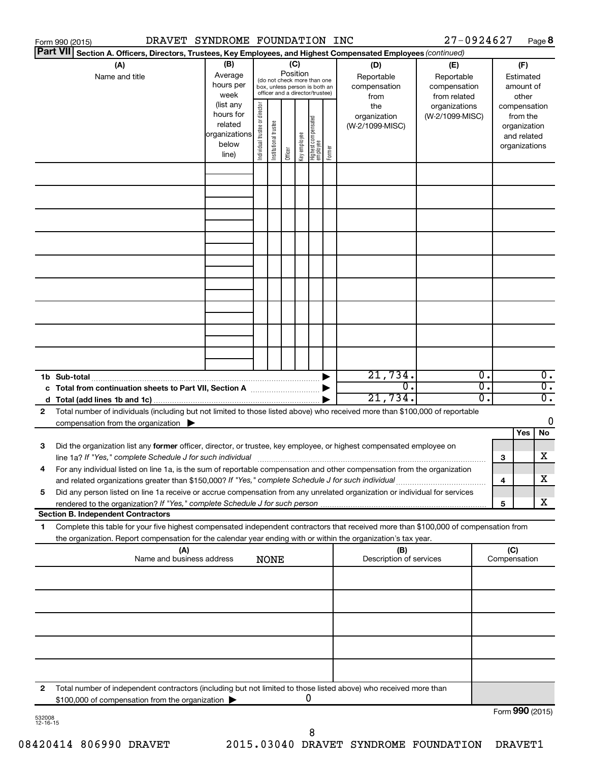|                 | DRAVET SYNDROME FOUNDATION INC<br>Form 990 (2015)                                                                                                                                                                                      |                                                                                                                                                                                                 |                                |                       |         |              |                                                   |        |                                        | 27-0924627                             |          |                               |                                         | Page 8                               |
|-----------------|----------------------------------------------------------------------------------------------------------------------------------------------------------------------------------------------------------------------------------------|-------------------------------------------------------------------------------------------------------------------------------------------------------------------------------------------------|--------------------------------|-----------------------|---------|--------------|---------------------------------------------------|--------|----------------------------------------|----------------------------------------|----------|-------------------------------|-----------------------------------------|--------------------------------------|
| <b>Part VII</b> | Section A. Officers, Directors, Trustees, Key Employees, and Highest Compensated Employees (continued)                                                                                                                                 |                                                                                                                                                                                                 |                                |                       |         |              |                                                   |        |                                        |                                        |          |                               |                                         |                                      |
|                 | (A)<br>Name and title                                                                                                                                                                                                                  | (B)<br>(C)<br>Position<br>Average<br>Reportable<br>(do not check more than one<br>hours per<br>compensation<br>box, unless person is both an<br>officer and a director/trustee)<br>week<br>from |                                |                       |         | (D)          | (E)<br>Reportable<br>compensation<br>from related |        |                                        | (F)<br>Estimated<br>amount of<br>other |          |                               |                                         |                                      |
|                 |                                                                                                                                                                                                                                        | (list any<br>hours for<br>related<br>organizations<br>below<br>line)                                                                                                                            | Individual trustee or director | Institutional trustee | Officer | Key employee | Highest compensated<br>  employee                 | Former | the<br>organization<br>(W-2/1099-MISC) | organizations<br>(W-2/1099-MISC)       |          | compensation<br>organizations | from the<br>organization<br>and related |                                      |
|                 |                                                                                                                                                                                                                                        |                                                                                                                                                                                                 |                                |                       |         |              |                                                   |        |                                        |                                        |          |                               |                                         |                                      |
|                 |                                                                                                                                                                                                                                        |                                                                                                                                                                                                 |                                |                       |         |              |                                                   |        |                                        |                                        |          |                               |                                         |                                      |
|                 |                                                                                                                                                                                                                                        |                                                                                                                                                                                                 |                                |                       |         |              |                                                   |        |                                        |                                        |          |                               |                                         |                                      |
|                 |                                                                                                                                                                                                                                        |                                                                                                                                                                                                 |                                |                       |         |              |                                                   |        |                                        |                                        |          |                               |                                         |                                      |
|                 |                                                                                                                                                                                                                                        |                                                                                                                                                                                                 |                                |                       |         |              |                                                   |        |                                        |                                        |          |                               |                                         |                                      |
|                 |                                                                                                                                                                                                                                        |                                                                                                                                                                                                 |                                |                       |         |              |                                                   |        |                                        |                                        |          |                               |                                         |                                      |
|                 | 1b Sub-total                                                                                                                                                                                                                           |                                                                                                                                                                                                 |                                |                       |         |              |                                                   |        | 21,734.                                |                                        | 0.       |                               |                                         | $\overline{0}$ .                     |
|                 | c Total from continuation sheets to Part VII, Section A manufactured by                                                                                                                                                                |                                                                                                                                                                                                 |                                |                       |         |              |                                                   |        | $\overline{0}$ .<br>21,734.            |                                        | σ.<br>о. |                               |                                         | $\overline{0}$ .<br>$\overline{0}$ . |
| 2               | Total number of individuals (including but not limited to those listed above) who received more than \$100,000 of reportable<br>compensation from the organization $\blacktriangleright$                                               |                                                                                                                                                                                                 |                                |                       |         |              |                                                   |        |                                        |                                        |          |                               | Yes                                     | 0<br>No                              |
| 3               | Did the organization list any former officer, director, or trustee, key employee, or highest compensated employee on<br>line 1a? If "Yes," complete Schedule J for such individual manufactured content to the set of the set of the s |                                                                                                                                                                                                 |                                |                       |         |              |                                                   |        |                                        |                                        |          | 3                             |                                         | х                                    |
|                 | For any individual listed on line 1a, is the sum of reportable compensation and other compensation from the organization<br>and related organizations greater than \$150,000? If "Yes," complete Schedule J for such individual        |                                                                                                                                                                                                 |                                |                       |         |              |                                                   |        |                                        |                                        |          | 4                             |                                         | х                                    |
| 5               | Did any person listed on line 1a receive or accrue compensation from any unrelated organization or individual for services<br><b>Section B. Independent Contractors</b>                                                                |                                                                                                                                                                                                 |                                |                       |         |              |                                                   |        |                                        |                                        |          | 5                             |                                         | х                                    |
| 1.              | Complete this table for your five highest compensated independent contractors that received more than \$100,000 of compensation from                                                                                                   |                                                                                                                                                                                                 |                                |                       |         |              |                                                   |        |                                        |                                        |          |                               |                                         |                                      |
|                 | the organization. Report compensation for the calendar year ending with or within the organization's tax year.<br>(A)<br>Name and business address                                                                                     |                                                                                                                                                                                                 |                                | <b>NONE</b>           |         |              |                                                   |        | (B)<br>Description of services         |                                        |          | (C)<br>Compensation           |                                         |                                      |
|                 |                                                                                                                                                                                                                                        |                                                                                                                                                                                                 |                                |                       |         |              |                                                   |        |                                        |                                        |          |                               |                                         |                                      |
|                 |                                                                                                                                                                                                                                        |                                                                                                                                                                                                 |                                |                       |         |              |                                                   |        |                                        |                                        |          |                               |                                         |                                      |
|                 |                                                                                                                                                                                                                                        |                                                                                                                                                                                                 |                                |                       |         |              |                                                   |        |                                        |                                        |          |                               |                                         |                                      |
|                 |                                                                                                                                                                                                                                        |                                                                                                                                                                                                 |                                |                       |         |              |                                                   |        |                                        |                                        |          |                               |                                         |                                      |
| 2               | Total number of independent contractors (including but not limited to those listed above) who received more than<br>\$100,000 of compensation from the organization                                                                    |                                                                                                                                                                                                 |                                |                       |         |              | 0                                                 |        |                                        |                                        |          |                               |                                         |                                      |
|                 |                                                                                                                                                                                                                                        |                                                                                                                                                                                                 |                                |                       |         |              |                                                   |        |                                        |                                        |          | Form 990 (2015)               |                                         |                                      |

532008 12-16-15

Form 990 (2015)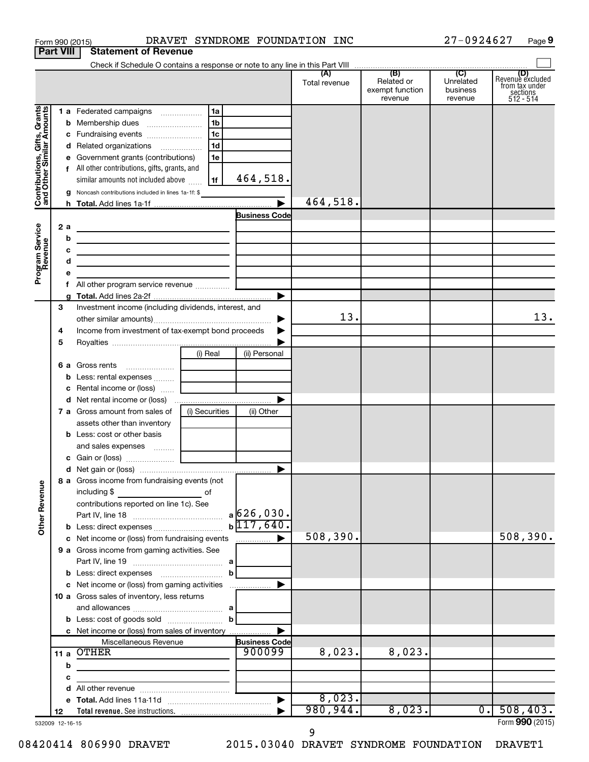| <b>Part VIII</b><br><b>Statement of Revenue</b><br>(B)<br>(C)<br>Revenue excluded<br>(A)<br>Related or<br>Unrelated<br>Total revenue<br>from tax under<br>exempt function<br>business<br>sections<br>512 - 514<br>revenue<br>revenue<br>Contributions, Gifts, Grants<br>and Other Similar Amounts<br>1 a Federated campaigns<br>1a<br>1b<br>1c<br>c Fundraising events<br>1 <sub>d</sub><br>d Related organizations<br>e Government grants (contributions)<br>1e<br>f All other contributions, gifts, grants, and<br>464,518.<br>similar amounts not included above<br>l 1f<br>g Noncash contributions included in lines 1a-1f: \$<br>464,518.<br><b>Business Code</b><br>Program Service<br>Revenue<br>2a<br><u> 1989 - Johann Barbara, martxa alemaniar arg</u><br>b<br><u> 1989 - Johann John Stein, markin fizzar eta idazlea (</u><br>с<br><u> 1989 - Johann John Stein, markin fizik eta idazlearia (h. 1982).</u><br>d<br>the contract of the contract of the contract of the contract of the contract of<br>е<br>All other program service revenue  [<br>Ť.<br>▶<br>Investment income (including dividends, interest, and<br>3<br>13.<br>13.<br>▶<br>Income from investment of tax-exempt bond proceeds<br>4<br>▶<br>5<br>(i) Real<br>(ii) Personal<br>6 a Gross rents<br>$\ldots \ldots \ldots \ldots \ldots$<br>b Less: rental expenses<br>c Rental income or (loss)<br>7 a Gross amount from sales of<br>(i) Securities<br>(ii) Other<br>assets other than inventory<br><b>b</b> Less: cost or other basis<br>and sales expenses<br>8 a Gross income from fundraising events (not<br><b>Other Revenue</b><br>contributions reported on line 1c). See<br>a 626,030.<br>$b\sqrt{117,640}$ .<br>508, 390.<br>c Net income or (loss) from fundraising events<br>9 a Gross income from gaming activities. See<br>b<br>c Net income or (loss) from gaming activities<br>▶<br>10 a Gross sales of inventory, less returns<br>$\mathbf b$<br>c Net income or (loss) from sales of inventory<br><b>Business Code</b><br>Miscellaneous Revenue<br>900099<br>8,023.<br>8,023.<br>11 a $OTHER$<br>b<br>c<br>d |  | Form 990 (2015) |  | DRAVET SYNDROME FOUNDATION INC | 27-0924627 | Page 9                      |
|--------------------------------------------------------------------------------------------------------------------------------------------------------------------------------------------------------------------------------------------------------------------------------------------------------------------------------------------------------------------------------------------------------------------------------------------------------------------------------------------------------------------------------------------------------------------------------------------------------------------------------------------------------------------------------------------------------------------------------------------------------------------------------------------------------------------------------------------------------------------------------------------------------------------------------------------------------------------------------------------------------------------------------------------------------------------------------------------------------------------------------------------------------------------------------------------------------------------------------------------------------------------------------------------------------------------------------------------------------------------------------------------------------------------------------------------------------------------------------------------------------------------------------------------------------------------------------------------------------------------------------------------------------------------------------------------------------------------------------------------------------------------------------------------------------------------------------------------------------------------------------------------------------------------------------------------------------------------------------------------------------------------------------------------------------------------------------------------------------------|--|-----------------|--|--------------------------------|------------|-----------------------------|
|                                                                                                                                                                                                                                                                                                                                                                                                                                                                                                                                                                                                                                                                                                                                                                                                                                                                                                                                                                                                                                                                                                                                                                                                                                                                                                                                                                                                                                                                                                                                                                                                                                                                                                                                                                                                                                                                                                                                                                                                                                                                                                              |  |                 |  |                                |            |                             |
|                                                                                                                                                                                                                                                                                                                                                                                                                                                                                                                                                                                                                                                                                                                                                                                                                                                                                                                                                                                                                                                                                                                                                                                                                                                                                                                                                                                                                                                                                                                                                                                                                                                                                                                                                                                                                                                                                                                                                                                                                                                                                                              |  |                 |  |                                |            |                             |
|                                                                                                                                                                                                                                                                                                                                                                                                                                                                                                                                                                                                                                                                                                                                                                                                                                                                                                                                                                                                                                                                                                                                                                                                                                                                                                                                                                                                                                                                                                                                                                                                                                                                                                                                                                                                                                                                                                                                                                                                                                                                                                              |  |                 |  |                                |            |                             |
|                                                                                                                                                                                                                                                                                                                                                                                                                                                                                                                                                                                                                                                                                                                                                                                                                                                                                                                                                                                                                                                                                                                                                                                                                                                                                                                                                                                                                                                                                                                                                                                                                                                                                                                                                                                                                                                                                                                                                                                                                                                                                                              |  |                 |  |                                |            |                             |
|                                                                                                                                                                                                                                                                                                                                                                                                                                                                                                                                                                                                                                                                                                                                                                                                                                                                                                                                                                                                                                                                                                                                                                                                                                                                                                                                                                                                                                                                                                                                                                                                                                                                                                                                                                                                                                                                                                                                                                                                                                                                                                              |  |                 |  |                                |            |                             |
|                                                                                                                                                                                                                                                                                                                                                                                                                                                                                                                                                                                                                                                                                                                                                                                                                                                                                                                                                                                                                                                                                                                                                                                                                                                                                                                                                                                                                                                                                                                                                                                                                                                                                                                                                                                                                                                                                                                                                                                                                                                                                                              |  |                 |  |                                |            |                             |
|                                                                                                                                                                                                                                                                                                                                                                                                                                                                                                                                                                                                                                                                                                                                                                                                                                                                                                                                                                                                                                                                                                                                                                                                                                                                                                                                                                                                                                                                                                                                                                                                                                                                                                                                                                                                                                                                                                                                                                                                                                                                                                              |  |                 |  |                                |            |                             |
|                                                                                                                                                                                                                                                                                                                                                                                                                                                                                                                                                                                                                                                                                                                                                                                                                                                                                                                                                                                                                                                                                                                                                                                                                                                                                                                                                                                                                                                                                                                                                                                                                                                                                                                                                                                                                                                                                                                                                                                                                                                                                                              |  |                 |  |                                |            |                             |
|                                                                                                                                                                                                                                                                                                                                                                                                                                                                                                                                                                                                                                                                                                                                                                                                                                                                                                                                                                                                                                                                                                                                                                                                                                                                                                                                                                                                                                                                                                                                                                                                                                                                                                                                                                                                                                                                                                                                                                                                                                                                                                              |  |                 |  |                                |            |                             |
|                                                                                                                                                                                                                                                                                                                                                                                                                                                                                                                                                                                                                                                                                                                                                                                                                                                                                                                                                                                                                                                                                                                                                                                                                                                                                                                                                                                                                                                                                                                                                                                                                                                                                                                                                                                                                                                                                                                                                                                                                                                                                                              |  |                 |  |                                |            |                             |
|                                                                                                                                                                                                                                                                                                                                                                                                                                                                                                                                                                                                                                                                                                                                                                                                                                                                                                                                                                                                                                                                                                                                                                                                                                                                                                                                                                                                                                                                                                                                                                                                                                                                                                                                                                                                                                                                                                                                                                                                                                                                                                              |  |                 |  |                                |            |                             |
|                                                                                                                                                                                                                                                                                                                                                                                                                                                                                                                                                                                                                                                                                                                                                                                                                                                                                                                                                                                                                                                                                                                                                                                                                                                                                                                                                                                                                                                                                                                                                                                                                                                                                                                                                                                                                                                                                                                                                                                                                                                                                                              |  |                 |  |                                |            |                             |
|                                                                                                                                                                                                                                                                                                                                                                                                                                                                                                                                                                                                                                                                                                                                                                                                                                                                                                                                                                                                                                                                                                                                                                                                                                                                                                                                                                                                                                                                                                                                                                                                                                                                                                                                                                                                                                                                                                                                                                                                                                                                                                              |  |                 |  |                                |            |                             |
|                                                                                                                                                                                                                                                                                                                                                                                                                                                                                                                                                                                                                                                                                                                                                                                                                                                                                                                                                                                                                                                                                                                                                                                                                                                                                                                                                                                                                                                                                                                                                                                                                                                                                                                                                                                                                                                                                                                                                                                                                                                                                                              |  |                 |  |                                |            |                             |
|                                                                                                                                                                                                                                                                                                                                                                                                                                                                                                                                                                                                                                                                                                                                                                                                                                                                                                                                                                                                                                                                                                                                                                                                                                                                                                                                                                                                                                                                                                                                                                                                                                                                                                                                                                                                                                                                                                                                                                                                                                                                                                              |  |                 |  |                                |            |                             |
|                                                                                                                                                                                                                                                                                                                                                                                                                                                                                                                                                                                                                                                                                                                                                                                                                                                                                                                                                                                                                                                                                                                                                                                                                                                                                                                                                                                                                                                                                                                                                                                                                                                                                                                                                                                                                                                                                                                                                                                                                                                                                                              |  |                 |  |                                |            |                             |
|                                                                                                                                                                                                                                                                                                                                                                                                                                                                                                                                                                                                                                                                                                                                                                                                                                                                                                                                                                                                                                                                                                                                                                                                                                                                                                                                                                                                                                                                                                                                                                                                                                                                                                                                                                                                                                                                                                                                                                                                                                                                                                              |  |                 |  |                                |            |                             |
|                                                                                                                                                                                                                                                                                                                                                                                                                                                                                                                                                                                                                                                                                                                                                                                                                                                                                                                                                                                                                                                                                                                                                                                                                                                                                                                                                                                                                                                                                                                                                                                                                                                                                                                                                                                                                                                                                                                                                                                                                                                                                                              |  |                 |  |                                |            |                             |
|                                                                                                                                                                                                                                                                                                                                                                                                                                                                                                                                                                                                                                                                                                                                                                                                                                                                                                                                                                                                                                                                                                                                                                                                                                                                                                                                                                                                                                                                                                                                                                                                                                                                                                                                                                                                                                                                                                                                                                                                                                                                                                              |  |                 |  |                                |            |                             |
|                                                                                                                                                                                                                                                                                                                                                                                                                                                                                                                                                                                                                                                                                                                                                                                                                                                                                                                                                                                                                                                                                                                                                                                                                                                                                                                                                                                                                                                                                                                                                                                                                                                                                                                                                                                                                                                                                                                                                                                                                                                                                                              |  |                 |  |                                |            |                             |
|                                                                                                                                                                                                                                                                                                                                                                                                                                                                                                                                                                                                                                                                                                                                                                                                                                                                                                                                                                                                                                                                                                                                                                                                                                                                                                                                                                                                                                                                                                                                                                                                                                                                                                                                                                                                                                                                                                                                                                                                                                                                                                              |  |                 |  |                                |            |                             |
|                                                                                                                                                                                                                                                                                                                                                                                                                                                                                                                                                                                                                                                                                                                                                                                                                                                                                                                                                                                                                                                                                                                                                                                                                                                                                                                                                                                                                                                                                                                                                                                                                                                                                                                                                                                                                                                                                                                                                                                                                                                                                                              |  |                 |  |                                |            |                             |
|                                                                                                                                                                                                                                                                                                                                                                                                                                                                                                                                                                                                                                                                                                                                                                                                                                                                                                                                                                                                                                                                                                                                                                                                                                                                                                                                                                                                                                                                                                                                                                                                                                                                                                                                                                                                                                                                                                                                                                                                                                                                                                              |  |                 |  |                                |            |                             |
|                                                                                                                                                                                                                                                                                                                                                                                                                                                                                                                                                                                                                                                                                                                                                                                                                                                                                                                                                                                                                                                                                                                                                                                                                                                                                                                                                                                                                                                                                                                                                                                                                                                                                                                                                                                                                                                                                                                                                                                                                                                                                                              |  |                 |  |                                |            |                             |
|                                                                                                                                                                                                                                                                                                                                                                                                                                                                                                                                                                                                                                                                                                                                                                                                                                                                                                                                                                                                                                                                                                                                                                                                                                                                                                                                                                                                                                                                                                                                                                                                                                                                                                                                                                                                                                                                                                                                                                                                                                                                                                              |  |                 |  |                                |            |                             |
|                                                                                                                                                                                                                                                                                                                                                                                                                                                                                                                                                                                                                                                                                                                                                                                                                                                                                                                                                                                                                                                                                                                                                                                                                                                                                                                                                                                                                                                                                                                                                                                                                                                                                                                                                                                                                                                                                                                                                                                                                                                                                                              |  |                 |  |                                |            |                             |
|                                                                                                                                                                                                                                                                                                                                                                                                                                                                                                                                                                                                                                                                                                                                                                                                                                                                                                                                                                                                                                                                                                                                                                                                                                                                                                                                                                                                                                                                                                                                                                                                                                                                                                                                                                                                                                                                                                                                                                                                                                                                                                              |  |                 |  |                                |            |                             |
|                                                                                                                                                                                                                                                                                                                                                                                                                                                                                                                                                                                                                                                                                                                                                                                                                                                                                                                                                                                                                                                                                                                                                                                                                                                                                                                                                                                                                                                                                                                                                                                                                                                                                                                                                                                                                                                                                                                                                                                                                                                                                                              |  |                 |  |                                |            |                             |
|                                                                                                                                                                                                                                                                                                                                                                                                                                                                                                                                                                                                                                                                                                                                                                                                                                                                                                                                                                                                                                                                                                                                                                                                                                                                                                                                                                                                                                                                                                                                                                                                                                                                                                                                                                                                                                                                                                                                                                                                                                                                                                              |  |                 |  |                                |            |                             |
|                                                                                                                                                                                                                                                                                                                                                                                                                                                                                                                                                                                                                                                                                                                                                                                                                                                                                                                                                                                                                                                                                                                                                                                                                                                                                                                                                                                                                                                                                                                                                                                                                                                                                                                                                                                                                                                                                                                                                                                                                                                                                                              |  |                 |  |                                |            |                             |
|                                                                                                                                                                                                                                                                                                                                                                                                                                                                                                                                                                                                                                                                                                                                                                                                                                                                                                                                                                                                                                                                                                                                                                                                                                                                                                                                                                                                                                                                                                                                                                                                                                                                                                                                                                                                                                                                                                                                                                                                                                                                                                              |  |                 |  |                                |            |                             |
|                                                                                                                                                                                                                                                                                                                                                                                                                                                                                                                                                                                                                                                                                                                                                                                                                                                                                                                                                                                                                                                                                                                                                                                                                                                                                                                                                                                                                                                                                                                                                                                                                                                                                                                                                                                                                                                                                                                                                                                                                                                                                                              |  |                 |  |                                |            |                             |
|                                                                                                                                                                                                                                                                                                                                                                                                                                                                                                                                                                                                                                                                                                                                                                                                                                                                                                                                                                                                                                                                                                                                                                                                                                                                                                                                                                                                                                                                                                                                                                                                                                                                                                                                                                                                                                                                                                                                                                                                                                                                                                              |  |                 |  |                                |            |                             |
|                                                                                                                                                                                                                                                                                                                                                                                                                                                                                                                                                                                                                                                                                                                                                                                                                                                                                                                                                                                                                                                                                                                                                                                                                                                                                                                                                                                                                                                                                                                                                                                                                                                                                                                                                                                                                                                                                                                                                                                                                                                                                                              |  |                 |  |                                |            |                             |
|                                                                                                                                                                                                                                                                                                                                                                                                                                                                                                                                                                                                                                                                                                                                                                                                                                                                                                                                                                                                                                                                                                                                                                                                                                                                                                                                                                                                                                                                                                                                                                                                                                                                                                                                                                                                                                                                                                                                                                                                                                                                                                              |  |                 |  |                                |            |                             |
|                                                                                                                                                                                                                                                                                                                                                                                                                                                                                                                                                                                                                                                                                                                                                                                                                                                                                                                                                                                                                                                                                                                                                                                                                                                                                                                                                                                                                                                                                                                                                                                                                                                                                                                                                                                                                                                                                                                                                                                                                                                                                                              |  |                 |  |                                |            |                             |
|                                                                                                                                                                                                                                                                                                                                                                                                                                                                                                                                                                                                                                                                                                                                                                                                                                                                                                                                                                                                                                                                                                                                                                                                                                                                                                                                                                                                                                                                                                                                                                                                                                                                                                                                                                                                                                                                                                                                                                                                                                                                                                              |  |                 |  |                                |            |                             |
|                                                                                                                                                                                                                                                                                                                                                                                                                                                                                                                                                                                                                                                                                                                                                                                                                                                                                                                                                                                                                                                                                                                                                                                                                                                                                                                                                                                                                                                                                                                                                                                                                                                                                                                                                                                                                                                                                                                                                                                                                                                                                                              |  |                 |  |                                |            | 508, 390.                   |
|                                                                                                                                                                                                                                                                                                                                                                                                                                                                                                                                                                                                                                                                                                                                                                                                                                                                                                                                                                                                                                                                                                                                                                                                                                                                                                                                                                                                                                                                                                                                                                                                                                                                                                                                                                                                                                                                                                                                                                                                                                                                                                              |  |                 |  |                                |            |                             |
|                                                                                                                                                                                                                                                                                                                                                                                                                                                                                                                                                                                                                                                                                                                                                                                                                                                                                                                                                                                                                                                                                                                                                                                                                                                                                                                                                                                                                                                                                                                                                                                                                                                                                                                                                                                                                                                                                                                                                                                                                                                                                                              |  |                 |  |                                |            |                             |
|                                                                                                                                                                                                                                                                                                                                                                                                                                                                                                                                                                                                                                                                                                                                                                                                                                                                                                                                                                                                                                                                                                                                                                                                                                                                                                                                                                                                                                                                                                                                                                                                                                                                                                                                                                                                                                                                                                                                                                                                                                                                                                              |  |                 |  |                                |            |                             |
|                                                                                                                                                                                                                                                                                                                                                                                                                                                                                                                                                                                                                                                                                                                                                                                                                                                                                                                                                                                                                                                                                                                                                                                                                                                                                                                                                                                                                                                                                                                                                                                                                                                                                                                                                                                                                                                                                                                                                                                                                                                                                                              |  |                 |  |                                |            |                             |
|                                                                                                                                                                                                                                                                                                                                                                                                                                                                                                                                                                                                                                                                                                                                                                                                                                                                                                                                                                                                                                                                                                                                                                                                                                                                                                                                                                                                                                                                                                                                                                                                                                                                                                                                                                                                                                                                                                                                                                                                                                                                                                              |  |                 |  |                                |            |                             |
|                                                                                                                                                                                                                                                                                                                                                                                                                                                                                                                                                                                                                                                                                                                                                                                                                                                                                                                                                                                                                                                                                                                                                                                                                                                                                                                                                                                                                                                                                                                                                                                                                                                                                                                                                                                                                                                                                                                                                                                                                                                                                                              |  |                 |  |                                |            |                             |
|                                                                                                                                                                                                                                                                                                                                                                                                                                                                                                                                                                                                                                                                                                                                                                                                                                                                                                                                                                                                                                                                                                                                                                                                                                                                                                                                                                                                                                                                                                                                                                                                                                                                                                                                                                                                                                                                                                                                                                                                                                                                                                              |  |                 |  |                                |            |                             |
|                                                                                                                                                                                                                                                                                                                                                                                                                                                                                                                                                                                                                                                                                                                                                                                                                                                                                                                                                                                                                                                                                                                                                                                                                                                                                                                                                                                                                                                                                                                                                                                                                                                                                                                                                                                                                                                                                                                                                                                                                                                                                                              |  |                 |  |                                |            |                             |
|                                                                                                                                                                                                                                                                                                                                                                                                                                                                                                                                                                                                                                                                                                                                                                                                                                                                                                                                                                                                                                                                                                                                                                                                                                                                                                                                                                                                                                                                                                                                                                                                                                                                                                                                                                                                                                                                                                                                                                                                                                                                                                              |  |                 |  |                                |            |                             |
|                                                                                                                                                                                                                                                                                                                                                                                                                                                                                                                                                                                                                                                                                                                                                                                                                                                                                                                                                                                                                                                                                                                                                                                                                                                                                                                                                                                                                                                                                                                                                                                                                                                                                                                                                                                                                                                                                                                                                                                                                                                                                                              |  |                 |  |                                |            |                             |
|                                                                                                                                                                                                                                                                                                                                                                                                                                                                                                                                                                                                                                                                                                                                                                                                                                                                                                                                                                                                                                                                                                                                                                                                                                                                                                                                                                                                                                                                                                                                                                                                                                                                                                                                                                                                                                                                                                                                                                                                                                                                                                              |  |                 |  |                                |            |                             |
|                                                                                                                                                                                                                                                                                                                                                                                                                                                                                                                                                                                                                                                                                                                                                                                                                                                                                                                                                                                                                                                                                                                                                                                                                                                                                                                                                                                                                                                                                                                                                                                                                                                                                                                                                                                                                                                                                                                                                                                                                                                                                                              |  |                 |  |                                |            |                             |
| 8,023.<br>$\blacktriangleright$                                                                                                                                                                                                                                                                                                                                                                                                                                                                                                                                                                                                                                                                                                                                                                                                                                                                                                                                                                                                                                                                                                                                                                                                                                                                                                                                                                                                                                                                                                                                                                                                                                                                                                                                                                                                                                                                                                                                                                                                                                                                              |  |                 |  |                                |            |                             |
| 980,944.<br>8,023.<br>$\overline{0}$ .<br>12<br>532009 12-16-15                                                                                                                                                                                                                                                                                                                                                                                                                                                                                                                                                                                                                                                                                                                                                                                                                                                                                                                                                                                                                                                                                                                                                                                                                                                                                                                                                                                                                                                                                                                                                                                                                                                                                                                                                                                                                                                                                                                                                                                                                                              |  |                 |  |                                |            | 508,403.<br>Form 990 (2015) |

532009 12-16-15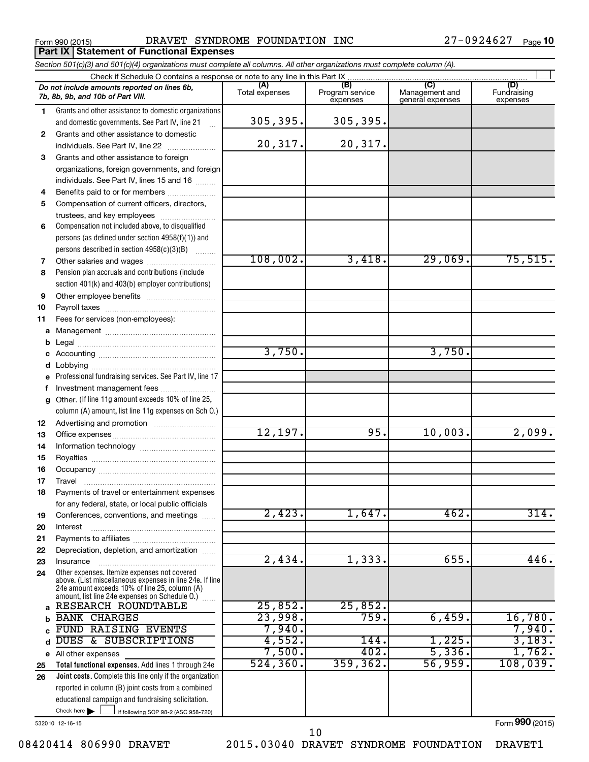**Part IX Statement of Functional Expenses** 

Form 990 (2015) **PDRAVET SYNDROME FOUNDATION INC**  $27-0924627$  Page

| Section 501(c)(3) and 501(c)(4) organizations must complete all columns. All other organizations must complete column (A). |                                                                                                                                                                                                             |                       |                                    |                                           |                                |  |  |  |  |
|----------------------------------------------------------------------------------------------------------------------------|-------------------------------------------------------------------------------------------------------------------------------------------------------------------------------------------------------------|-----------------------|------------------------------------|-------------------------------------------|--------------------------------|--|--|--|--|
|                                                                                                                            |                                                                                                                                                                                                             |                       |                                    |                                           |                                |  |  |  |  |
|                                                                                                                            | Do not include amounts reported on lines 6b,<br>7b, 8b, 9b, and 10b of Part VIII.                                                                                                                           | (A)<br>Total expenses | (B)<br>Program service<br>expenses | (C)<br>Management and<br>general expenses | (D)<br>Fundraising<br>expenses |  |  |  |  |
| 1.                                                                                                                         | Grants and other assistance to domestic organizations                                                                                                                                                       |                       |                                    |                                           |                                |  |  |  |  |
|                                                                                                                            | and domestic governments. See Part IV, line 21                                                                                                                                                              | 305,395.              | 305, 395.                          |                                           |                                |  |  |  |  |
| 2                                                                                                                          | Grants and other assistance to domestic                                                                                                                                                                     |                       |                                    |                                           |                                |  |  |  |  |
|                                                                                                                            | individuals. See Part IV, line 22                                                                                                                                                                           | 20,317.               | 20,317.                            |                                           |                                |  |  |  |  |
| 3                                                                                                                          | Grants and other assistance to foreign                                                                                                                                                                      |                       |                                    |                                           |                                |  |  |  |  |
|                                                                                                                            | organizations, foreign governments, and foreign                                                                                                                                                             |                       |                                    |                                           |                                |  |  |  |  |
|                                                                                                                            | individuals. See Part IV, lines 15 and 16                                                                                                                                                                   |                       |                                    |                                           |                                |  |  |  |  |
| 4                                                                                                                          | Benefits paid to or for members                                                                                                                                                                             |                       |                                    |                                           |                                |  |  |  |  |
| 5                                                                                                                          | Compensation of current officers, directors,                                                                                                                                                                |                       |                                    |                                           |                                |  |  |  |  |
|                                                                                                                            | trustees, and key employees                                                                                                                                                                                 |                       |                                    |                                           |                                |  |  |  |  |
| 6                                                                                                                          | Compensation not included above, to disqualified                                                                                                                                                            |                       |                                    |                                           |                                |  |  |  |  |
|                                                                                                                            | persons (as defined under section 4958(f)(1)) and                                                                                                                                                           |                       |                                    |                                           |                                |  |  |  |  |
|                                                                                                                            | persons described in section 4958(c)(3)(B)                                                                                                                                                                  |                       |                                    |                                           |                                |  |  |  |  |
| 7                                                                                                                          | Other salaries and wages                                                                                                                                                                                    | 108,002.              | 3,418.                             | 29,069.                                   | 75,515.                        |  |  |  |  |
| 8                                                                                                                          | Pension plan accruals and contributions (include                                                                                                                                                            |                       |                                    |                                           |                                |  |  |  |  |
|                                                                                                                            | section 401(k) and 403(b) employer contributions)                                                                                                                                                           |                       |                                    |                                           |                                |  |  |  |  |
| 9                                                                                                                          |                                                                                                                                                                                                             |                       |                                    |                                           |                                |  |  |  |  |
| 10                                                                                                                         |                                                                                                                                                                                                             |                       |                                    |                                           |                                |  |  |  |  |
| 11                                                                                                                         | Fees for services (non-employees):                                                                                                                                                                          |                       |                                    |                                           |                                |  |  |  |  |
| a                                                                                                                          |                                                                                                                                                                                                             |                       |                                    |                                           |                                |  |  |  |  |
| b                                                                                                                          |                                                                                                                                                                                                             |                       |                                    |                                           |                                |  |  |  |  |
|                                                                                                                            |                                                                                                                                                                                                             | 3,750.                |                                    | 3,750.                                    |                                |  |  |  |  |
| d                                                                                                                          |                                                                                                                                                                                                             |                       |                                    |                                           |                                |  |  |  |  |
|                                                                                                                            | Professional fundraising services. See Part IV, line 17                                                                                                                                                     |                       |                                    |                                           |                                |  |  |  |  |
|                                                                                                                            | Investment management fees                                                                                                                                                                                  |                       |                                    |                                           |                                |  |  |  |  |
| g                                                                                                                          | Other. (If line 11g amount exceeds 10% of line 25,                                                                                                                                                          |                       |                                    |                                           |                                |  |  |  |  |
|                                                                                                                            | column (A) amount, list line 11g expenses on Sch O.)                                                                                                                                                        |                       |                                    |                                           |                                |  |  |  |  |
| 12                                                                                                                         |                                                                                                                                                                                                             |                       |                                    |                                           |                                |  |  |  |  |
| 13                                                                                                                         |                                                                                                                                                                                                             | 12,197.               | 95.                                | 10,003.                                   | 2,099.                         |  |  |  |  |
| 14                                                                                                                         |                                                                                                                                                                                                             |                       |                                    |                                           |                                |  |  |  |  |
| 15                                                                                                                         |                                                                                                                                                                                                             |                       |                                    |                                           |                                |  |  |  |  |
| 16                                                                                                                         |                                                                                                                                                                                                             |                       |                                    |                                           |                                |  |  |  |  |
| 17                                                                                                                         |                                                                                                                                                                                                             |                       |                                    |                                           |                                |  |  |  |  |
| 18                                                                                                                         | Payments of travel or entertainment expenses                                                                                                                                                                |                       |                                    |                                           |                                |  |  |  |  |
|                                                                                                                            | for any federal, state, or local public officials                                                                                                                                                           |                       |                                    |                                           |                                |  |  |  |  |
| 19                                                                                                                         | Conferences, conventions, and meetings                                                                                                                                                                      | 2,423.                | 1,647.                             | 462.                                      | 314.                           |  |  |  |  |
| 20                                                                                                                         | Interest                                                                                                                                                                                                    |                       |                                    |                                           |                                |  |  |  |  |
| 21                                                                                                                         |                                                                                                                                                                                                             |                       |                                    |                                           |                                |  |  |  |  |
| 22                                                                                                                         | Depreciation, depletion, and amortization                                                                                                                                                                   |                       |                                    |                                           |                                |  |  |  |  |
| 23                                                                                                                         | Insurance                                                                                                                                                                                                   | 2,434.                | 1,333.                             | 655.                                      | 446.                           |  |  |  |  |
| 24                                                                                                                         | Other expenses. Itemize expenses not covered<br>above. (List miscellaneous expenses in line 24e. If line<br>24e amount exceeds 10% of line 25, column (A)<br>amount, list line 24e expenses on Schedule O.) |                       |                                    |                                           |                                |  |  |  |  |
|                                                                                                                            | a RESEARCH ROUNDTABLE                                                                                                                                                                                       | 25,852.               | 25,852.                            |                                           |                                |  |  |  |  |
| b                                                                                                                          | <b>BANK CHARGES</b>                                                                                                                                                                                         | 23,998.               | 759.                               | 6,459.                                    | 16,780.                        |  |  |  |  |
| C                                                                                                                          | FUND RAISING EVENTS                                                                                                                                                                                         | 7,940.                |                                    |                                           | 7,940.                         |  |  |  |  |
| d                                                                                                                          | DUES & SUBSCRIPTIONS                                                                                                                                                                                        | 4,552.                | 144.                               | 1,225.                                    | 3,183.                         |  |  |  |  |
|                                                                                                                            | e All other expenses                                                                                                                                                                                        | 7,500.                | 402.                               | 5,336.                                    | 1,762.                         |  |  |  |  |
| 25                                                                                                                         | Total functional expenses. Add lines 1 through 24e                                                                                                                                                          | 524, 360.             | 359, 362.                          | 56,959.                                   | 108,039.                       |  |  |  |  |
| 26                                                                                                                         | Joint costs. Complete this line only if the organization                                                                                                                                                    |                       |                                    |                                           |                                |  |  |  |  |
|                                                                                                                            | reported in column (B) joint costs from a combined                                                                                                                                                          |                       |                                    |                                           |                                |  |  |  |  |
|                                                                                                                            | educational campaign and fundraising solicitation.                                                                                                                                                          |                       |                                    |                                           |                                |  |  |  |  |
|                                                                                                                            | Check here $\blacktriangleright$<br>if following SOP 98-2 (ASC 958-720)                                                                                                                                     |                       |                                    |                                           |                                |  |  |  |  |

532010 12-16-15

Form (2015) **990**

08420414 806990 DRAVET 2015.03040 DRAVET SYNDROME FOUNDATION DRAVET1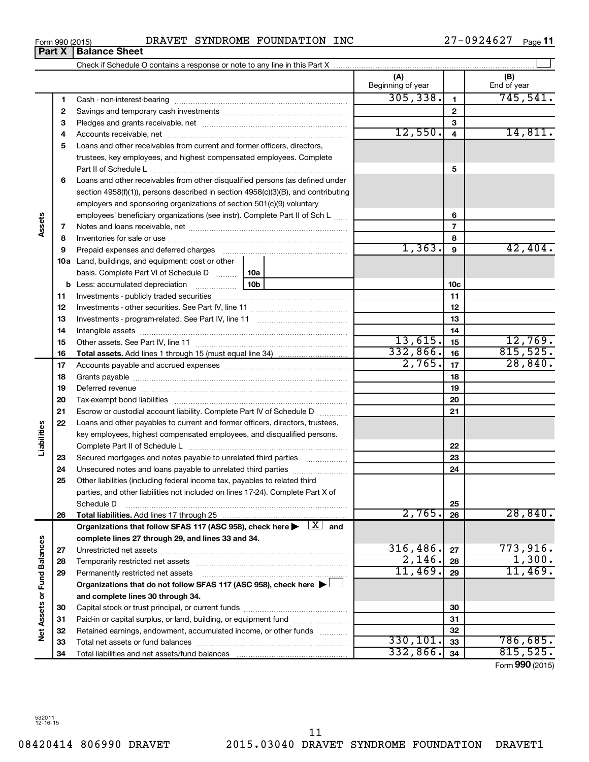Form 990 (2015) **PDRAVET SYNDROME FOUNDATION INC**  $27-0924627$   $_{\text{Page}}$ 

27-0924627 Page 11

|                   |          |                                                                                                                                                               |     | (A)<br>Beginning of year |                         | (B)<br>End of year |
|-------------------|----------|---------------------------------------------------------------------------------------------------------------------------------------------------------------|-----|--------------------------|-------------------------|--------------------|
|                   | 1        |                                                                                                                                                               |     | 305, 338.                | $\mathbf{1}$            | 745, 541.          |
|                   | 2        |                                                                                                                                                               |     |                          | $\mathbf{2}$            |                    |
|                   | З        |                                                                                                                                                               |     |                          | 3                       |                    |
|                   | 4        |                                                                                                                                                               |     | 12,550.                  | $\overline{\mathbf{4}}$ | 14,811.            |
|                   | 5        | Loans and other receivables from current and former officers, directors,                                                                                      |     |                          |                         |                    |
|                   |          | trustees, key employees, and highest compensated employees. Complete                                                                                          |     |                          |                         |                    |
|                   |          | Part II of Schedule L                                                                                                                                         |     |                          | 5                       |                    |
|                   | 6        | Loans and other receivables from other disqualified persons (as defined under                                                                                 |     |                          |                         |                    |
|                   |          | section $4958(f)(1)$ , persons described in section $4958(c)(3)(B)$ , and contributing                                                                        |     |                          |                         |                    |
| ssets             |          | employers and sponsoring organizations of section 501(c)(9) voluntary                                                                                         |     |                          |                         |                    |
|                   |          | employees' beneficiary organizations (see instr). Complete Part II of Sch L                                                                                   |     |                          | 6                       |                    |
|                   | 7        |                                                                                                                                                               |     |                          | 7                       |                    |
|                   | 8        |                                                                                                                                                               |     |                          | 8                       |                    |
|                   | 9        |                                                                                                                                                               |     | 1,363.                   | 9                       | 42,404.            |
|                   |          | <b>10a</b> Land, buildings, and equipment: cost or other                                                                                                      |     |                          |                         |                    |
|                   |          | basis. Complete Part VI of Schedule D                                                                                                                         | 10a |                          |                         |                    |
|                   |          |                                                                                                                                                               |     |                          | 10c                     |                    |
|                   | 11       |                                                                                                                                                               |     |                          | 11                      |                    |
|                   | 12       |                                                                                                                                                               |     |                          | 12                      |                    |
|                   | 13       |                                                                                                                                                               |     |                          | 13                      |                    |
|                   | 14       |                                                                                                                                                               |     |                          | 14                      |                    |
|                   | 15       |                                                                                                                                                               |     | 13,615.                  | 15                      | 12,769.            |
|                   | 16       |                                                                                                                                                               |     | 332,866.                 | 16                      | 815,525.           |
|                   | 17       |                                                                                                                                                               |     | 2,765.                   | 17                      | 28,840.            |
|                   | 18       |                                                                                                                                                               |     |                          | 18                      |                    |
|                   | 19       |                                                                                                                                                               |     |                          | 19                      |                    |
|                   | 20       |                                                                                                                                                               |     |                          | 20                      |                    |
|                   | 21       | Escrow or custodial account liability. Complete Part IV of Schedule D                                                                                         |     |                          | 21                      |                    |
| iabilities        | 22       | Loans and other payables to current and former officers, directors, trustees,                                                                                 |     |                          |                         |                    |
|                   |          | key employees, highest compensated employees, and disqualified persons.                                                                                       |     |                          |                         |                    |
|                   |          |                                                                                                                                                               |     |                          | 22                      |                    |
|                   | 23       | Secured mortgages and notes payable to unrelated third parties                                                                                                |     |                          | 23                      |                    |
|                   | 24<br>25 | Unsecured notes and loans payable to unrelated third parties                                                                                                  |     |                          | 24                      |                    |
|                   |          | Other liabilities (including federal income tax, payables to related third<br>parties, and other liabilities not included on lines 17-24). Complete Part X of |     |                          |                         |                    |
|                   |          | Schedule D                                                                                                                                                    |     |                          | 25                      |                    |
|                   | 26       | Total liabilities. Add lines 17 through 25                                                                                                                    |     | 2,765.                   | 26                      | 28,840.            |
|                   |          | Organizations that follow SFAS 117 (ASC 958), check here $\blacktriangleright \begin{array}{c} \boxed{X} \\ \end{array}$ and                                  |     |                          |                         |                    |
|                   |          | complete lines 27 through 29, and lines 33 and 34.                                                                                                            |     |                          |                         |                    |
|                   | 27       |                                                                                                                                                               |     | 316,486.                 | 27                      | 773,916.           |
| or Fund Balances  | 28       |                                                                                                                                                               |     | 2,146.                   | 28                      | 1,300.             |
|                   | 29       | Permanently restricted net assets                                                                                                                             |     | 11,469.                  | 29                      | 11,469.            |
|                   |          | Organizations that do not follow SFAS 117 (ASC 958), check here ▶                                                                                             |     |                          |                         |                    |
|                   |          | and complete lines 30 through 34.                                                                                                                             |     |                          |                         |                    |
|                   | 30       |                                                                                                                                                               |     |                          | 30                      |                    |
|                   | 31       | Paid-in or capital surplus, or land, building, or equipment fund                                                                                              |     |                          | 31                      |                    |
| <b>Net Assets</b> | 32       | Retained earnings, endowment, accumulated income, or other funds                                                                                              |     |                          | 32                      |                    |
|                   | 33       |                                                                                                                                                               |     | 330, 101.                | 33                      | 786,685.           |
|                   | 34       |                                                                                                                                                               |     | 332,866.                 | 34                      | 815,525.           |
|                   |          |                                                                                                                                                               |     |                          |                         | Form 990 (2015)    |

## **Part X Balance Sheet**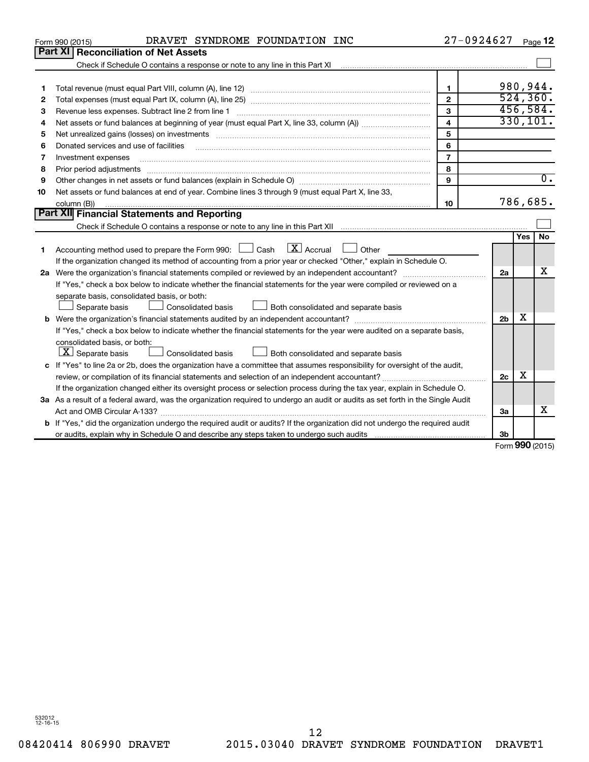|    | DRAVET SYNDROME FOUNDATION INC<br>Form 990 (2015)                                                                                                                                                                             | $27 - 0924627$          |                |            | Page 12             |
|----|-------------------------------------------------------------------------------------------------------------------------------------------------------------------------------------------------------------------------------|-------------------------|----------------|------------|---------------------|
|    | Part XI<br><b>Reconciliation of Net Assets</b>                                                                                                                                                                                |                         |                |            |                     |
|    |                                                                                                                                                                                                                               |                         |                |            |                     |
|    |                                                                                                                                                                                                                               |                         |                |            |                     |
| 1  |                                                                                                                                                                                                                               | $\mathbf{1}$            |                |            | 980,944.            |
| 2  |                                                                                                                                                                                                                               | $\overline{2}$          |                |            | 524, 360.           |
| з  | Revenue less expenses. Subtract line 2 from line 1                                                                                                                                                                            | 3                       |                |            | 456,584.            |
| 4  |                                                                                                                                                                                                                               | $\overline{\mathbf{4}}$ |                |            | 330, 101.           |
| 5  | Net unrealized gains (losses) on investments [11] matter in the content of the state of the state of the state of the state of the state of the state of the state of the state of the state of the state of the state of the | 5                       |                |            |                     |
| 6  | Donated services and use of facilities                                                                                                                                                                                        | 6                       |                |            |                     |
| 7  | Investment expenses                                                                                                                                                                                                           | $\overline{7}$          |                |            |                     |
| 8  |                                                                                                                                                                                                                               | 8                       |                |            |                     |
| 9  |                                                                                                                                                                                                                               | 9                       |                |            | $\overline{0}$ .    |
| 10 | Net assets or fund balances at end of year. Combine lines 3 through 9 (must equal Part X, line 33,                                                                                                                            |                         |                |            |                     |
|    | column (B))                                                                                                                                                                                                                   | 10                      |                |            | 786,685.            |
|    | Part XII Financial Statements and Reporting                                                                                                                                                                                   |                         |                |            |                     |
|    |                                                                                                                                                                                                                               |                         |                |            |                     |
|    |                                                                                                                                                                                                                               |                         |                | <b>Yes</b> | <b>No</b>           |
| 1  | $\lfloor \mathbf{X} \rfloor$ Accrual<br>Accounting method used to prepare the Form 990: $\Box$ Cash<br>Other                                                                                                                  |                         |                |            |                     |
|    | If the organization changed its method of accounting from a prior year or checked "Other," explain in Schedule O.                                                                                                             |                         |                |            |                     |
|    |                                                                                                                                                                                                                               |                         | 2a             |            | x                   |
|    | If "Yes," check a box below to indicate whether the financial statements for the year were compiled or reviewed on a                                                                                                          |                         |                |            |                     |
|    | separate basis, consolidated basis, or both:                                                                                                                                                                                  |                         |                |            |                     |
|    | Both consolidated and separate basis<br>Separate basis<br><b>Consolidated basis</b>                                                                                                                                           |                         |                |            |                     |
|    |                                                                                                                                                                                                                               |                         | 2 <sub>b</sub> | х          |                     |
|    | If "Yes," check a box below to indicate whether the financial statements for the year were audited on a separate basis,                                                                                                       |                         |                |            |                     |
|    | consolidated basis, or both:                                                                                                                                                                                                  |                         |                |            |                     |
|    | $ \mathbf{X} $ Separate basis<br>Consolidated basis<br>Both consolidated and separate basis                                                                                                                                   |                         |                |            |                     |
|    | c If "Yes" to line 2a or 2b, does the organization have a committee that assumes responsibility for oversight of the audit,                                                                                                   |                         |                |            |                     |
|    |                                                                                                                                                                                                                               |                         | 2c             | х          |                     |
|    | If the organization changed either its oversight process or selection process during the tax year, explain in Schedule O.                                                                                                     |                         |                |            |                     |
|    | 3a As a result of a federal award, was the organization required to undergo an audit or audits as set forth in the Single Audit                                                                                               |                         |                |            |                     |
|    | Act and OMB Circular A-133?                                                                                                                                                                                                   |                         | За             |            | x                   |
|    | <b>b</b> If "Yes," did the organization undergo the required audit or audits? If the organization did not undergo the required audit                                                                                          |                         |                |            |                     |
|    |                                                                                                                                                                                                                               |                         | 3b             |            | $000 \text{ hours}$ |
|    |                                                                                                                                                                                                                               |                         |                |            |                     |

Form (2015) **990**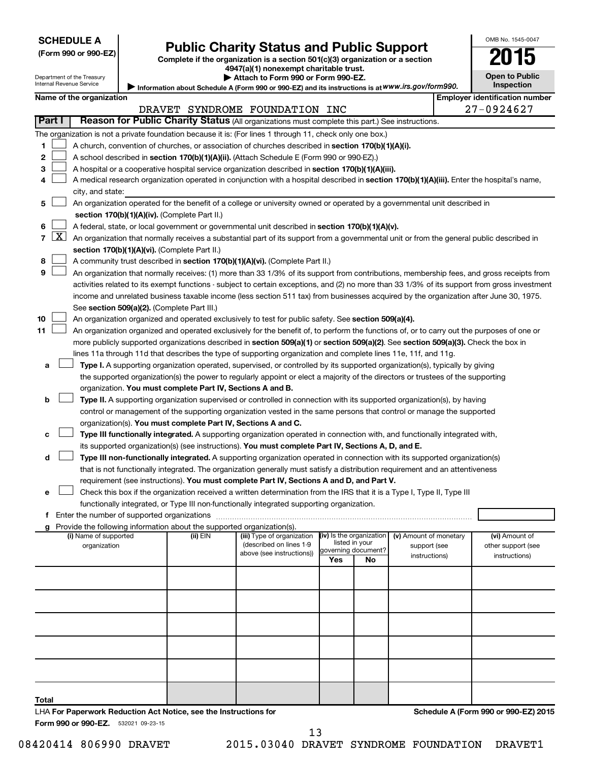| (Form 990 or 990-EZ |  |  |  |  |  |
|---------------------|--|--|--|--|--|
|---------------------|--|--|--|--|--|

# Form 990 or 990-EZ) **Public Charity Status and Public Support**<br>
Complete if the organization is a section 501(c)(3) organization or a section<br> **2015**

**4947(a)(1) nonexempt charitable trust.**

|                                                                                                                                                           | Department of the Treasury<br>Internal Revenue Service                                                                                                                                                                                               |                          |  | Attach to Form 990 or Form 990-EZ.<br>Information about Schedule A (Form 990 or 990-EZ) and its instructions is at WWW.irs.gov/form990. |                                                                                                                                                   |                                       |    |                        |  | <b>Open to Public</b><br>Inspection   |
|-----------------------------------------------------------------------------------------------------------------------------------------------------------|------------------------------------------------------------------------------------------------------------------------------------------------------------------------------------------------------------------------------------------------------|--------------------------|--|-----------------------------------------------------------------------------------------------------------------------------------------|---------------------------------------------------------------------------------------------------------------------------------------------------|---------------------------------------|----|------------------------|--|---------------------------------------|
|                                                                                                                                                           |                                                                                                                                                                                                                                                      | Name of the organization |  |                                                                                                                                         |                                                                                                                                                   |                                       |    |                        |  | <b>Employer identification number</b> |
|                                                                                                                                                           |                                                                                                                                                                                                                                                      |                          |  |                                                                                                                                         | DRAVET SYNDROME FOUNDATION INC                                                                                                                    |                                       |    |                        |  | 27-0924627                            |
|                                                                                                                                                           | Part I                                                                                                                                                                                                                                               |                          |  |                                                                                                                                         | Reason for Public Charity Status (All organizations must complete this part.) See instructions.                                                   |                                       |    |                        |  |                                       |
|                                                                                                                                                           |                                                                                                                                                                                                                                                      |                          |  |                                                                                                                                         | The organization is not a private foundation because it is: (For lines 1 through 11, check only one box.)                                         |                                       |    |                        |  |                                       |
| 1.                                                                                                                                                        |                                                                                                                                                                                                                                                      |                          |  |                                                                                                                                         | A church, convention of churches, or association of churches described in section 170(b)(1)(A)(i).                                                |                                       |    |                        |  |                                       |
| 2                                                                                                                                                         |                                                                                                                                                                                                                                                      |                          |  |                                                                                                                                         | A school described in section 170(b)(1)(A)(ii). (Attach Schedule E (Form 990 or 990-EZ).)                                                         |                                       |    |                        |  |                                       |
| 3                                                                                                                                                         |                                                                                                                                                                                                                                                      |                          |  |                                                                                                                                         | A hospital or a cooperative hospital service organization described in section 170(b)(1)(A)(iii).                                                 |                                       |    |                        |  |                                       |
| 4                                                                                                                                                         |                                                                                                                                                                                                                                                      |                          |  |                                                                                                                                         | A medical research organization operated in conjunction with a hospital described in section 170(b)(1)(A)(iii). Enter the hospital's name,        |                                       |    |                        |  |                                       |
|                                                                                                                                                           |                                                                                                                                                                                                                                                      | city, and state:         |  |                                                                                                                                         |                                                                                                                                                   |                                       |    |                        |  |                                       |
| 5.                                                                                                                                                        |                                                                                                                                                                                                                                                      |                          |  |                                                                                                                                         |                                                                                                                                                   |                                       |    |                        |  |                                       |
|                                                                                                                                                           | An organization operated for the benefit of a college or university owned or operated by a governmental unit described in<br>section 170(b)(1)(A)(iv). (Complete Part II.)                                                                           |                          |  |                                                                                                                                         |                                                                                                                                                   |                                       |    |                        |  |                                       |
| 6.                                                                                                                                                        |                                                                                                                                                                                                                                                      |                          |  |                                                                                                                                         | A federal, state, or local government or governmental unit described in section 170(b)(1)(A)(v).                                                  |                                       |    |                        |  |                                       |
|                                                                                                                                                           |                                                                                                                                                                                                                                                      |                          |  |                                                                                                                                         | 7 $ X $ An organization that normally receives a substantial part of its support from a governmental unit or from the general public described in |                                       |    |                        |  |                                       |
|                                                                                                                                                           |                                                                                                                                                                                                                                                      |                          |  | section 170(b)(1)(A)(vi). (Complete Part II.)                                                                                           |                                                                                                                                                   |                                       |    |                        |  |                                       |
| 8                                                                                                                                                         |                                                                                                                                                                                                                                                      |                          |  |                                                                                                                                         | A community trust described in section 170(b)(1)(A)(vi). (Complete Part II.)                                                                      |                                       |    |                        |  |                                       |
| 9                                                                                                                                                         |                                                                                                                                                                                                                                                      |                          |  |                                                                                                                                         | An organization that normally receives: (1) more than 33 1/3% of its support from contributions, membership fees, and gross receipts from         |                                       |    |                        |  |                                       |
|                                                                                                                                                           |                                                                                                                                                                                                                                                      |                          |  |                                                                                                                                         | activities related to its exempt functions - subject to certain exceptions, and (2) no more than 33 1/3% of its support from gross investment     |                                       |    |                        |  |                                       |
|                                                                                                                                                           |                                                                                                                                                                                                                                                      |                          |  |                                                                                                                                         | income and unrelated business taxable income (less section 511 tax) from businesses acquired by the organization after June 30, 1975.             |                                       |    |                        |  |                                       |
|                                                                                                                                                           |                                                                                                                                                                                                                                                      |                          |  |                                                                                                                                         |                                                                                                                                                   |                                       |    |                        |  |                                       |
| See section 509(a)(2). (Complete Part III.)<br>10<br>An organization organized and operated exclusively to test for public safety. See section 509(a)(4). |                                                                                                                                                                                                                                                      |                          |  |                                                                                                                                         |                                                                                                                                                   |                                       |    |                        |  |                                       |
| 11                                                                                                                                                        |                                                                                                                                                                                                                                                      |                          |  |                                                                                                                                         | An organization organized and operated exclusively for the benefit of, to perform the functions of, or to carry out the purposes of one or        |                                       |    |                        |  |                                       |
|                                                                                                                                                           |                                                                                                                                                                                                                                                      |                          |  |                                                                                                                                         |                                                                                                                                                   |                                       |    |                        |  |                                       |
|                                                                                                                                                           | more publicly supported organizations described in section 509(a)(1) or section 509(a)(2). See section 509(a)(3). Check the box in<br>lines 11a through 11d that describes the type of supporting organization and complete lines 11e, 11f, and 11g. |                          |  |                                                                                                                                         |                                                                                                                                                   |                                       |    |                        |  |                                       |
| а                                                                                                                                                         |                                                                                                                                                                                                                                                      |                          |  |                                                                                                                                         | Type I. A supporting organization operated, supervised, or controlled by its supported organization(s), typically by giving                       |                                       |    |                        |  |                                       |
|                                                                                                                                                           |                                                                                                                                                                                                                                                      |                          |  |                                                                                                                                         | the supported organization(s) the power to regularly appoint or elect a majority of the directors or trustees of the supporting                   |                                       |    |                        |  |                                       |
|                                                                                                                                                           |                                                                                                                                                                                                                                                      |                          |  | organization. You must complete Part IV, Sections A and B.                                                                              |                                                                                                                                                   |                                       |    |                        |  |                                       |
| b                                                                                                                                                         |                                                                                                                                                                                                                                                      |                          |  |                                                                                                                                         | Type II. A supporting organization supervised or controlled in connection with its supported organization(s), by having                           |                                       |    |                        |  |                                       |
|                                                                                                                                                           |                                                                                                                                                                                                                                                      |                          |  |                                                                                                                                         | control or management of the supporting organization vested in the same persons that control or manage the supported                              |                                       |    |                        |  |                                       |
|                                                                                                                                                           |                                                                                                                                                                                                                                                      |                          |  | organization(s). You must complete Part IV, Sections A and C.                                                                           |                                                                                                                                                   |                                       |    |                        |  |                                       |
| с                                                                                                                                                         |                                                                                                                                                                                                                                                      |                          |  |                                                                                                                                         | Type III functionally integrated. A supporting organization operated in connection with, and functionally integrated with,                        |                                       |    |                        |  |                                       |
|                                                                                                                                                           |                                                                                                                                                                                                                                                      |                          |  |                                                                                                                                         | its supported organization(s) (see instructions). You must complete Part IV, Sections A, D, and E.                                                |                                       |    |                        |  |                                       |
| d                                                                                                                                                         |                                                                                                                                                                                                                                                      |                          |  |                                                                                                                                         | Type III non-functionally integrated. A supporting organization operated in connection with its supported organization(s)                         |                                       |    |                        |  |                                       |
|                                                                                                                                                           |                                                                                                                                                                                                                                                      |                          |  |                                                                                                                                         | that is not functionally integrated. The organization generally must satisfy a distribution requirement and an attentiveness                      |                                       |    |                        |  |                                       |
|                                                                                                                                                           |                                                                                                                                                                                                                                                      |                          |  |                                                                                                                                         | requirement (see instructions). You must complete Part IV, Sections A and D, and Part V.                                                          |                                       |    |                        |  |                                       |
| е                                                                                                                                                         |                                                                                                                                                                                                                                                      |                          |  |                                                                                                                                         | Check this box if the organization received a written determination from the IRS that it is a Type I, Type II, Type III                           |                                       |    |                        |  |                                       |
|                                                                                                                                                           |                                                                                                                                                                                                                                                      |                          |  |                                                                                                                                         | functionally integrated, or Type III non-functionally integrated supporting organization.                                                         |                                       |    |                        |  |                                       |
|                                                                                                                                                           |                                                                                                                                                                                                                                                      |                          |  |                                                                                                                                         | f Enter the number of supported organizations [11] [12] Enter the number of supported organizations [11] [12] $\frac{1}{2}$                       |                                       |    |                        |  |                                       |
|                                                                                                                                                           |                                                                                                                                                                                                                                                      |                          |  | g Provide the following information about the supported organization(s).                                                                |                                                                                                                                                   |                                       |    |                        |  |                                       |
|                                                                                                                                                           |                                                                                                                                                                                                                                                      | (i) Name of supported    |  | (ii) EIN                                                                                                                                | (iii) Type of organization                                                                                                                        | (iv) Is the organization              |    | (v) Amount of monetary |  | (vi) Amount of                        |
|                                                                                                                                                           |                                                                                                                                                                                                                                                      | organization             |  |                                                                                                                                         | (described on lines 1-9                                                                                                                           | listed in your<br>governing document? |    | support (see           |  | other support (see                    |
|                                                                                                                                                           |                                                                                                                                                                                                                                                      |                          |  |                                                                                                                                         | above (see instructions))                                                                                                                         | Yes                                   | No | instructions)          |  | instructions)                         |
|                                                                                                                                                           |                                                                                                                                                                                                                                                      |                          |  |                                                                                                                                         |                                                                                                                                                   |                                       |    |                        |  |                                       |
|                                                                                                                                                           |                                                                                                                                                                                                                                                      |                          |  |                                                                                                                                         |                                                                                                                                                   |                                       |    |                        |  |                                       |
|                                                                                                                                                           |                                                                                                                                                                                                                                                      |                          |  |                                                                                                                                         |                                                                                                                                                   |                                       |    |                        |  |                                       |
|                                                                                                                                                           |                                                                                                                                                                                                                                                      |                          |  |                                                                                                                                         |                                                                                                                                                   |                                       |    |                        |  |                                       |
|                                                                                                                                                           |                                                                                                                                                                                                                                                      |                          |  |                                                                                                                                         |                                                                                                                                                   |                                       |    |                        |  |                                       |
|                                                                                                                                                           |                                                                                                                                                                                                                                                      |                          |  |                                                                                                                                         |                                                                                                                                                   |                                       |    |                        |  |                                       |
|                                                                                                                                                           |                                                                                                                                                                                                                                                      |                          |  |                                                                                                                                         |                                                                                                                                                   |                                       |    |                        |  |                                       |
|                                                                                                                                                           |                                                                                                                                                                                                                                                      |                          |  |                                                                                                                                         |                                                                                                                                                   |                                       |    |                        |  |                                       |

**Total**

Form 990 or 990-EZ. 532021 09-23-15 LHA **For Paperwork Reduction Act Notice, see the Instructions for**  OMB No. 1545-0047

13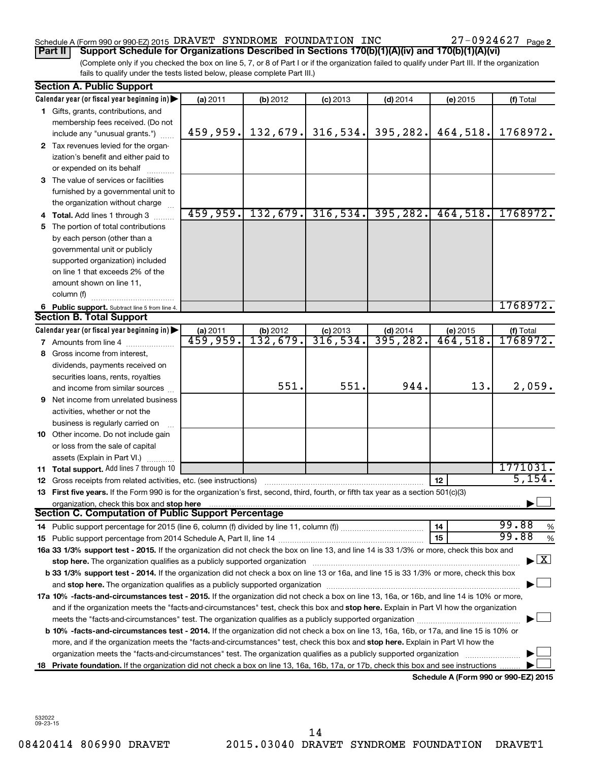### Schedule A (Form 990 or 990-EZ) 2015 Page DRAVET SYNDROME FOUNDATION INC 27-0924627

27-0924627 Page 2

(Complete only if you checked the box on line 5, 7, or 8 of Part I or if the organization failed to qualify under Part III. If the organization fails to qualify under the tests listed below, please complete Part III.) **Part II Support Schedule for Organizations Described in Sections 170(b)(1)(A)(iv) and 170(b)(1)(A)(vi)**

| <b>Section A. Public Support</b> |                                                                                                                                                                                                                                                            |                        |                          |            |                      |                                      |                                          |  |  |
|----------------------------------|------------------------------------------------------------------------------------------------------------------------------------------------------------------------------------------------------------------------------------------------------------|------------------------|--------------------------|------------|----------------------|--------------------------------------|------------------------------------------|--|--|
|                                  | Calendar year (or fiscal year beginning in)                                                                                                                                                                                                                | (a) 2011               | (b) 2012                 | $(c)$ 2013 | $(d)$ 2014           | (e) 2015                             | (f) Total                                |  |  |
|                                  | 1 Gifts, grants, contributions, and                                                                                                                                                                                                                        |                        |                          |            |                      |                                      |                                          |  |  |
|                                  | membership fees received. (Do not                                                                                                                                                                                                                          |                        |                          |            |                      |                                      |                                          |  |  |
|                                  | include any "unusual grants.")                                                                                                                                                                                                                             | 459,959.               | 132,679.                 | 316, 534.  | 395,282.             | 464,518.                             | 1768972.                                 |  |  |
|                                  | 2 Tax revenues levied for the organ-                                                                                                                                                                                                                       |                        |                          |            |                      |                                      |                                          |  |  |
|                                  | ization's benefit and either paid to                                                                                                                                                                                                                       |                        |                          |            |                      |                                      |                                          |  |  |
|                                  | or expended on its behalf                                                                                                                                                                                                                                  |                        |                          |            |                      |                                      |                                          |  |  |
|                                  | 3 The value of services or facilities                                                                                                                                                                                                                      |                        |                          |            |                      |                                      |                                          |  |  |
|                                  | furnished by a governmental unit to                                                                                                                                                                                                                        |                        |                          |            |                      |                                      |                                          |  |  |
|                                  | the organization without charge                                                                                                                                                                                                                            |                        |                          |            |                      |                                      |                                          |  |  |
|                                  | 4 Total. Add lines 1 through 3                                                                                                                                                                                                                             | 459,959.               | 132,679.                 | 316,534.   | 395, 282.            | 464,518.                             | 1768972.                                 |  |  |
| 5.                               | The portion of total contributions                                                                                                                                                                                                                         |                        |                          |            |                      |                                      |                                          |  |  |
|                                  | by each person (other than a                                                                                                                                                                                                                               |                        |                          |            |                      |                                      |                                          |  |  |
|                                  | governmental unit or publicly                                                                                                                                                                                                                              |                        |                          |            |                      |                                      |                                          |  |  |
|                                  | supported organization) included                                                                                                                                                                                                                           |                        |                          |            |                      |                                      |                                          |  |  |
|                                  | on line 1 that exceeds 2% of the                                                                                                                                                                                                                           |                        |                          |            |                      |                                      |                                          |  |  |
|                                  | amount shown on line 11,                                                                                                                                                                                                                                   |                        |                          |            |                      |                                      |                                          |  |  |
|                                  | column (f)                                                                                                                                                                                                                                                 |                        |                          |            |                      |                                      |                                          |  |  |
|                                  | 6 Public support. Subtract line 5 from line 4.                                                                                                                                                                                                             |                        |                          |            |                      |                                      | 1768972.                                 |  |  |
|                                  | <b>Section B. Total Support</b>                                                                                                                                                                                                                            |                        |                          |            |                      |                                      |                                          |  |  |
|                                  | Calendar year (or fiscal year beginning in)                                                                                                                                                                                                                | (a) 2011               |                          | $(c)$ 2013 | $(d)$ 2014           | (e) 2015                             | (f) Total                                |  |  |
|                                  | <b>7</b> Amounts from line 4                                                                                                                                                                                                                               | $\overline{459,959}$ . | $\frac{132}{132}$ , 679. | 316,534.   | $\overline{395,282}$ | 464,518.                             | <u> 1768972.</u>                         |  |  |
| 8                                | Gross income from interest,                                                                                                                                                                                                                                |                        |                          |            |                      |                                      |                                          |  |  |
|                                  | dividends, payments received on                                                                                                                                                                                                                            |                        |                          |            |                      |                                      |                                          |  |  |
|                                  | securities loans, rents, royalties                                                                                                                                                                                                                         |                        |                          |            |                      |                                      |                                          |  |  |
|                                  | and income from similar sources                                                                                                                                                                                                                            |                        | 551.                     | 551.       | 944.                 | 13.                                  | 2,059.                                   |  |  |
| 9                                | Net income from unrelated business                                                                                                                                                                                                                         |                        |                          |            |                      |                                      |                                          |  |  |
|                                  | activities, whether or not the                                                                                                                                                                                                                             |                        |                          |            |                      |                                      |                                          |  |  |
|                                  | business is regularly carried on                                                                                                                                                                                                                           |                        |                          |            |                      |                                      |                                          |  |  |
|                                  | 10 Other income. Do not include gain                                                                                                                                                                                                                       |                        |                          |            |                      |                                      |                                          |  |  |
|                                  | or loss from the sale of capital                                                                                                                                                                                                                           |                        |                          |            |                      |                                      |                                          |  |  |
|                                  | assets (Explain in Part VI.)                                                                                                                                                                                                                               |                        |                          |            |                      |                                      |                                          |  |  |
|                                  | 11 Total support. Add lines 7 through 10                                                                                                                                                                                                                   |                        |                          |            |                      |                                      | 1771031.                                 |  |  |
|                                  | <b>12</b> Gross receipts from related activities, etc. (see instructions)                                                                                                                                                                                  |                        |                          |            |                      | 12                                   | 5,154.                                   |  |  |
|                                  | 13 First five years. If the Form 990 is for the organization's first, second, third, fourth, or fifth tax year as a section 501(c)(3)                                                                                                                      |                        |                          |            |                      |                                      |                                          |  |  |
|                                  | organization, check this box and stop here                                                                                                                                                                                                                 |                        |                          |            |                      |                                      |                                          |  |  |
|                                  | Section C. Computation of Public Support Percentage                                                                                                                                                                                                        |                        |                          |            |                      |                                      |                                          |  |  |
|                                  |                                                                                                                                                                                                                                                            |                        |                          |            |                      | 14                                   | 99.88<br>%                               |  |  |
|                                  |                                                                                                                                                                                                                                                            |                        |                          |            |                      | 15                                   | 99.88<br>%                               |  |  |
|                                  | 16a 33 1/3% support test - 2015. If the organization did not check the box on line 13, and line 14 is 33 1/3% or more, check this box and                                                                                                                  |                        |                          |            |                      |                                      |                                          |  |  |
|                                  | stop here. The organization qualifies as a publicly supported organization manufaction manufacture or the organization                                                                                                                                     |                        |                          |            |                      |                                      | $\blacktriangleright$ $\boxed{\text{X}}$ |  |  |
|                                  | b 33 1/3% support test - 2014. If the organization did not check a box on line 13 or 16a, and line 15 is 33 1/3% or more, check this box                                                                                                                   |                        |                          |            |                      |                                      |                                          |  |  |
|                                  |                                                                                                                                                                                                                                                            |                        |                          |            |                      |                                      |                                          |  |  |
|                                  | 17a 10% -facts-and-circumstances test - 2015. If the organization did not check a box on line 13, 16a, or 16b, and line 14 is 10% or more,                                                                                                                 |                        |                          |            |                      |                                      |                                          |  |  |
|                                  | and if the organization meets the "facts-and-circumstances" test, check this box and stop here. Explain in Part VI how the organization                                                                                                                    |                        |                          |            |                      |                                      |                                          |  |  |
|                                  |                                                                                                                                                                                                                                                            |                        |                          |            |                      |                                      |                                          |  |  |
|                                  | <b>b 10%</b> -facts-and-circumstances test - 2014. If the organization did not check a box on line 13, 16a, 16b, or 17a, and line 15 is 10% or                                                                                                             |                        |                          |            |                      |                                      |                                          |  |  |
|                                  |                                                                                                                                                                                                                                                            |                        |                          |            |                      |                                      |                                          |  |  |
|                                  | more, and if the organization meets the "facts-and-circumstances" test, check this box and stop here. Explain in Part VI how the<br>organization meets the "facts-and-circumstances" test. The organization qualifies as a publicly supported organization |                        |                          |            |                      |                                      |                                          |  |  |
| 18                               | Private foundation. If the organization did not check a box on line 13, 16a, 16b, 17a, or 17b, check this box and see instructions                                                                                                                         |                        |                          |            |                      |                                      |                                          |  |  |
|                                  |                                                                                                                                                                                                                                                            |                        |                          |            |                      | Schedule A (Form 990 or 990-F7) 2015 |                                          |  |  |

**Schedule A (Form 990 or 990-EZ) 2015**

532022 09-23-15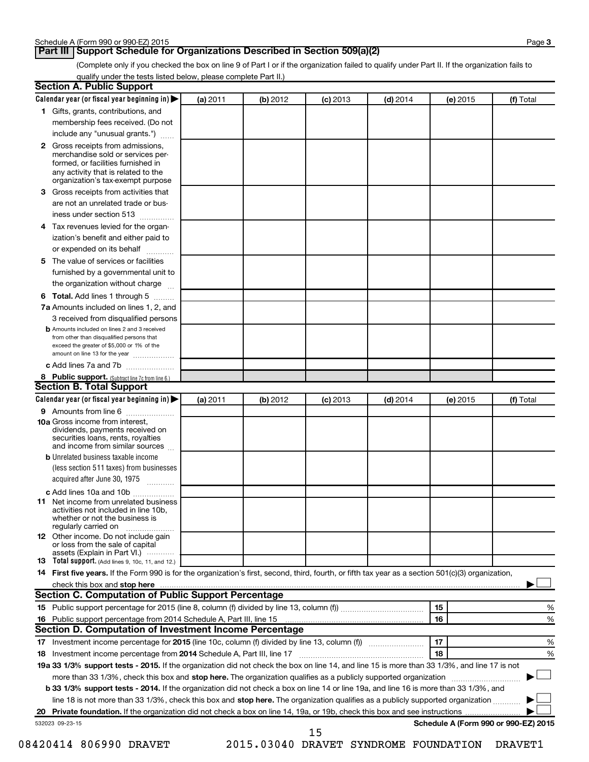## **Part III Support Schedule for Organizations Described in Section 509(a)(2)**

(Complete only if you checked the box on line 9 of Part I or if the organization failed to qualify under Part II. If the organization fails to qualify under the tests listed below, please complete Part II.)

| <b>Section A. Public Support</b>                                                                                                                                                         |          |          |            |            |          |                                      |
|------------------------------------------------------------------------------------------------------------------------------------------------------------------------------------------|----------|----------|------------|------------|----------|--------------------------------------|
| Calendar year (or fiscal year beginning in)                                                                                                                                              | (a) 2011 | (b) 2012 | $(c)$ 2013 | $(d)$ 2014 | (e) 2015 | (f) Total                            |
| 1 Gifts, grants, contributions, and                                                                                                                                                      |          |          |            |            |          |                                      |
| membership fees received. (Do not                                                                                                                                                        |          |          |            |            |          |                                      |
| include any "unusual grants.")                                                                                                                                                           |          |          |            |            |          |                                      |
| 2 Gross receipts from admissions,<br>merchandise sold or services per-<br>formed, or facilities furnished in<br>any activity that is related to the<br>organization's tax-exempt purpose |          |          |            |            |          |                                      |
| 3 Gross receipts from activities that                                                                                                                                                    |          |          |            |            |          |                                      |
| are not an unrelated trade or bus-                                                                                                                                                       |          |          |            |            |          |                                      |
| iness under section 513                                                                                                                                                                  |          |          |            |            |          |                                      |
| 4 Tax revenues levied for the organ-                                                                                                                                                     |          |          |            |            |          |                                      |
| ization's benefit and either paid to                                                                                                                                                     |          |          |            |            |          |                                      |
| or expended on its behalf                                                                                                                                                                |          |          |            |            |          |                                      |
| 5 The value of services or facilities                                                                                                                                                    |          |          |            |            |          |                                      |
| furnished by a governmental unit to                                                                                                                                                      |          |          |            |            |          |                                      |
| the organization without charge                                                                                                                                                          |          |          |            |            |          |                                      |
| 6 Total. Add lines 1 through 5                                                                                                                                                           |          |          |            |            |          |                                      |
| 7a Amounts included on lines 1, 2, and                                                                                                                                                   |          |          |            |            |          |                                      |
| 3 received from disqualified persons                                                                                                                                                     |          |          |            |            |          |                                      |
| <b>b</b> Amounts included on lines 2 and 3 received<br>from other than disqualified persons that<br>exceed the greater of \$5,000 or 1% of the<br>amount on line 13 for the year         |          |          |            |            |          |                                      |
| c Add lines 7a and 7b                                                                                                                                                                    |          |          |            |            |          |                                      |
| 8 Public support. (Subtract line 7c from line 6.)<br><b>Section B. Total Support</b>                                                                                                     |          |          |            |            |          |                                      |
| Calendar year (or fiscal year beginning in)                                                                                                                                              | (a) 2011 | (b) 2012 | $(c)$ 2013 | $(d)$ 2014 | (e) 2015 | (f) Total                            |
| 9 Amounts from line 6                                                                                                                                                                    |          |          |            |            |          |                                      |
| <b>10a</b> Gross income from interest,<br>dividends, payments received on<br>securities loans, rents, royalties<br>and income from similar sources                                       |          |          |            |            |          |                                      |
| <b>b</b> Unrelated business taxable income                                                                                                                                               |          |          |            |            |          |                                      |
| (less section 511 taxes) from businesses                                                                                                                                                 |          |          |            |            |          |                                      |
| acquired after June 30, 1975                                                                                                                                                             |          |          |            |            |          |                                      |
| c Add lines 10a and 10b                                                                                                                                                                  |          |          |            |            |          |                                      |
| <b>11</b> Net income from unrelated business<br>activities not included in line 10b.<br>whether or not the business is<br>regularly carried on                                           |          |          |            |            |          |                                      |
| 12 Other income. Do not include gain<br>or loss from the sale of capital<br>assets (Explain in Part VI.)                                                                                 |          |          |            |            |          |                                      |
| <b>13</b> Total support. (Add lines 9, 10c, 11, and 12.)                                                                                                                                 |          |          |            |            |          |                                      |
| 14 First five years. If the Form 990 is for the organization's first, second, third, fourth, or fifth tax year as a section 501(c)(3) organization,                                      |          |          |            |            |          |                                      |
|                                                                                                                                                                                          |          |          |            |            |          |                                      |
| <b>Section C. Computation of Public Support Percentage</b>                                                                                                                               |          |          |            |            |          |                                      |
|                                                                                                                                                                                          |          |          |            |            | 15       | %                                    |
|                                                                                                                                                                                          |          |          |            |            | 16       | %                                    |
| Section D. Computation of Investment Income Percentage                                                                                                                                   |          |          |            |            |          |                                      |
|                                                                                                                                                                                          |          |          |            |            | 17       | %                                    |
| 18 Investment income percentage from 2014 Schedule A, Part III, line 17                                                                                                                  |          |          |            |            | 18       | %                                    |
| 19a 33 1/3% support tests - 2015. If the organization did not check the box on line 14, and line 15 is more than 33 1/3%, and line 17 is not                                             |          |          |            |            |          |                                      |
| more than 33 1/3%, check this box and stop here. The organization qualifies as a publicly supported organization                                                                         |          |          |            |            |          |                                      |
| b 33 1/3% support tests - 2014. If the organization did not check a box on line 14 or line 19a, and line 16 is more than 33 1/3%, and                                                    |          |          |            |            |          |                                      |
| line 18 is not more than 33 1/3%, check this box and stop here. The organization qualifies as a publicly supported organization                                                          |          |          |            |            |          |                                      |
|                                                                                                                                                                                          |          |          |            |            |          | Schedule A (Form 990 or 990-EZ) 2015 |
| 532023 09-23-15                                                                                                                                                                          |          |          | 15         |            |          |                                      |

08420414 806990 DRAVET 2015.03040 DRAVET SYNDROME FOUNDATION DRAVET1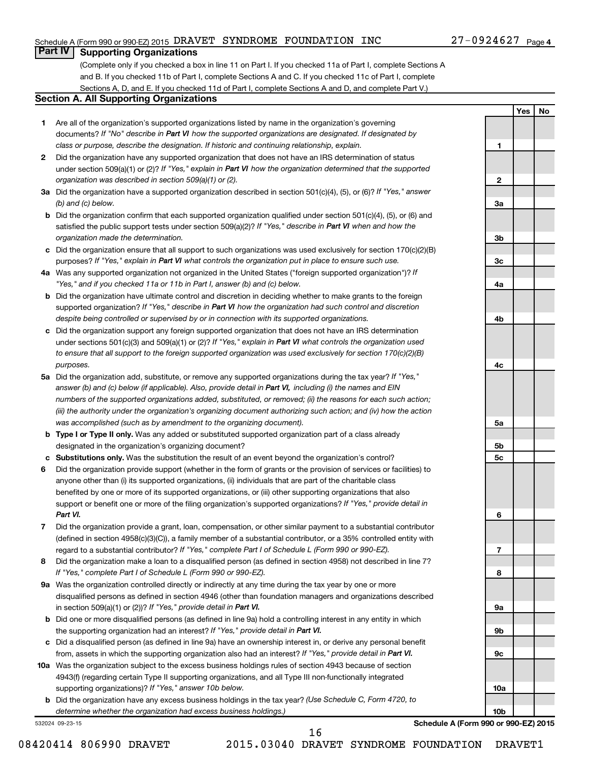### Schedule A (Form 990 or 990-EZ) 2015 Page DRAVET SYNDROME FOUNDATION INC 27-0924627

### 27-0924627 <sub>Page 4</sub>

**1**

**2**

**3a**

**3b**

**3c**

**4a**

**4b**

**4c**

**5a**

**5b 5c**

**6**

**7**

**8**

**9a**

**9b**

**9c**

**10a**

**10b**

**Yes No**

### **Part IV Supporting Organizations**

(Complete only if you checked a box in line 11 on Part I. If you checked 11a of Part I, complete Sections A and B. If you checked 11b of Part I, complete Sections A and C. If you checked 11c of Part I, complete Sections A, D, and E. If you checked 11d of Part I, complete Sections A and D, and complete Part V.)

### **Section A. All Supporting Organizations**

- **1** Are all of the organization's supported organizations listed by name in the organization's governing documents? If "No" describe in Part VI how the supported organizations are designated. If designated by *class or purpose, describe the designation. If historic and continuing relationship, explain.*
- **2** Did the organization have any supported organization that does not have an IRS determination of status under section 509(a)(1) or (2)? If "Yes," explain in Part VI how the organization determined that the supported *organization was described in section 509(a)(1) or (2).*
- **3a** Did the organization have a supported organization described in section 501(c)(4), (5), or (6)? If "Yes," answer *(b) and (c) below.*
- **b** Did the organization confirm that each supported organization qualified under section 501(c)(4), (5), or (6) and satisfied the public support tests under section 509(a)(2)? If "Yes," describe in Part VI when and how the *organization made the determination.*
- **c** Did the organization ensure that all support to such organizations was used exclusively for section 170(c)(2)(B) purposes? If "Yes," explain in Part VI what controls the organization put in place to ensure such use.
- **4 a** *If* Was any supported organization not organized in the United States ("foreign supported organization")? *"Yes," and if you checked 11a or 11b in Part I, answer (b) and (c) below.*
- **b** Did the organization have ultimate control and discretion in deciding whether to make grants to the foreign supported organization? If "Yes," describe in Part VI how the organization had such control and discretion *despite being controlled or supervised by or in connection with its supported organizations.*
- **c** Did the organization support any foreign supported organization that does not have an IRS determination under sections 501(c)(3) and 509(a)(1) or (2)? If "Yes," explain in Part VI what controls the organization used *to ensure that all support to the foreign supported organization was used exclusively for section 170(c)(2)(B) purposes.*
- **5a** Did the organization add, substitute, or remove any supported organizations during the tax year? If "Yes," answer (b) and (c) below (if applicable). Also, provide detail in Part VI, including (i) the names and EIN *numbers of the supported organizations added, substituted, or removed; (ii) the reasons for each such action; (iii) the authority under the organization's organizing document authorizing such action; and (iv) how the action was accomplished (such as by amendment to the organizing document).*
- **b** Type I or Type II only. Was any added or substituted supported organization part of a class already designated in the organization's organizing document?
- **c Substitutions only.**  Was the substitution the result of an event beyond the organization's control?
- **6** Did the organization provide support (whether in the form of grants or the provision of services or facilities) to support or benefit one or more of the filing organization's supported organizations? If "Yes," provide detail in anyone other than (i) its supported organizations, (ii) individuals that are part of the charitable class benefited by one or more of its supported organizations, or (iii) other supporting organizations that also *Part VI.*
- **7** Did the organization provide a grant, loan, compensation, or other similar payment to a substantial contributor regard to a substantial contributor? If "Yes," complete Part I of Schedule L (Form 990 or 990-EZ). (defined in section 4958(c)(3)(C)), a family member of a substantial contributor, or a 35% controlled entity with
- **8** Did the organization make a loan to a disqualified person (as defined in section 4958) not described in line 7? *If "Yes," complete Part I of Schedule L (Form 990 or 990-EZ).*
- **9 a** Was the organization controlled directly or indirectly at any time during the tax year by one or more in section 509(a)(1) or (2))? If "Yes," provide detail in Part VI. disqualified persons as defined in section 4946 (other than foundation managers and organizations described
- **b** Did one or more disqualified persons (as defined in line 9a) hold a controlling interest in any entity in which the supporting organization had an interest? If "Yes," provide detail in Part VI.
- **c** Did a disqualified person (as defined in line 9a) have an ownership interest in, or derive any personal benefit from, assets in which the supporting organization also had an interest? If "Yes," provide detail in Part VI.
- **10 a** Was the organization subject to the excess business holdings rules of section 4943 because of section supporting organizations)? If "Yes," answer 10b below. 4943(f) (regarding certain Type II supporting organizations, and all Type III non-functionally integrated
	- **b** Did the organization have any excess business holdings in the tax year? (Use Schedule C, Form 4720, to *determine whether the organization had excess business holdings.)*

532024 09-23-15

**Schedule A (Form 990 or 990-EZ) 2015**

16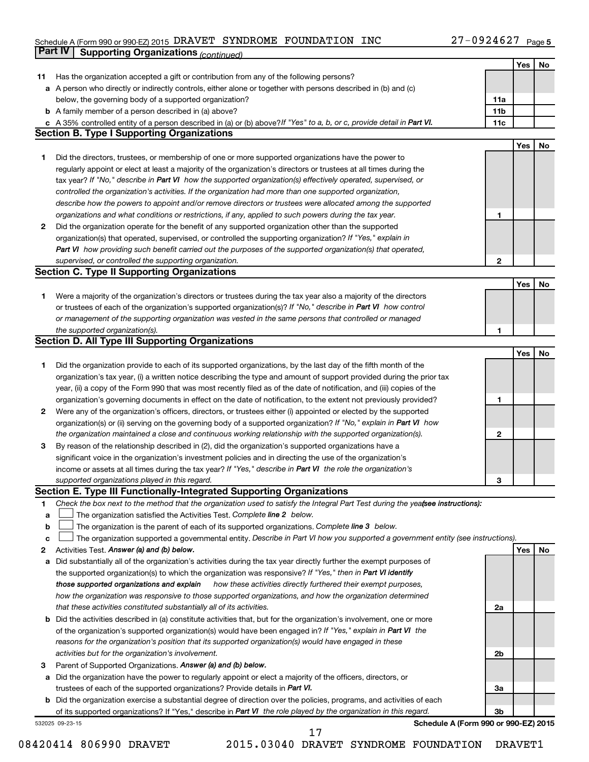### Schedule A (Form 990 or 990-EZ) 2015 DRAVET SYNDROME FOUNDATION INC  $ZI-09Z46ZI$  Page DRAVET SYNDROME FOUNDATION INC 27-0924627

|    | <b>Part IV</b><br><b>Supporting Organizations (continued)</b>                                                                   |                 |     |    |
|----|---------------------------------------------------------------------------------------------------------------------------------|-----------------|-----|----|
|    |                                                                                                                                 |                 | Yes | No |
| 11 | Has the organization accepted a gift or contribution from any of the following persons?                                         |                 |     |    |
|    | a A person who directly or indirectly controls, either alone or together with persons described in (b) and (c)                  |                 |     |    |
|    | below, the governing body of a supported organization?                                                                          | 11a             |     |    |
|    | <b>b</b> A family member of a person described in (a) above?                                                                    | 11 <sub>b</sub> |     |    |
|    | c A 35% controlled entity of a person described in (a) or (b) above? If "Yes" to a, b, or c, provide detail in Part VI.         | 11c             |     |    |
|    | <b>Section B. Type I Supporting Organizations</b>                                                                               |                 |     |    |
|    |                                                                                                                                 |                 | Yes | No |
| 1  | Did the directors, trustees, or membership of one or more supported organizations have the power to                             |                 |     |    |
|    | regularly appoint or elect at least a majority of the organization's directors or trustees at all times during the              |                 |     |    |
|    | tax year? If "No," describe in Part VI how the supported organization(s) effectively operated, supervised, or                   |                 |     |    |
|    | controlled the organization's activities. If the organization had more than one supported organization,                         |                 |     |    |
|    | describe how the powers to appoint and/or remove directors or trustees were allocated among the supported                       |                 |     |    |
|    | organizations and what conditions or restrictions, if any, applied to such powers during the tax year.                          | 1               |     |    |
| 2  | Did the organization operate for the benefit of any supported organization other than the supported                             |                 |     |    |
|    | organization(s) that operated, supervised, or controlled the supporting organization? If "Yes," explain in                      |                 |     |    |
|    | Part VI how providing such benefit carried out the purposes of the supported organization(s) that operated,                     |                 |     |    |
|    | supervised, or controlled the supporting organization.                                                                          | $\mathbf{2}$    |     |    |
|    | <b>Section C. Type II Supporting Organizations</b>                                                                              |                 |     |    |
|    |                                                                                                                                 |                 | Yes | No |
| 1. | Were a majority of the organization's directors or trustees during the tax year also a majority of the directors                |                 |     |    |
|    | or trustees of each of the organization's supported organization(s)? If "No," describe in Part VI how control                   |                 |     |    |
|    | or management of the supporting organization was vested in the same persons that controlled or managed                          |                 |     |    |
|    | the supported organization(s).                                                                                                  | 1               |     |    |
|    | <b>Section D. All Type III Supporting Organizations</b>                                                                         |                 |     |    |
|    |                                                                                                                                 |                 | Yes | No |
| 1  | Did the organization provide to each of its supported organizations, by the last day of the fifth month of the                  |                 |     |    |
|    | organization's tax year, (i) a written notice describing the type and amount of support provided during the prior tax           |                 |     |    |
|    | year, (ii) a copy of the Form 990 that was most recently filed as of the date of notification, and (iii) copies of the          |                 |     |    |
|    | organization's governing documents in effect on the date of notification, to the extent not previously provided?                | 1               |     |    |
| 2  | Were any of the organization's officers, directors, or trustees either (i) appointed or elected by the supported                |                 |     |    |
|    | organization(s) or (ii) serving on the governing body of a supported organization? If "No," explain in Part VI how              |                 |     |    |
|    | the organization maintained a close and continuous working relationship with the supported organization(s).                     | 2               |     |    |
| 3  | By reason of the relationship described in (2), did the organization's supported organizations have a                           |                 |     |    |
|    | significant voice in the organization's investment policies and in directing the use of the organization's                      |                 |     |    |
|    | income or assets at all times during the tax year? If "Yes," describe in Part VI the role the organization's                    |                 |     |    |
|    | supported organizations played in this regard.                                                                                  | з               |     |    |
|    | Section E. Type III Functionally-Integrated Supporting Organizations                                                            |                 |     |    |
| 1  | Check the box next to the method that the organization used to satisfy the Integral Part Test during the yeafsee instructions): |                 |     |    |
| a  | The organization satisfied the Activities Test. Complete line 2 below.                                                          |                 |     |    |
| b  | The organization is the parent of each of its supported organizations. Complete line 3 below.                                   |                 |     |    |
| c  | The organization supported a governmental entity. Describe in Part VI how you supported a government entity (see instructions). |                 |     |    |
| 2  | Activities Test. Answer (a) and (b) below.                                                                                      |                 | Yes | No |
| а  | Did substantially all of the organization's activities during the tax year directly further the exempt purposes of              |                 |     |    |
|    | the supported organization(s) to which the organization was responsive? If "Yes," then in Part VI identify                      |                 |     |    |
|    | those supported organizations and explain<br>how these activities directly furthered their exempt purposes,                     |                 |     |    |
|    | how the organization was responsive to those supported organizations, and how the organization determined                       |                 |     |    |
|    | that these activities constituted substantially all of its activities.                                                          | 2a              |     |    |
| b  | Did the activities described in (a) constitute activities that, but for the organization's involvement, one or more             |                 |     |    |
|    | of the organization's supported organization(s) would have been engaged in? If "Yes," explain in Part VI the                    |                 |     |    |
|    | reasons for the organization's position that its supported organization(s) would have engaged in these                          |                 |     |    |
|    | activities but for the organization's involvement.                                                                              | 2b              |     |    |
| З  | Parent of Supported Organizations. Answer (a) and (b) below.                                                                    |                 |     |    |
| а  | Did the organization have the power to regularly appoint or elect a majority of the officers, directors, or                     |                 |     |    |
|    | trustees of each of the supported organizations? Provide details in Part VI.                                                    | За              |     |    |
|    | <b>b</b> Did the organization exercise a substantial degree of direction over the policies, programs, and activities of each    |                 |     |    |
|    | of its supported organizations? If "Yes," describe in Part VI the role played by the organization in this regard.               | Зb              |     |    |
|    | Schedule A (Form 990 or 990-EZ) 2015<br>532025 09-23-15                                                                         |                 |     |    |

08420414 806990 DRAVET 2015.03040 DRAVET SYNDROME FOUNDATION DRAVET1

17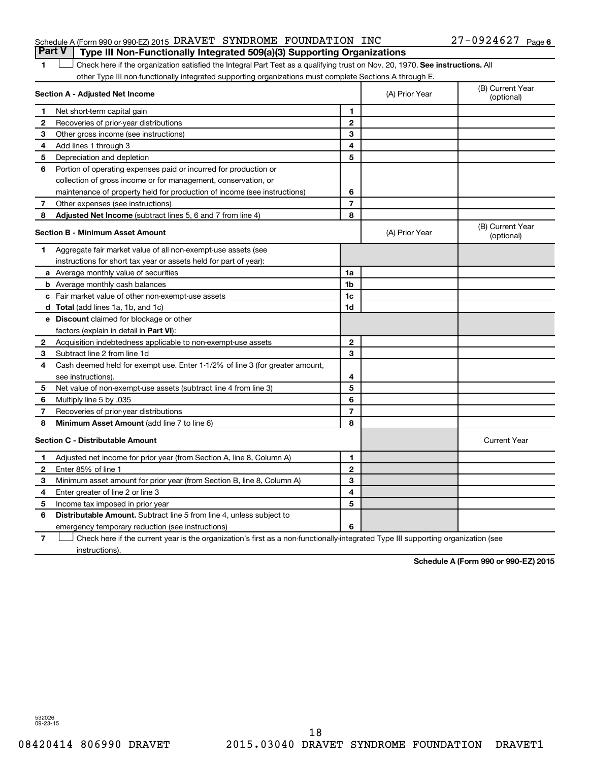### Schedule A (Form 990 or 990-EZ) 2015 Page DRAVET SYNDROME FOUNDATION INC 27-0924627 **Part V Type III Non-Functionally Integrated 509(a)(3) Supporting Organizations**

1 **Letter on Reck here if the organization satisfied the Integral Part Test as a qualifying trust on Nov. 20, 1970. See instructions. All** other Type III non-functionally integrated supporting organizations must complete Sections A through E.

|                | Section A - Adjusted Net Income                                                                                                   |                | (A) Prior Year | (B) Current Year<br>(optional) |
|----------------|-----------------------------------------------------------------------------------------------------------------------------------|----------------|----------------|--------------------------------|
| 1.             | Net short-term capital gain                                                                                                       | 1              |                |                                |
| $\mathbf{2}$   | Recoveries of prior-year distributions                                                                                            | $\overline{2}$ |                |                                |
| 3              | Other gross income (see instructions)                                                                                             | 3              |                |                                |
| 4              | Add lines 1 through 3                                                                                                             | 4              |                |                                |
| 5              | Depreciation and depletion                                                                                                        | 5              |                |                                |
| 6              | Portion of operating expenses paid or incurred for production or                                                                  |                |                |                                |
|                | collection of gross income or for management, conservation, or                                                                    |                |                |                                |
|                | maintenance of property held for production of income (see instructions)                                                          | 6              |                |                                |
| $\overline{7}$ | Other expenses (see instructions)                                                                                                 | $\overline{7}$ |                |                                |
| 8              | Adjusted Net Income (subtract lines 5, 6 and 7 from line 4)                                                                       | 8              |                |                                |
|                | <b>Section B - Minimum Asset Amount</b>                                                                                           |                | (A) Prior Year | (B) Current Year<br>(optional) |
| 1              | Aggregate fair market value of all non-exempt-use assets (see                                                                     |                |                |                                |
|                | instructions for short tax year or assets held for part of year):                                                                 |                |                |                                |
|                | <b>a</b> Average monthly value of securities                                                                                      | 1a             |                |                                |
|                | <b>b</b> Average monthly cash balances                                                                                            | 1 <sub>b</sub> |                |                                |
|                | c Fair market value of other non-exempt-use assets                                                                                | 1c             |                |                                |
|                | d Total (add lines 1a, 1b, and 1c)                                                                                                | 1d             |                |                                |
|                | e Discount claimed for blockage or other                                                                                          |                |                |                                |
|                | factors (explain in detail in Part VI):                                                                                           |                |                |                                |
| 2              | Acquisition indebtedness applicable to non-exempt-use assets                                                                      | $\mathbf{2}$   |                |                                |
| З              | Subtract line 2 from line 1d                                                                                                      | 3              |                |                                |
| 4              | Cash deemed held for exempt use. Enter 1-1/2% of line 3 (for greater amount,                                                      |                |                |                                |
|                | see instructions).                                                                                                                | 4              |                |                                |
| 5              | Net value of non-exempt-use assets (subtract line 4 from line 3)                                                                  | 5              |                |                                |
| 6              | Multiply line 5 by .035                                                                                                           | 6              |                |                                |
| 7              | Recoveries of prior-year distributions                                                                                            | 7              |                |                                |
| 8              | <b>Minimum Asset Amount (add line 7 to line 6)</b>                                                                                | 8              |                |                                |
|                | <b>Section C - Distributable Amount</b>                                                                                           |                |                | <b>Current Year</b>            |
| 1              | Adjusted net income for prior year (from Section A, line 8, Column A)                                                             | 1              |                |                                |
| $\mathbf{2}$   | Enter 85% of line 1                                                                                                               | $\mathbf{2}$   |                |                                |
| З              | Minimum asset amount for prior year (from Section B, line 8, Column A)                                                            | 3              |                |                                |
| 4              | Enter greater of line 2 or line 3                                                                                                 | 4              |                |                                |
| 5              | Income tax imposed in prior year                                                                                                  | 5              |                |                                |
| 6              | <b>Distributable Amount.</b> Subtract line 5 from line 4, unless subject to                                                       |                |                |                                |
|                | emergency temporary reduction (see instructions)                                                                                  | 6              |                |                                |
| 7              | Check here if the current year is the organization's first as a non-functionally-integrated Type III supporting organization (see |                |                |                                |

instructions).

**Schedule A (Form 990 or 990-EZ) 2015**

532026 09-23-15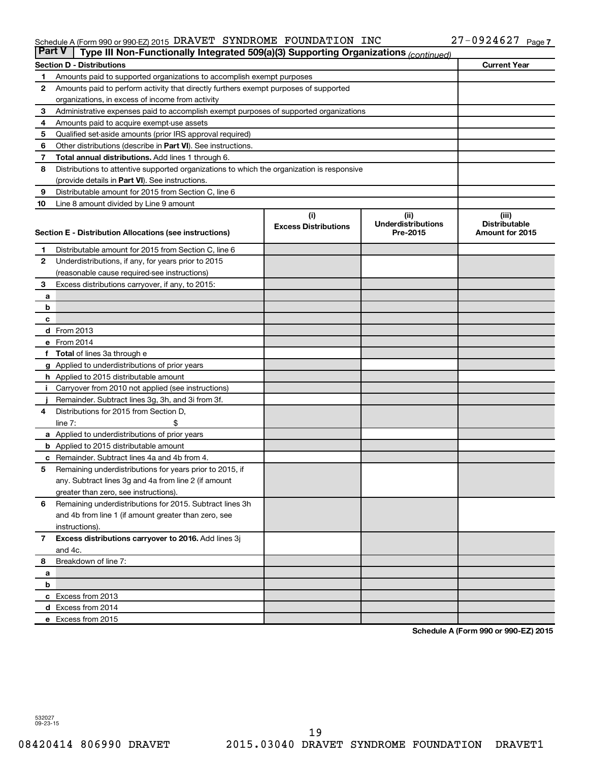### Schedule A (Form 990 or 990-EZ) 2015 DRAVET SYNDROME FOUNDATION INC  $ZI-09Z46ZI$  Page DRAVET SYNDROME FOUNDATION INC 27-0924627

|              | <b>Part V</b><br>Type III Non-Functionally Integrated 509(a)(3) Supporting Organizations (continued)   |                             |                                       |                                         |  |  |  |  |  |  |
|--------------|--------------------------------------------------------------------------------------------------------|-----------------------------|---------------------------------------|-----------------------------------------|--|--|--|--|--|--|
|              | <b>Section D - Distributions</b>                                                                       |                             |                                       | <b>Current Year</b>                     |  |  |  |  |  |  |
| 1            | Amounts paid to supported organizations to accomplish exempt purposes                                  |                             |                                       |                                         |  |  |  |  |  |  |
| 2            | Amounts paid to perform activity that directly furthers exempt purposes of supported                   |                             |                                       |                                         |  |  |  |  |  |  |
|              | organizations, in excess of income from activity                                                       |                             |                                       |                                         |  |  |  |  |  |  |
| 3            | Administrative expenses paid to accomplish exempt purposes of supported organizations                  |                             |                                       |                                         |  |  |  |  |  |  |
| 4            | Amounts paid to acquire exempt-use assets                                                              |                             |                                       |                                         |  |  |  |  |  |  |
| 5            | Qualified set-aside amounts (prior IRS approval required)                                              |                             |                                       |                                         |  |  |  |  |  |  |
| 6            | Other distributions (describe in Part VI). See instructions.                                           |                             |                                       |                                         |  |  |  |  |  |  |
| 7            | <b>Total annual distributions.</b> Add lines 1 through 6.                                              |                             |                                       |                                         |  |  |  |  |  |  |
| 8            | Distributions to attentive supported organizations to which the organization is responsive             |                             |                                       |                                         |  |  |  |  |  |  |
|              | (provide details in Part VI). See instructions.                                                        |                             |                                       |                                         |  |  |  |  |  |  |
| 9            | Distributable amount for 2015 from Section C, line 6                                                   |                             |                                       |                                         |  |  |  |  |  |  |
| 10           | Line 8 amount divided by Line 9 amount                                                                 |                             |                                       |                                         |  |  |  |  |  |  |
|              |                                                                                                        | (i)                         | (ii)                                  | (iii)                                   |  |  |  |  |  |  |
|              | Section E - Distribution Allocations (see instructions)                                                | <b>Excess Distributions</b> | <b>Underdistributions</b><br>Pre-2015 | <b>Distributable</b><br>Amount for 2015 |  |  |  |  |  |  |
|              |                                                                                                        |                             |                                       |                                         |  |  |  |  |  |  |
| 1            | Distributable amount for 2015 from Section C, line 6                                                   |                             |                                       |                                         |  |  |  |  |  |  |
| $\mathbf{2}$ | Underdistributions, if any, for years prior to 2015                                                    |                             |                                       |                                         |  |  |  |  |  |  |
|              | (reasonable cause required-see instructions)                                                           |                             |                                       |                                         |  |  |  |  |  |  |
| 3            | Excess distributions carryover, if any, to 2015:                                                       |                             |                                       |                                         |  |  |  |  |  |  |
| a            |                                                                                                        |                             |                                       |                                         |  |  |  |  |  |  |
| b            |                                                                                                        |                             |                                       |                                         |  |  |  |  |  |  |
| с            |                                                                                                        |                             |                                       |                                         |  |  |  |  |  |  |
|              | d From 2013<br>e From 2014                                                                             |                             |                                       |                                         |  |  |  |  |  |  |
|              |                                                                                                        |                             |                                       |                                         |  |  |  |  |  |  |
|              | <b>Total</b> of lines 3a through e                                                                     |                             |                                       |                                         |  |  |  |  |  |  |
|              | <b>g</b> Applied to underdistributions of prior years<br><b>h</b> Applied to 2015 distributable amount |                             |                                       |                                         |  |  |  |  |  |  |
|              | Carryover from 2010 not applied (see instructions)                                                     |                             |                                       |                                         |  |  |  |  |  |  |
|              | Remainder. Subtract lines 3g, 3h, and 3i from 3f.                                                      |                             |                                       |                                         |  |  |  |  |  |  |
| 4            | Distributions for 2015 from Section D,                                                                 |                             |                                       |                                         |  |  |  |  |  |  |
|              | $line 7$ :                                                                                             |                             |                                       |                                         |  |  |  |  |  |  |
|              | a Applied to underdistributions of prior years                                                         |                             |                                       |                                         |  |  |  |  |  |  |
|              | <b>b</b> Applied to 2015 distributable amount                                                          |                             |                                       |                                         |  |  |  |  |  |  |
| с            | Remainder. Subtract lines 4a and 4b from 4.                                                            |                             |                                       |                                         |  |  |  |  |  |  |
| 5            | Remaining underdistributions for years prior to 2015, if                                               |                             |                                       |                                         |  |  |  |  |  |  |
|              | any. Subtract lines 3g and 4a from line 2 (if amount                                                   |                             |                                       |                                         |  |  |  |  |  |  |
|              | greater than zero, see instructions).                                                                  |                             |                                       |                                         |  |  |  |  |  |  |
| 6            | Remaining underdistributions for 2015. Subtract lines 3h                                               |                             |                                       |                                         |  |  |  |  |  |  |
|              | and 4b from line 1 (if amount greater than zero, see                                                   |                             |                                       |                                         |  |  |  |  |  |  |
|              | instructions).                                                                                         |                             |                                       |                                         |  |  |  |  |  |  |
| $\mathbf{7}$ | Excess distributions carryover to 2016. Add lines 3j                                                   |                             |                                       |                                         |  |  |  |  |  |  |
|              | and 4c.                                                                                                |                             |                                       |                                         |  |  |  |  |  |  |
| 8            | Breakdown of line 7:                                                                                   |                             |                                       |                                         |  |  |  |  |  |  |
| a            |                                                                                                        |                             |                                       |                                         |  |  |  |  |  |  |
| b            |                                                                                                        |                             |                                       |                                         |  |  |  |  |  |  |
|              | c Excess from 2013                                                                                     |                             |                                       |                                         |  |  |  |  |  |  |
|              | d Excess from 2014                                                                                     |                             |                                       |                                         |  |  |  |  |  |  |
|              | e Excess from 2015                                                                                     |                             |                                       |                                         |  |  |  |  |  |  |

**Schedule A (Form 990 or 990-EZ) 2015**

532027 09-23-15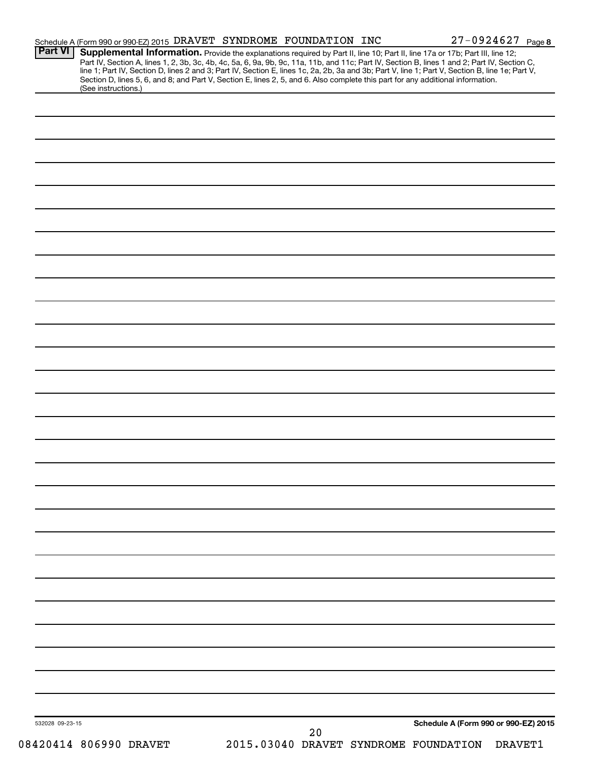| Part VI         | Schedule A (Form 990 or 990-EZ) 2015 DRAVET SYNDROME FOUNDATION INC                                                                                                                                                                                                                                                                                            |  |                   |                                      | $27 - 0924627$ Page 8 |
|-----------------|----------------------------------------------------------------------------------------------------------------------------------------------------------------------------------------------------------------------------------------------------------------------------------------------------------------------------------------------------------------|--|-------------------|--------------------------------------|-----------------------|
|                 | Supplemental Information. Provide the explanations required by Part II, line 10; Part II, line 17a or 17b; Part III, line 12;<br>Part IV, Section A, lines 1, 2, 3b, 3c, 4b, 4c, 5a, 6, 9a, 9b, 9c, 11a, 11b, and 11c; Part IV, Section B, lines 1 and 2; Part IV, Section C, line 1; Part IV, Section D, lines 2 and 3; Part IV, Section E, lines 1c, 2a, 2b, |  |                   |                                      |                       |
|                 | Section D, lines 5, 6, and 8; and Part V, Section E, lines 2, 5, and 6. Also complete this part for any additional information.<br>(See instructions.)                                                                                                                                                                                                         |  |                   |                                      |                       |
|                 |                                                                                                                                                                                                                                                                                                                                                                |  |                   |                                      |                       |
|                 |                                                                                                                                                                                                                                                                                                                                                                |  |                   |                                      |                       |
|                 |                                                                                                                                                                                                                                                                                                                                                                |  |                   |                                      |                       |
|                 |                                                                                                                                                                                                                                                                                                                                                                |  |                   |                                      |                       |
|                 |                                                                                                                                                                                                                                                                                                                                                                |  |                   |                                      |                       |
|                 |                                                                                                                                                                                                                                                                                                                                                                |  |                   |                                      |                       |
|                 |                                                                                                                                                                                                                                                                                                                                                                |  |                   |                                      |                       |
|                 |                                                                                                                                                                                                                                                                                                                                                                |  |                   |                                      |                       |
|                 |                                                                                                                                                                                                                                                                                                                                                                |  |                   |                                      |                       |
|                 |                                                                                                                                                                                                                                                                                                                                                                |  |                   |                                      |                       |
|                 |                                                                                                                                                                                                                                                                                                                                                                |  |                   |                                      |                       |
|                 |                                                                                                                                                                                                                                                                                                                                                                |  |                   |                                      |                       |
|                 |                                                                                                                                                                                                                                                                                                                                                                |  |                   |                                      |                       |
|                 |                                                                                                                                                                                                                                                                                                                                                                |  |                   |                                      |                       |
|                 |                                                                                                                                                                                                                                                                                                                                                                |  |                   |                                      |                       |
|                 |                                                                                                                                                                                                                                                                                                                                                                |  |                   |                                      |                       |
|                 |                                                                                                                                                                                                                                                                                                                                                                |  |                   |                                      |                       |
|                 |                                                                                                                                                                                                                                                                                                                                                                |  |                   |                                      |                       |
|                 |                                                                                                                                                                                                                                                                                                                                                                |  |                   |                                      |                       |
|                 |                                                                                                                                                                                                                                                                                                                                                                |  |                   |                                      |                       |
|                 |                                                                                                                                                                                                                                                                                                                                                                |  |                   |                                      |                       |
|                 |                                                                                                                                                                                                                                                                                                                                                                |  |                   |                                      |                       |
|                 |                                                                                                                                                                                                                                                                                                                                                                |  |                   |                                      |                       |
|                 |                                                                                                                                                                                                                                                                                                                                                                |  |                   |                                      |                       |
|                 |                                                                                                                                                                                                                                                                                                                                                                |  |                   |                                      |                       |
|                 |                                                                                                                                                                                                                                                                                                                                                                |  |                   |                                      |                       |
|                 |                                                                                                                                                                                                                                                                                                                                                                |  |                   |                                      |                       |
|                 |                                                                                                                                                                                                                                                                                                                                                                |  |                   |                                      |                       |
|                 |                                                                                                                                                                                                                                                                                                                                                                |  |                   |                                      |                       |
|                 |                                                                                                                                                                                                                                                                                                                                                                |  |                   |                                      |                       |
|                 |                                                                                                                                                                                                                                                                                                                                                                |  |                   |                                      |                       |
|                 |                                                                                                                                                                                                                                                                                                                                                                |  |                   |                                      |                       |
|                 |                                                                                                                                                                                                                                                                                                                                                                |  |                   |                                      |                       |
|                 |                                                                                                                                                                                                                                                                                                                                                                |  |                   |                                      |                       |
|                 |                                                                                                                                                                                                                                                                                                                                                                |  |                   |                                      |                       |
|                 |                                                                                                                                                                                                                                                                                                                                                                |  |                   |                                      |                       |
|                 |                                                                                                                                                                                                                                                                                                                                                                |  |                   |                                      |                       |
|                 |                                                                                                                                                                                                                                                                                                                                                                |  |                   |                                      |                       |
|                 |                                                                                                                                                                                                                                                                                                                                                                |  |                   | Schedule A (Form 990 or 990-EZ) 2015 |                       |
| 532028 09-23-15 |                                                                                                                                                                                                                                                                                                                                                                |  | 20                |                                      |                       |
|                 | 08420414 806990 DRAVET                                                                                                                                                                                                                                                                                                                                         |  | 2015.03040 DRAVET | SYNDROME FOUNDATION                  | DRAVET1               |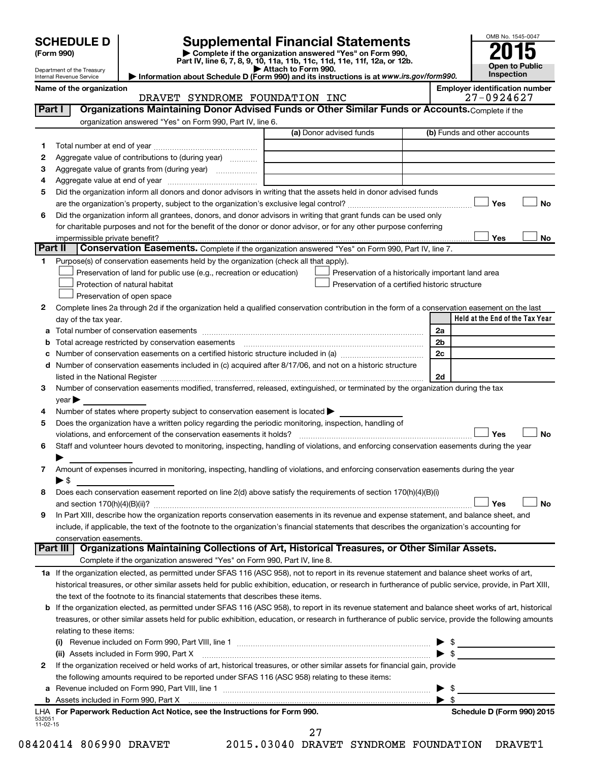| <b>SCHEDULE D</b> |  |  |
|-------------------|--|--|
|                   |  |  |

Department of the Treasury Internal Revenue Service

# **SCHEDULE D Supplemental Financial Statements**<br> **Form 990 2015**<br> **Part IV** line 6.7.8.9.10, 11a, 11b, 11d, 11d, 11d, 11d, 12a, 0r, 12b

**(Form 990) | Complete if the organization answered "Yes" on Form 990, Part IV, line 6, 7, 8, 9, 10, 11a, 11b, 11c, 11d, 11e, 11f, 12a, or 12b.**

**| Attach to Form 990. | Information about Schedule D (Form 990) and its instructions is at**  *www.irs.gov/form990.*



### **Name of the organization**<br> **NAMEL SYNDROME FOUNDATION TNC**<br>
27-0924627 DRAVET SYNDROME FOUNDATION INC

| Part I   | DRAVEI SINDROME FOONDAIION INC<br>Organizations Maintaining Donor Advised Funds or Other Similar Funds or Accounts. Complete if the                                                     |                                                    | 4 7 - 0 <del>2 4 5 0 4</del> 7  |
|----------|-----------------------------------------------------------------------------------------------------------------------------------------------------------------------------------------|----------------------------------------------------|---------------------------------|
|          | organization answered "Yes" on Form 990, Part IV, line 6.                                                                                                                               |                                                    |                                 |
|          |                                                                                                                                                                                         | (a) Donor advised funds                            | (b) Funds and other accounts    |
| 1.       |                                                                                                                                                                                         |                                                    |                                 |
| 2        | Aggregate value of contributions to (during year)                                                                                                                                       |                                                    |                                 |
| 3        | Aggregate value of grants from (during year)                                                                                                                                            |                                                    |                                 |
| 4        |                                                                                                                                                                                         |                                                    |                                 |
| 5        | Did the organization inform all donors and donor advisors in writing that the assets held in donor advised funds                                                                        |                                                    |                                 |
|          |                                                                                                                                                                                         |                                                    | Yes<br><b>No</b>                |
| 6        | Did the organization inform all grantees, donors, and donor advisors in writing that grant funds can be used only                                                                       |                                                    |                                 |
|          | for charitable purposes and not for the benefit of the donor or donor advisor, or for any other purpose conferring                                                                      |                                                    |                                 |
|          | impermissible private benefit?                                                                                                                                                          |                                                    | Yes<br>No                       |
| Part II  | Conservation Easements. Complete if the organization answered "Yes" on Form 990, Part IV, line 7.                                                                                       |                                                    |                                 |
| 1        | Purpose(s) of conservation easements held by the organization (check all that apply).                                                                                                   |                                                    |                                 |
|          | Preservation of land for public use (e.g., recreation or education)                                                                                                                     | Preservation of a historically important land area |                                 |
|          | Protection of natural habitat                                                                                                                                                           | Preservation of a certified historic structure     |                                 |
|          | Preservation of open space                                                                                                                                                              |                                                    |                                 |
| 2        | Complete lines 2a through 2d if the organization held a qualified conservation contribution in the form of a conservation easement on the last                                          |                                                    |                                 |
|          | day of the tax year.                                                                                                                                                                    |                                                    | Held at the End of the Tax Year |
|          |                                                                                                                                                                                         |                                                    | 2a                              |
|          | <b>b</b> Total acreage restricted by conservation easements                                                                                                                             |                                                    | 2 <sub>b</sub>                  |
|          |                                                                                                                                                                                         |                                                    | 2c                              |
|          | d Number of conservation easements included in (c) acquired after 8/17/06, and not on a historic structure                                                                              |                                                    |                                 |
|          |                                                                                                                                                                                         |                                                    | 2d                              |
| 3        | Number of conservation easements modified, transferred, released, extinguished, or terminated by the organization during the tax                                                        |                                                    |                                 |
|          | $year \triangleright$                                                                                                                                                                   |                                                    |                                 |
| 4<br>5   | Number of states where property subject to conservation easement is located ><br>Does the organization have a written policy regarding the periodic monitoring, inspection, handling of |                                                    |                                 |
|          | violations, and enforcement of the conservation easements it holds?                                                                                                                     |                                                    | Yes<br><b>No</b>                |
| 6        | Staff and volunteer hours devoted to monitoring, inspecting, handling of violations, and enforcing conservation easements during the year                                               |                                                    |                                 |
|          |                                                                                                                                                                                         |                                                    |                                 |
|          | Amount of expenses incurred in monitoring, inspecting, handling of violations, and enforcing conservation easements during the year                                                     |                                                    |                                 |
|          | $\blacktriangleright$ \$                                                                                                                                                                |                                                    |                                 |
| 8        | Does each conservation easement reported on line 2(d) above satisfy the requirements of section 170(h)(4)(B)(i)                                                                         |                                                    |                                 |
|          |                                                                                                                                                                                         |                                                    | <b>No</b><br>Yes                |
| 9        | In Part XIII, describe how the organization reports conservation easements in its revenue and expense statement, and balance sheet, and                                                 |                                                    |                                 |
|          | include, if applicable, the text of the footnote to the organization's financial statements that describes the organization's accounting for                                            |                                                    |                                 |
|          | conservation easements.                                                                                                                                                                 |                                                    |                                 |
|          | Organizations Maintaining Collections of Art, Historical Treasures, or Other Similar Assets.<br>Part III                                                                                |                                                    |                                 |
|          | Complete if the organization answered "Yes" on Form 990, Part IV, line 8.                                                                                                               |                                                    |                                 |
|          | 1a If the organization elected, as permitted under SFAS 116 (ASC 958), not to report in its revenue statement and balance sheet works of art,                                           |                                                    |                                 |
|          | historical treasures, or other similar assets held for public exhibition, education, or research in furtherance of public service, provide, in Part XIII,                               |                                                    |                                 |
|          | the text of the footnote to its financial statements that describes these items.                                                                                                        |                                                    |                                 |
|          | b If the organization elected, as permitted under SFAS 116 (ASC 958), to report in its revenue statement and balance sheet works of art, historical                                     |                                                    |                                 |
|          | treasures, or other similar assets held for public exhibition, education, or research in furtherance of public service, provide the following amounts                                   |                                                    |                                 |
|          | relating to these items:                                                                                                                                                                |                                                    |                                 |
|          |                                                                                                                                                                                         |                                                    | $\bullet$                       |
|          | (ii) Assets included in Form 990, Part X                                                                                                                                                |                                                    | $\blacktriangleright$ \$        |
| 2        | If the organization received or held works of art, historical treasures, or other similar assets for financial gain, provide                                                            |                                                    |                                 |
|          | the following amounts required to be reported under SFAS 116 (ASC 958) relating to these items:                                                                                         |                                                    |                                 |
| а        |                                                                                                                                                                                         |                                                    | \$<br>▶                         |
|          |                                                                                                                                                                                         |                                                    | $\blacktriangleright$ s         |
| 532051   | LHA For Paperwork Reduction Act Notice, see the Instructions for Form 990.                                                                                                              |                                                    | Schedule D (Form 990) 2015      |
| 11-02-15 |                                                                                                                                                                                         |                                                    |                                 |

08420414 806990 DRAVET 2015.03040 DRAVET SYNDROME FOUNDATION DRAVET1

27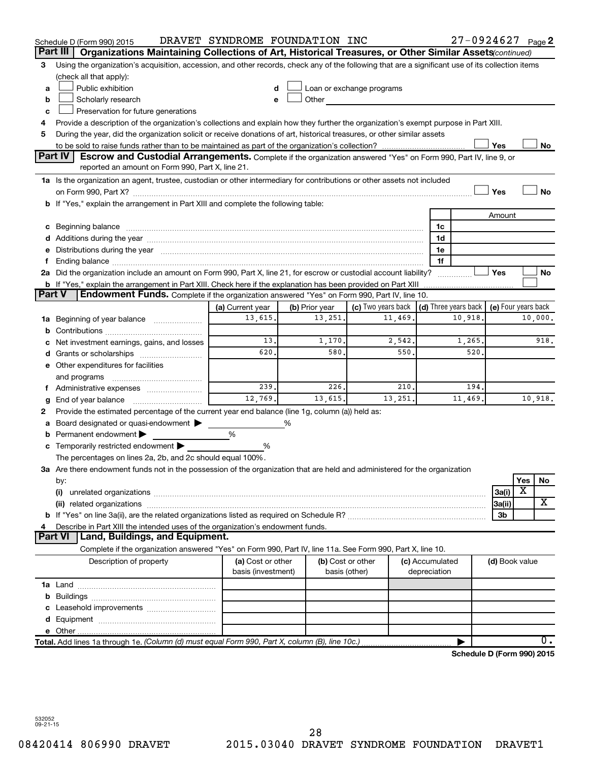|               | Schedule D (Form 990) 2015                                                                                                                                                                                                    | DRAVET SYNDROME FOUNDATION INC |                |                                                         |                 | $27 - 0924627$ Page 2      |                     |     |                  |
|---------------|-------------------------------------------------------------------------------------------------------------------------------------------------------------------------------------------------------------------------------|--------------------------------|----------------|---------------------------------------------------------|-----------------|----------------------------|---------------------|-----|------------------|
|               | Part III<br>Organizations Maintaining Collections of Art, Historical Treasures, or Other Similar Assets(continued)                                                                                                            |                                |                |                                                         |                 |                            |                     |     |                  |
| З             | Using the organization's acquisition, accession, and other records, check any of the following that are a significant use of its collection items                                                                             |                                |                |                                                         |                 |                            |                     |     |                  |
|               | (check all that apply):                                                                                                                                                                                                       |                                |                |                                                         |                 |                            |                     |     |                  |
| a             | Public exhibition                                                                                                                                                                                                             | d                              |                | Loan or exchange programs                               |                 |                            |                     |     |                  |
| b             | Scholarly research                                                                                                                                                                                                            | e                              |                | Other <u>with the state of the state of</u>             |                 |                            |                     |     |                  |
| с             | Preservation for future generations                                                                                                                                                                                           |                                |                |                                                         |                 |                            |                     |     |                  |
| 4             | Provide a description of the organization's collections and explain how they further the organization's exempt purpose in Part XIII.                                                                                          |                                |                |                                                         |                 |                            |                     |     |                  |
| 5             | During the year, did the organization solicit or receive donations of art, historical treasures, or other similar assets                                                                                                      |                                |                |                                                         |                 |                            |                     |     |                  |
|               |                                                                                                                                                                                                                               |                                |                |                                                         |                 |                            | Yes                 |     | No               |
|               | <b>Part IV</b><br><b>Escrow and Custodial Arrangements.</b> Complete if the organization answered "Yes" on Form 990, Part IV, line 9, or                                                                                      |                                |                |                                                         |                 |                            |                     |     |                  |
|               | reported an amount on Form 990, Part X, line 21.                                                                                                                                                                              |                                |                |                                                         |                 |                            |                     |     |                  |
|               | 1a Is the organization an agent, trustee, custodian or other intermediary for contributions or other assets not included                                                                                                      |                                |                |                                                         |                 |                            |                     |     |                  |
|               | on Form 990, Part X? [11] matter continuum matter contract to the contract of the contract of the contract of the contract of the contract of the contract of the contract of the contract of the contract of the contract of |                                |                |                                                         |                 |                            | Yes                 |     | No               |
|               | <b>b</b> If "Yes," explain the arrangement in Part XIII and complete the following table:                                                                                                                                     |                                |                |                                                         |                 |                            |                     |     |                  |
|               |                                                                                                                                                                                                                               |                                |                |                                                         |                 |                            | Amount              |     |                  |
|               |                                                                                                                                                                                                                               |                                |                |                                                         | 1c              |                            |                     |     |                  |
|               |                                                                                                                                                                                                                               |                                |                |                                                         | 1d              |                            |                     |     |                  |
|               | e Distributions during the year measurement contained and all the year measurement of the year measurement of                                                                                                                 |                                |                |                                                         | 1e              |                            |                     |     |                  |
|               |                                                                                                                                                                                                                               |                                |                |                                                         | 1f              |                            |                     |     |                  |
|               | 2a Did the organization include an amount on Form 990, Part X, line 21, for escrow or custodial account liability?                                                                                                            |                                |                |                                                         |                 |                            | Yes                 |     | No               |
|               | <b>b</b> If "Yes," explain the arrangement in Part XIII. Check here if the explanation has been provided on Part XIII                                                                                                         |                                |                |                                                         |                 |                            |                     |     |                  |
| <b>Part V</b> | Endowment Funds. Complete if the organization answered "Yes" on Form 990, Part IV, line 10.                                                                                                                                   |                                |                |                                                         |                 |                            |                     |     |                  |
|               |                                                                                                                                                                                                                               | (a) Current year               | (b) Prior year | (c) Two years back $\vert$ (d) Three years back $\vert$ |                 |                            | (e) Four years back |     |                  |
|               | <b>1a</b> Beginning of year balance <i>manumumum</i>                                                                                                                                                                          | 13,615.                        | 13,251.        | 11,469.                                                 |                 | 10,918.                    |                     |     | 10,000.          |
| b             |                                                                                                                                                                                                                               | 13.                            | 1,170.         | 2,542.                                                  |                 | 1,265,                     |                     |     | 918.             |
| с             | Net investment earnings, gains, and losses                                                                                                                                                                                    | 620.                           | 580.           | 550                                                     |                 | 520                        |                     |     |                  |
|               |                                                                                                                                                                                                                               |                                |                |                                                         |                 |                            |                     |     |                  |
|               | e Other expenditures for facilities                                                                                                                                                                                           |                                |                |                                                         |                 |                            |                     |     |                  |
|               | and programs                                                                                                                                                                                                                  | 239.                           | 226.           | 210.                                                    |                 | 194.                       |                     |     |                  |
|               |                                                                                                                                                                                                                               | 12,769.                        | 13,615.        | 13,251.                                                 |                 | 11,469.                    |                     |     | 10,918.          |
| g<br>2        | Provide the estimated percentage of the current year end balance (line 1g, column (a)) held as:                                                                                                                               |                                |                |                                                         |                 |                            |                     |     |                  |
|               | Board designated or quasi-endowment >                                                                                                                                                                                         |                                | %              |                                                         |                 |                            |                     |     |                  |
| а<br>b        | Permanent endowment >                                                                                                                                                                                                         | %                              |                |                                                         |                 |                            |                     |     |                  |
|               | <b>c</b> Temporarily restricted endowment $\blacktriangleright$                                                                                                                                                               | %                              |                |                                                         |                 |                            |                     |     |                  |
|               | The percentages on lines 2a, 2b, and 2c should equal 100%.                                                                                                                                                                    |                                |                |                                                         |                 |                            |                     |     |                  |
|               | 3a Are there endowment funds not in the possession of the organization that are held and administered for the organization                                                                                                    |                                |                |                                                         |                 |                            |                     |     |                  |
|               | by:                                                                                                                                                                                                                           |                                |                |                                                         |                 |                            |                     | Yes | No               |
|               |                                                                                                                                                                                                                               |                                |                |                                                         |                 |                            | 3a(i)               | X   |                  |
|               |                                                                                                                                                                                                                               |                                |                |                                                         |                 |                            | 3a(ii)              |     | X                |
|               |                                                                                                                                                                                                                               |                                |                |                                                         |                 |                            | 3b                  |     |                  |
| 4             | Describe in Part XIII the intended uses of the organization's endowment funds.                                                                                                                                                |                                |                |                                                         |                 |                            |                     |     |                  |
|               | <b>Part VI</b><br>  Land, Buildings, and Equipment.                                                                                                                                                                           |                                |                |                                                         |                 |                            |                     |     |                  |
|               | Complete if the organization answered "Yes" on Form 990, Part IV, line 11a. See Form 990, Part X, line 10.                                                                                                                    |                                |                |                                                         |                 |                            |                     |     |                  |
|               | Description of property                                                                                                                                                                                                       | (a) Cost or other              |                | (b) Cost or other                                       | (c) Accumulated |                            | (d) Book value      |     |                  |
|               |                                                                                                                                                                                                                               | basis (investment)             |                | basis (other)                                           | depreciation    |                            |                     |     |                  |
|               |                                                                                                                                                                                                                               |                                |                |                                                         |                 |                            |                     |     |                  |
| b             |                                                                                                                                                                                                                               |                                |                |                                                         |                 |                            |                     |     |                  |
|               |                                                                                                                                                                                                                               |                                |                |                                                         |                 |                            |                     |     |                  |
|               |                                                                                                                                                                                                                               |                                |                |                                                         |                 |                            |                     |     |                  |
|               |                                                                                                                                                                                                                               |                                |                |                                                         |                 |                            |                     |     |                  |
|               | Total. Add lines 1a through 1e. (Column (d) must equal Form 990, Part X, column (B), line 10c.)                                                                                                                               |                                |                |                                                         |                 |                            |                     |     | $\overline{0}$ . |
|               |                                                                                                                                                                                                                               |                                |                |                                                         |                 | Schedule D (Form 990) 2015 |                     |     |                  |

532052 09-21-15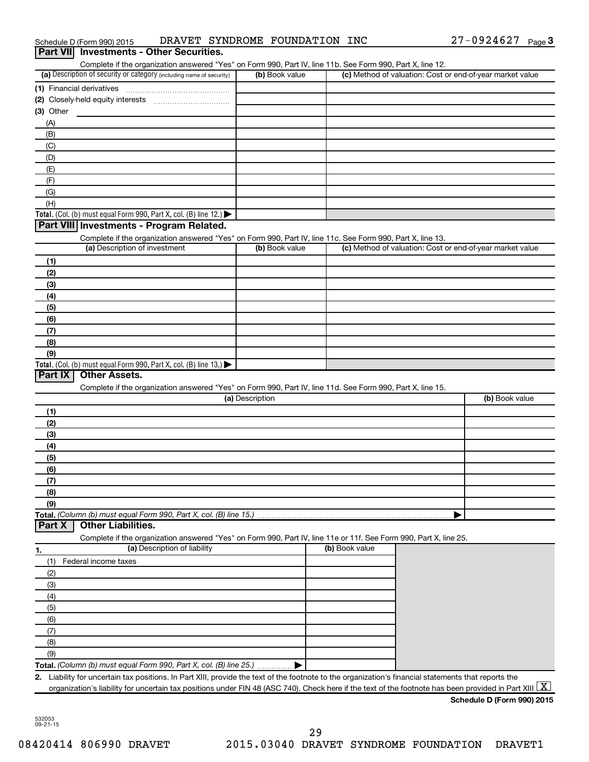|                  | Schedule D (Form 990) 2015                                                                                                                               | DRAVET SYNDROME FOUNDATION INC                                                                                    |                 |                |                | 27-0924627 Page 3                                         |  |
|------------------|----------------------------------------------------------------------------------------------------------------------------------------------------------|-------------------------------------------------------------------------------------------------------------------|-----------------|----------------|----------------|-----------------------------------------------------------|--|
| <b>Part VIII</b> | <b>Investments - Other Securities.</b>                                                                                                                   |                                                                                                                   |                 |                |                |                                                           |  |
|                  |                                                                                                                                                          | Complete if the organization answered "Yes" on Form 990, Part IV, line 11b. See Form 990, Part X, line 12.        |                 |                |                |                                                           |  |
|                  | (a) Description of security or category (including name of security)                                                                                     |                                                                                                                   |                 | (b) Book value |                | (c) Method of valuation: Cost or end-of-year market value |  |
|                  | (1) Financial derivatives                                                                                                                                |                                                                                                                   |                 |                |                |                                                           |  |
|                  |                                                                                                                                                          |                                                                                                                   |                 |                |                |                                                           |  |
| (3) Other        |                                                                                                                                                          |                                                                                                                   |                 |                |                |                                                           |  |
| (A)              |                                                                                                                                                          |                                                                                                                   |                 |                |                |                                                           |  |
| (B)              |                                                                                                                                                          |                                                                                                                   |                 |                |                |                                                           |  |
| (C)              |                                                                                                                                                          |                                                                                                                   |                 |                |                |                                                           |  |
| (D)              |                                                                                                                                                          |                                                                                                                   |                 |                |                |                                                           |  |
| (E)              |                                                                                                                                                          |                                                                                                                   |                 |                |                |                                                           |  |
| (F)<br>(G)       |                                                                                                                                                          |                                                                                                                   |                 |                |                |                                                           |  |
| (H)              |                                                                                                                                                          |                                                                                                                   |                 |                |                |                                                           |  |
|                  | Total. (Col. (b) must equal Form 990, Part X, col. (B) line 12.) $\blacktriangleright$                                                                   |                                                                                                                   |                 |                |                |                                                           |  |
|                  | Part VIII Investments - Program Related.                                                                                                                 |                                                                                                                   |                 |                |                |                                                           |  |
|                  |                                                                                                                                                          | Complete if the organization answered "Yes" on Form 990, Part IV, line 11c. See Form 990, Part X, line 13.        |                 |                |                |                                                           |  |
|                  | (a) Description of investment                                                                                                                            |                                                                                                                   |                 | (b) Book value |                | (c) Method of valuation: Cost or end-of-year market value |  |
| (1)              |                                                                                                                                                          |                                                                                                                   |                 |                |                |                                                           |  |
| (2)              |                                                                                                                                                          |                                                                                                                   |                 |                |                |                                                           |  |
| (3)              |                                                                                                                                                          |                                                                                                                   |                 |                |                |                                                           |  |
| (4)              |                                                                                                                                                          |                                                                                                                   |                 |                |                |                                                           |  |
| (5)              |                                                                                                                                                          |                                                                                                                   |                 |                |                |                                                           |  |
| (6)              |                                                                                                                                                          |                                                                                                                   |                 |                |                |                                                           |  |
| (7)              |                                                                                                                                                          |                                                                                                                   |                 |                |                |                                                           |  |
| (8)              |                                                                                                                                                          |                                                                                                                   |                 |                |                |                                                           |  |
| (9)              |                                                                                                                                                          |                                                                                                                   |                 |                |                |                                                           |  |
|                  | Total. (Col. (b) must equal Form 990, Part X, col. (B) line 13.) $\blacktriangleright$                                                                   |                                                                                                                   |                 |                |                |                                                           |  |
| Part IX          | <b>Other Assets.</b>                                                                                                                                     |                                                                                                                   |                 |                |                |                                                           |  |
|                  |                                                                                                                                                          | Complete if the organization answered "Yes" on Form 990, Part IV, line 11d. See Form 990, Part X, line 15.        |                 |                |                |                                                           |  |
|                  |                                                                                                                                                          |                                                                                                                   | (a) Description |                |                | (b) Book value                                            |  |
| (1)              |                                                                                                                                                          |                                                                                                                   |                 |                |                |                                                           |  |
| (2)              |                                                                                                                                                          |                                                                                                                   |                 |                |                |                                                           |  |
| (3)              |                                                                                                                                                          |                                                                                                                   |                 |                |                |                                                           |  |
| (4)              |                                                                                                                                                          |                                                                                                                   |                 |                |                |                                                           |  |
| (5)              |                                                                                                                                                          |                                                                                                                   |                 |                |                |                                                           |  |
| (6)<br>(7)       |                                                                                                                                                          |                                                                                                                   |                 |                |                |                                                           |  |
| (8)              |                                                                                                                                                          |                                                                                                                   |                 |                |                |                                                           |  |
| (9)              |                                                                                                                                                          |                                                                                                                   |                 |                |                |                                                           |  |
|                  | Total. (Column (b) must equal Form 990, Part X, col. (B) line 15.)                                                                                       |                                                                                                                   |                 |                |                |                                                           |  |
| Part X           | <b>Other Liabilities.</b>                                                                                                                                |                                                                                                                   |                 |                |                |                                                           |  |
|                  |                                                                                                                                                          | Complete if the organization answered "Yes" on Form 990, Part IV, line 11e or 11f. See Form 990, Part X, line 25. |                 |                |                |                                                           |  |
| 1.               |                                                                                                                                                          | (a) Description of liability                                                                                      |                 |                | (b) Book value |                                                           |  |
| (1)              | Federal income taxes                                                                                                                                     |                                                                                                                   |                 |                |                |                                                           |  |
| (2)              |                                                                                                                                                          |                                                                                                                   |                 |                |                |                                                           |  |
| (3)              |                                                                                                                                                          |                                                                                                                   |                 |                |                |                                                           |  |
| (4)              |                                                                                                                                                          |                                                                                                                   |                 |                |                |                                                           |  |
| (5)              |                                                                                                                                                          |                                                                                                                   |                 |                |                |                                                           |  |
| (6)              |                                                                                                                                                          |                                                                                                                   |                 |                |                |                                                           |  |
| (7)              |                                                                                                                                                          |                                                                                                                   |                 |                |                |                                                           |  |
| (8)              |                                                                                                                                                          |                                                                                                                   |                 |                |                |                                                           |  |
| (9)              |                                                                                                                                                          |                                                                                                                   |                 |                |                |                                                           |  |
|                  | Total. (Column (b) must equal Form 990, Part X, col. (B) line 25.)                                                                                       |                                                                                                                   |                 |                |                |                                                           |  |
|                  | 2. Liability for uncertain tax positions. In Part XIII, provide the text of the footnote to the organization's financial statements that reports the     |                                                                                                                   |                 |                |                |                                                           |  |
|                  | organization's liability for uncertain tax positions under FIN 48 (ASC 740). Check here if the text of the footnote has been provided in Part XIII $ X $ |                                                                                                                   |                 |                |                |                                                           |  |
|                  |                                                                                                                                                          |                                                                                                                   |                 |                |                | Schedule D (Form 990) 2015                                |  |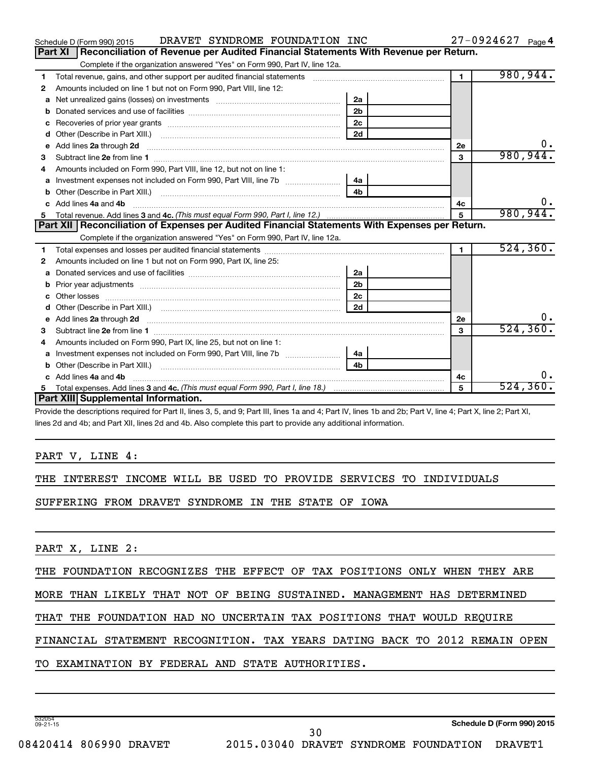|   | DRAVET SYNDROME FOUNDATION INC<br>Schedule D (Form 990) 2015                                                                                                                                                                                                                 |                |                | $27 - 0924627$ Page 4 |
|---|------------------------------------------------------------------------------------------------------------------------------------------------------------------------------------------------------------------------------------------------------------------------------|----------------|----------------|-----------------------|
|   | Reconciliation of Revenue per Audited Financial Statements With Revenue per Return.<br>Part XI                                                                                                                                                                               |                |                |                       |
|   | Complete if the organization answered "Yes" on Form 990, Part IV, line 12a.                                                                                                                                                                                                  |                |                |                       |
| 1 | Total revenue, gains, and other support per audited financial statements                                                                                                                                                                                                     |                | $\blacksquare$ | 980, 944.             |
| 2 | Amounts included on line 1 but not on Form 990, Part VIII, line 12:                                                                                                                                                                                                          |                |                |                       |
| a | Net unrealized gains (losses) on investments [111] [12] matter and all the unrealized gains (losses) on investments                                                                                                                                                          | 2a             |                |                       |
|   |                                                                                                                                                                                                                                                                              | 2 <sub>b</sub> |                |                       |
|   |                                                                                                                                                                                                                                                                              | 2 <sub>c</sub> |                |                       |
| d |                                                                                                                                                                                                                                                                              | 2d             |                |                       |
| е | Add lines 2a through 2d <b>continuum continuum contracts</b> and an analysis of the contract of the contract of the contract of the contract of the contract of the contract of the contract of the contract of the contract of the                                          |                | 2е             | 0.                    |
| 3 |                                                                                                                                                                                                                                                                              |                | 3              | 980,944.              |
| 4 | Amounts included on Form 990, Part VIII, line 12, but not on line 1:                                                                                                                                                                                                         |                |                |                       |
|   |                                                                                                                                                                                                                                                                              | 4a             |                |                       |
|   |                                                                                                                                                                                                                                                                              | 4 <sub>b</sub> |                |                       |
|   | c Add lines 4a and 4b                                                                                                                                                                                                                                                        |                | 4c             | 0.                    |
|   |                                                                                                                                                                                                                                                                              |                | 5              | 980, 944.             |
|   |                                                                                                                                                                                                                                                                              |                |                |                       |
|   | Part XII   Reconciliation of Expenses per Audited Financial Statements With Expenses per Return.                                                                                                                                                                             |                |                |                       |
|   | Complete if the organization answered "Yes" on Form 990, Part IV, line 12a.                                                                                                                                                                                                  |                |                |                       |
| 1 |                                                                                                                                                                                                                                                                              |                | $\mathbf{1}$   | 524, 360.             |
| 2 | Amounts included on line 1 but not on Form 990, Part IX, line 25:                                                                                                                                                                                                            |                |                |                       |
| a |                                                                                                                                                                                                                                                                              | 2a             |                |                       |
| b | Prior year adjustments [ www.communications of the contract of the contract of the contract of the contract of                                                                                                                                                               | 2 <sub>b</sub> |                |                       |
|   |                                                                                                                                                                                                                                                                              | 2 <sub>c</sub> |                |                       |
| d |                                                                                                                                                                                                                                                                              | 2d             |                |                       |
|   | e Add lines 2a through 2d <b>[10]</b> [10] <b>All and Provide 20</b> [10] <b>All and Provide 20</b> [10] <b>All and Provide 20</b> [10] <b>All and Provide 20</b> [10] <b>All and Provide 20</b> [10] <b>All and Provide 20</b> [10] <b>All and Provide 20</b> [10] <b>A</b> |                | <b>2e</b>      | 0.                    |
| 3 |                                                                                                                                                                                                                                                                              |                | 3              | 524, 360.             |
| 4 | Amounts included on Form 990, Part IX, line 25, but not on line 1:                                                                                                                                                                                                           |                |                |                       |
| a |                                                                                                                                                                                                                                                                              | 4a             |                |                       |
|   |                                                                                                                                                                                                                                                                              | 4 <sub>b</sub> |                |                       |
|   | c Add lines 4a and 4b                                                                                                                                                                                                                                                        |                | 4с             | 0.                    |
|   | Part XIII Supplemental Information.                                                                                                                                                                                                                                          |                | 5              | 524, 360.             |

Provide the descriptions required for Part II, lines 3, 5, and 9; Part III, lines 1a and 4; Part IV, lines 1b and 2b; Part V, line 4; Part X, line 2; Part XI, lines 2d and 4b; and Part XII, lines 2d and 4b. Also complete this part to provide any additional information.

### PART V, LINE 4:

THE INTEREST INCOME WILL BE USED TO PROVIDE SERVICES TO INDIVIDUALS

SUFFERING FROM DRAVET SYNDROME IN THE STATE OF IOWA

PART X, LINE 2:

THE FOUNDATION RECOGNIZES THE EFFECT OF TAX POSITIONS ONLY WHEN THEY ARE

MORE THAN LIKELY THAT NOT OF BEING SUSTAINED. MANAGEMENT HAS DETERMINED

THAT THE FOUNDATION HAD NO UNCERTAIN TAX POSITIONS THAT WOULD REQUIRE

FINANCIAL STATEMENT RECOGNITION. TAX YEARS DATING BACK TO 2012 REMAIN OPEN

TO EXAMINATION BY FEDERAL AND STATE AUTHORITIES.

532054 09-21-15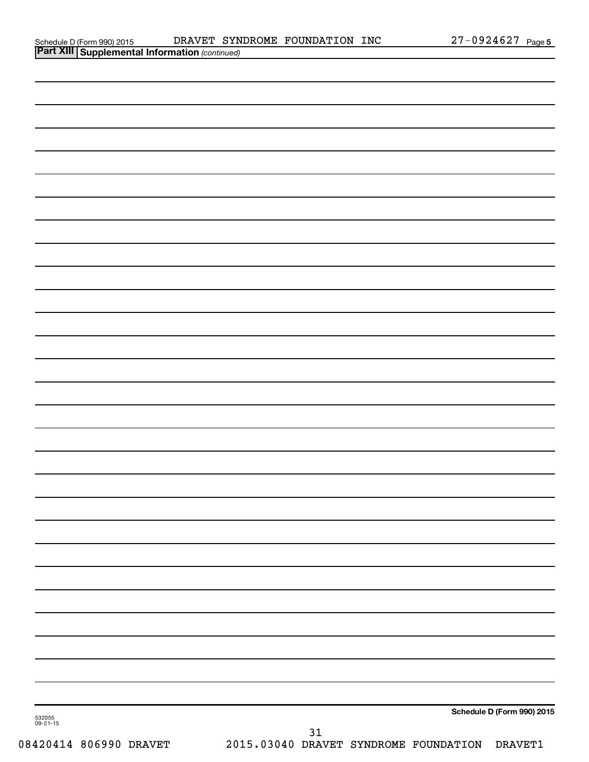| Part XIII Supplemental Information (continued) |
|------------------------------------------------|
|                                                |

| 532055<br>09-21-15 | 21 | Schedule D (Form 990) 2015 |
|--------------------|----|----------------------------|
|                    |    |                            |
|                    |    |                            |
|                    |    |                            |
|                    |    |                            |
|                    |    |                            |
|                    |    |                            |
|                    |    |                            |
|                    |    |                            |
|                    |    |                            |
|                    |    |                            |
|                    |    |                            |
|                    |    |                            |
|                    |    |                            |
|                    |    |                            |
|                    |    |                            |
|                    |    |                            |
|                    |    |                            |
|                    |    |                            |
|                    |    |                            |
|                    |    |                            |
|                    |    |                            |
|                    |    |                            |
|                    |    |                            |
|                    |    |                            |
|                    |    |                            |
|                    |    |                            |
|                    |    |                            |
|                    |    |                            |
|                    |    |                            |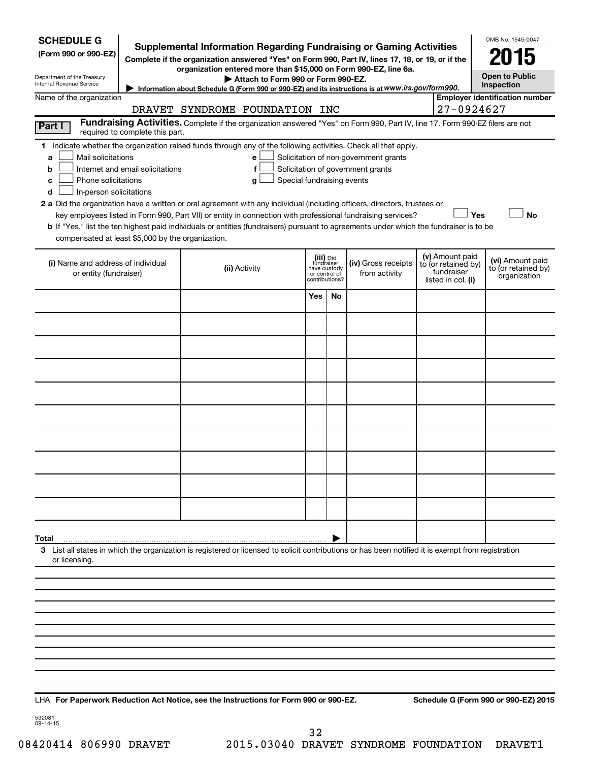| <b>SCHEDULE G</b><br>(Form 990 or 990-EZ)<br>Department of the Treasury<br>Internal Revenue Service |                                  | <b>Supplemental Information Regarding Fundraising or Gaming Activities</b><br>Complete if the organization answered "Yes" on Form 990, Part IV, lines 17, 18, or 19, or if the<br>organization entered more than \$15,000 on Form 990-EZ, line 6a.<br>Attach to Form 990 or Form 990-EZ.  |               |                                                           |                                                                            |                                                                            | OMB No. 1545-0047<br><b>Open to Public</b><br>Inspection |
|-----------------------------------------------------------------------------------------------------|----------------------------------|-------------------------------------------------------------------------------------------------------------------------------------------------------------------------------------------------------------------------------------------------------------------------------------------|---------------|-----------------------------------------------------------|----------------------------------------------------------------------------|----------------------------------------------------------------------------|----------------------------------------------------------|
| Name of the organization                                                                            |                                  | Information about Schedule G (Form 990 or 990-EZ) and its instructions is at WWW.irs.gov/form990.                                                                                                                                                                                         |               |                                                           |                                                                            |                                                                            | <b>Employer identification number</b>                    |
|                                                                                                     |                                  | DRAVET SYNDROME FOUNDATION INC                                                                                                                                                                                                                                                            |               |                                                           |                                                                            | 27-0924627                                                                 |                                                          |
| Part I                                                                                              | required to complete this part.  | Fundraising Activities. Complete if the organization answered "Yes" on Form 990, Part IV, line 17. Form 990-EZ filers are not                                                                                                                                                             |               |                                                           |                                                                            |                                                                            |                                                          |
| Mail solicitations<br>a<br>b<br>Phone solicitations<br>c<br>In-person solicitations<br>d            | Internet and email solicitations | 1 Indicate whether the organization raised funds through any of the following activities. Check all that apply.<br>е<br>f<br>Special fundraising events<br>g<br>2 a Did the organization have a written or oral agreement with any individual (including officers, directors, trustees or |               |                                                           | Solicitation of non-government grants<br>Solicitation of government grants |                                                                            |                                                          |
|                                                                                                     |                                  | key employees listed in Form 990, Part VII) or entity in connection with professional fundraising services?                                                                                                                                                                               |               |                                                           |                                                                            | Yes                                                                        | <b>No</b>                                                |
| compensated at least \$5,000 by the organization.                                                   |                                  | b If "Yes," list the ten highest paid individuals or entities (fundraisers) pursuant to agreements under which the fundraiser is to be                                                                                                                                                    |               |                                                           |                                                                            |                                                                            |                                                          |
| (i) Name and address of individual<br>or entity (fundraiser)                                        |                                  | (ii) Activity                                                                                                                                                                                                                                                                             | or control of | (iii) Did<br>fundraiser<br>have custody<br>contributions? | (iv) Gross receipts<br>from activity                                       | (v) Amount paid<br>to (or retained by)<br>fundraiser<br>listed in col. (i) | (vi) Amount paid<br>to (or retained by)<br>organization  |
|                                                                                                     |                                  |                                                                                                                                                                                                                                                                                           | Yes           | No                                                        |                                                                            |                                                                            |                                                          |
|                                                                                                     |                                  |                                                                                                                                                                                                                                                                                           |               |                                                           |                                                                            |                                                                            |                                                          |
|                                                                                                     |                                  |                                                                                                                                                                                                                                                                                           |               |                                                           |                                                                            |                                                                            |                                                          |
|                                                                                                     |                                  |                                                                                                                                                                                                                                                                                           |               |                                                           |                                                                            |                                                                            |                                                          |
|                                                                                                     |                                  |                                                                                                                                                                                                                                                                                           |               |                                                           |                                                                            |                                                                            |                                                          |
|                                                                                                     |                                  |                                                                                                                                                                                                                                                                                           |               |                                                           |                                                                            |                                                                            |                                                          |
|                                                                                                     |                                  |                                                                                                                                                                                                                                                                                           |               |                                                           |                                                                            |                                                                            |                                                          |
|                                                                                                     |                                  |                                                                                                                                                                                                                                                                                           |               |                                                           |                                                                            |                                                                            |                                                          |
|                                                                                                     |                                  |                                                                                                                                                                                                                                                                                           |               |                                                           |                                                                            |                                                                            |                                                          |
|                                                                                                     |                                  |                                                                                                                                                                                                                                                                                           |               |                                                           |                                                                            |                                                                            |                                                          |
| Total                                                                                               |                                  |                                                                                                                                                                                                                                                                                           |               |                                                           |                                                                            |                                                                            |                                                          |
| or licensing.                                                                                       |                                  | 3 List all states in which the organization is registered or licensed to solicit contributions or has been notified it is exempt from registration                                                                                                                                        |               |                                                           |                                                                            |                                                                            |                                                          |
|                                                                                                     |                                  |                                                                                                                                                                                                                                                                                           |               |                                                           |                                                                            |                                                                            |                                                          |
|                                                                                                     |                                  |                                                                                                                                                                                                                                                                                           |               |                                                           |                                                                            |                                                                            |                                                          |
|                                                                                                     |                                  |                                                                                                                                                                                                                                                                                           |               |                                                           |                                                                            |                                                                            |                                                          |
|                                                                                                     |                                  |                                                                                                                                                                                                                                                                                           |               |                                                           |                                                                            |                                                                            |                                                          |
|                                                                                                     |                                  |                                                                                                                                                                                                                                                                                           |               |                                                           |                                                                            |                                                                            |                                                          |
|                                                                                                     |                                  |                                                                                                                                                                                                                                                                                           |               |                                                           |                                                                            |                                                                            |                                                          |
|                                                                                                     |                                  |                                                                                                                                                                                                                                                                                           |               |                                                           |                                                                            |                                                                            |                                                          |
|                                                                                                     |                                  |                                                                                                                                                                                                                                                                                           |               |                                                           |                                                                            |                                                                            |                                                          |

**For Paperwork Reduction Act Notice, see the Instructions for Form 990 or 990-EZ. Schedule G (Form 990 or 990-EZ) 2015** LHA

532081 09-14-15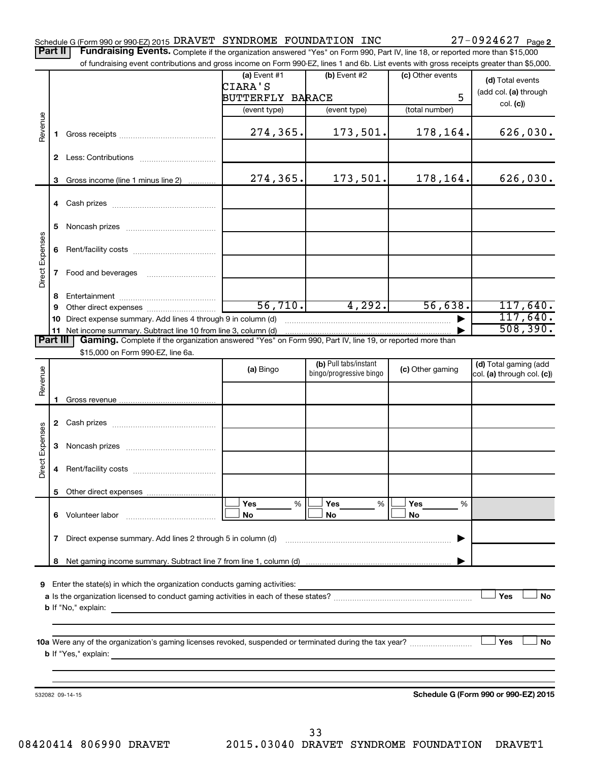|  |  |  |  | Schedule G (Form 990 or 990-EZ) 2015 DRAVET SYNDROME FOUNDATION INC |  | $27 - 0924627$ Page 2 |  |
|--|--|--|--|---------------------------------------------------------------------|--|-----------------------|--|
|--|--|--|--|---------------------------------------------------------------------|--|-----------------------|--|

Part II | Fundraising Events. Complete if the organization answered "Yes" on Form 990, Part IV, line 18, or reported more than \$15,000 of fundraising event contributions and gross income on Form 990-EZ, lines 1 and 6b. List events with gross receipts greater than \$5,000.

|                        |    | 01 Turidiaising event continuutions and gross income on Form 990-LZ, illies T and OD. List events with gross receipts greater than \$0,000.         |                           |                                                  |                  |                                                     |
|------------------------|----|-----------------------------------------------------------------------------------------------------------------------------------------------------|---------------------------|--------------------------------------------------|------------------|-----------------------------------------------------|
|                        |    |                                                                                                                                                     | (a) Event $#1$<br>CIARA'S | $(b)$ Event #2                                   | (c) Other events | (d) Total events                                    |
|                        |    |                                                                                                                                                     | BUTTERFLY BARACE          |                                                  | 5                | (add col. (a) through                               |
|                        |    |                                                                                                                                                     | (event type)              | (event type)                                     | (total number)   | col. (c)                                            |
|                        |    |                                                                                                                                                     |                           |                                                  |                  |                                                     |
| Revenue                | 1. |                                                                                                                                                     | 274,365.                  | 173,501.                                         | 178,164.         | 626,030.                                            |
|                        |    |                                                                                                                                                     |                           |                                                  |                  |                                                     |
|                        |    |                                                                                                                                                     |                           |                                                  |                  |                                                     |
|                        | 3  | Gross income (line 1 minus line 2)                                                                                                                  | 274,365.                  | 173,501.                                         | 178,164.         | 626,030.                                            |
|                        |    |                                                                                                                                                     |                           |                                                  |                  |                                                     |
|                        | 5  |                                                                                                                                                     |                           |                                                  |                  |                                                     |
|                        |    |                                                                                                                                                     |                           |                                                  |                  |                                                     |
| <b>Direct Expenses</b> |    | 7 Food and beverages                                                                                                                                |                           |                                                  |                  |                                                     |
|                        | 8. |                                                                                                                                                     |                           |                                                  |                  |                                                     |
|                        | 9  |                                                                                                                                                     | 56, 710.                  | 4, 292.                                          | 56,638.          | 117,640.<br>117,640.                                |
|                        |    | 10 Direct expense summary. Add lines 4 through 9 in column (d)                                                                                      |                           |                                                  |                  | 508, 390.                                           |
| <b>Part III</b>        |    | Gaming. Complete if the organization answered "Yes" on Form 990, Part IV, line 19, or reported more than                                            |                           |                                                  |                  |                                                     |
|                        |    | \$15,000 on Form 990-EZ, line 6a.                                                                                                                   |                           |                                                  |                  |                                                     |
| Revenue                |    |                                                                                                                                                     | (a) Bingo                 | (b) Pull tabs/instant<br>bingo/progressive bingo | (c) Other gaming | (d) Total gaming (add<br>col. (a) through col. (c)) |
|                        |    |                                                                                                                                                     |                           |                                                  |                  |                                                     |
|                        | 1. |                                                                                                                                                     |                           |                                                  |                  |                                                     |
|                        |    |                                                                                                                                                     |                           |                                                  |                  |                                                     |
| <b>Direct Expenses</b> |    |                                                                                                                                                     |                           |                                                  |                  |                                                     |
|                        |    |                                                                                                                                                     |                           |                                                  |                  |                                                     |
|                        |    |                                                                                                                                                     |                           |                                                  |                  |                                                     |
|                        |    |                                                                                                                                                     | Yes<br>%                  | Yes<br>%                                         | Yes<br>%         |                                                     |
|                        |    | 6 Volunteer labor                                                                                                                                   | No                        | No                                               | No               |                                                     |
|                        | 7  | Direct expense summary. Add lines 2 through 5 in column (d)                                                                                         |                           |                                                  |                  |                                                     |
|                        | 8  |                                                                                                                                                     |                           |                                                  |                  |                                                     |
|                        |    |                                                                                                                                                     |                           |                                                  |                  |                                                     |
| 9                      |    | Enter the state(s) in which the organization conducts gaming activities:                                                                            |                           |                                                  |                  | Yes<br>No                                           |
|                        |    | <b>b</b> If "No," explain:<br><u> 1989 - Johann John Stein, mars and de British Stein British Stein British Stein British Stein British Stein B</u> |                           |                                                  |                  |                                                     |
|                        |    |                                                                                                                                                     |                           |                                                  |                  |                                                     |
|                        |    |                                                                                                                                                     |                           |                                                  |                  |                                                     |
|                        |    | <b>b</b> If "Yes," explain:                                                                                                                         |                           |                                                  |                  | Yes<br>No                                           |
|                        |    |                                                                                                                                                     |                           |                                                  |                  |                                                     |
|                        |    |                                                                                                                                                     |                           |                                                  |                  |                                                     |
|                        |    | 532082 09-14-15                                                                                                                                     |                           |                                                  |                  | Schedule G (Form 990 or 990-EZ) 2015                |
|                        |    |                                                                                                                                                     |                           |                                                  |                  |                                                     |

08420414 806990 DRAVET 2015.03040 DRAVET SYNDROME FOUNDATION DRAVET1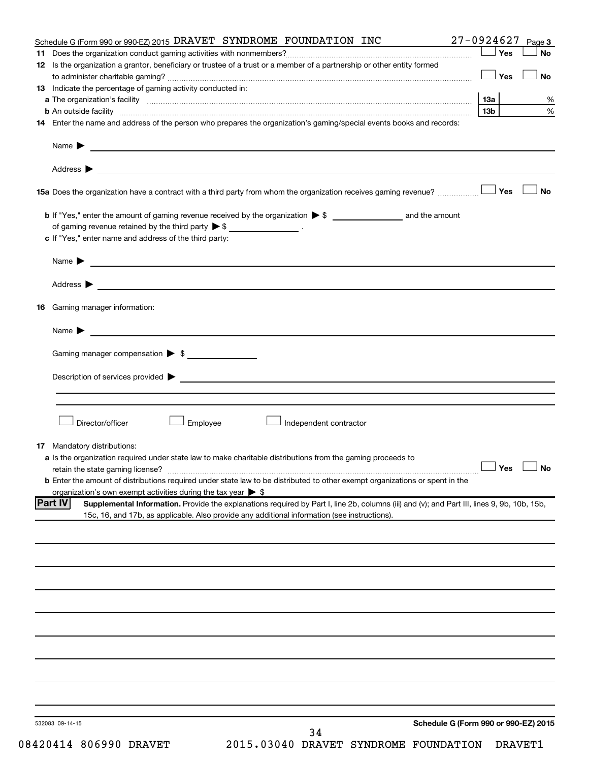| Schedule G (Form 990 or 990-EZ) 2015 DRAVET SYNDROME FOUNDATION INC                                                                                                                                                 | 27-0924627      |       | Page 3               |
|---------------------------------------------------------------------------------------------------------------------------------------------------------------------------------------------------------------------|-----------------|-------|----------------------|
|                                                                                                                                                                                                                     |                 | ∣ Yes | <b>No</b>            |
| 12 Is the organization a grantor, beneficiary or trustee of a trust or a member of a partnership or other entity formed                                                                                             |                 |       |                      |
|                                                                                                                                                                                                                     |                 | 」Yes  | <b>No</b>            |
| 13 Indicate the percentage of gaming activity conducted in:                                                                                                                                                         |                 |       |                      |
|                                                                                                                                                                                                                     |                 |       | %                    |
|                                                                                                                                                                                                                     | 13 <sub>b</sub> |       | %                    |
| 14 Enter the name and address of the person who prepares the organization's gaming/special events books and records:                                                                                                |                 |       |                      |
|                                                                                                                                                                                                                     |                 |       |                      |
| Address $\blacktriangleright$<br><u>and the contract of the contract of the contract of the contract of the contract of the contract of the contract of</u>                                                         |                 |       |                      |
|                                                                                                                                                                                                                     |                 |       | <b>No</b>            |
|                                                                                                                                                                                                                     |                 |       |                      |
| of gaming revenue retained by the third party $\triangleright$ \$ _________________.                                                                                                                                |                 |       |                      |
| c If "Yes," enter name and address of the third party:                                                                                                                                                              |                 |       |                      |
| Name $\blacktriangleright$ $\lrcorner$                                                                                                                                                                              |                 |       |                      |
|                                                                                                                                                                                                                     |                 |       |                      |
| 16 Gaming manager information:                                                                                                                                                                                      |                 |       |                      |
|                                                                                                                                                                                                                     |                 |       |                      |
| Name $\blacktriangleright$                                                                                                                                                                                          |                 |       |                      |
| Gaming manager compensation > \$                                                                                                                                                                                    |                 |       |                      |
|                                                                                                                                                                                                                     |                 |       |                      |
|                                                                                                                                                                                                                     |                 |       |                      |
|                                                                                                                                                                                                                     |                 |       |                      |
| Director/officer<br>Employee<br>Independent contractor                                                                                                                                                              |                 |       |                      |
|                                                                                                                                                                                                                     |                 |       |                      |
| <b>17</b> Mandatory distributions:                                                                                                                                                                                  |                 |       |                      |
| a Is the organization required under state law to make charitable distributions from the gaming proceeds to                                                                                                         |                 |       | $\Box$ Yes $\Box$ No |
|                                                                                                                                                                                                                     |                 |       |                      |
| <b>b</b> Enter the amount of distributions required under state law to be distributed to other exempt organizations or spent in the<br>organization's own exempt activities during the tax year $\triangleright$ \$ |                 |       |                      |
| Part IV<br>Supplemental Information. Provide the explanations required by Part I, line 2b, columns (iii) and (v); and Part III, lines 9, 9b, 10b, 15b,                                                              |                 |       |                      |
| 15c, 16, and 17b, as applicable. Also provide any additional information (see instructions).                                                                                                                        |                 |       |                      |
|                                                                                                                                                                                                                     |                 |       |                      |
|                                                                                                                                                                                                                     |                 |       |                      |
|                                                                                                                                                                                                                     |                 |       |                      |
|                                                                                                                                                                                                                     |                 |       |                      |
|                                                                                                                                                                                                                     |                 |       |                      |
|                                                                                                                                                                                                                     |                 |       |                      |
|                                                                                                                                                                                                                     |                 |       |                      |
|                                                                                                                                                                                                                     |                 |       |                      |
|                                                                                                                                                                                                                     |                 |       |                      |
|                                                                                                                                                                                                                     |                 |       |                      |
|                                                                                                                                                                                                                     |                 |       |                      |
|                                                                                                                                                                                                                     |                 |       |                      |
| Schedule G (Form 990 or 990-EZ) 2015<br>532083 09-14-15                                                                                                                                                             |                 |       |                      |
| 34                                                                                                                                                                                                                  |                 |       |                      |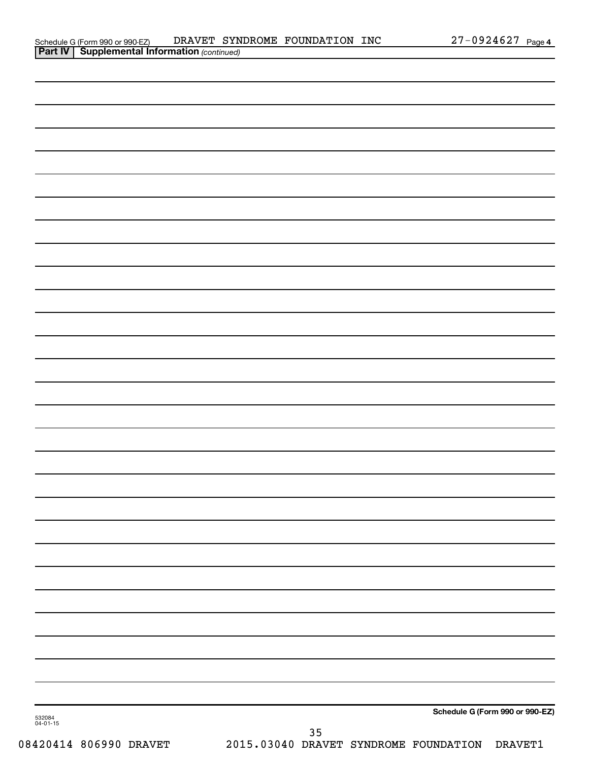|                    | Schedule G (Form 990 or 990-EZ) |
|--------------------|---------------------------------|
| 532084<br>04-01-15 |                                 |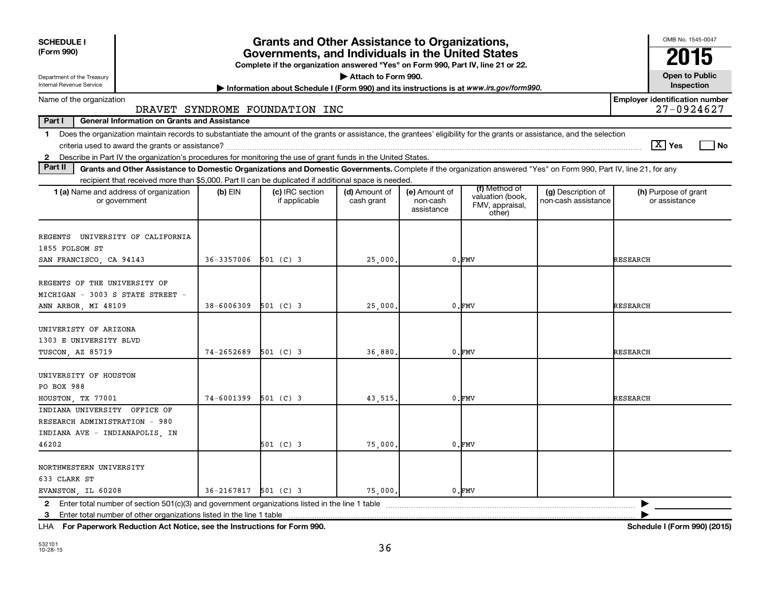| <b>SCHEDULE I</b>                                                                                                                                                                                                                                                                                 |                | <b>Grants and Other Assistance to Organizations,</b>                                                                                  |                             |                                         |                                                                |                                           | OMB No. 1545-0047                                   |
|---------------------------------------------------------------------------------------------------------------------------------------------------------------------------------------------------------------------------------------------------------------------------------------------------|----------------|---------------------------------------------------------------------------------------------------------------------------------------|-----------------------------|-----------------------------------------|----------------------------------------------------------------|-------------------------------------------|-----------------------------------------------------|
| (Form 990)                                                                                                                                                                                                                                                                                        |                | Governments, and Individuals in the United States<br>Complete if the organization answered "Yes" on Form 990, Part IV, line 21 or 22. |                             |                                         |                                                                |                                           | 2015                                                |
| Department of the Treasury<br>Internal Revenue Service                                                                                                                                                                                                                                            |                | Information about Schedule I (Form 990) and its instructions is at www.irs.gov/form990.                                               | Attach to Form 990.         |                                         |                                                                |                                           | <b>Open to Public</b><br>Inspection                 |
| Name of the organization                                                                                                                                                                                                                                                                          |                | DRAVET SYNDROME FOUNDATION INC                                                                                                        |                             |                                         |                                                                |                                           | <b>Employer identification number</b><br>27-0924627 |
| Part I<br><b>General Information on Grants and Assistance</b>                                                                                                                                                                                                                                     |                |                                                                                                                                       |                             |                                         |                                                                |                                           |                                                     |
| Does the organization maintain records to substantiate the amount of the grants or assistance, the grantees' eligibility for the grants or assistance, and the selection<br>1.<br>2 Describe in Part IV the organization's procedures for monitoring the use of grant funds in the United States. |                |                                                                                                                                       |                             |                                         |                                                                |                                           | $\boxed{\text{X}}$ Yes<br>  No                      |
| Part II<br>Grants and Other Assistance to Domestic Organizations and Domestic Governments. Complete if the organization answered "Yes" on Form 990, Part IV, line 21, for any                                                                                                                     |                |                                                                                                                                       |                             |                                         |                                                                |                                           |                                                     |
| recipient that received more than \$5,000. Part II can be duplicated if additional space is needed.                                                                                                                                                                                               |                |                                                                                                                                       |                             |                                         |                                                                |                                           |                                                     |
| <b>1 (a)</b> Name and address of organization<br>or government                                                                                                                                                                                                                                    | $(b)$ EIN      | (c) IRC section<br>if applicable                                                                                                      | (d) Amount of<br>cash grant | (e) Amount of<br>non-cash<br>assistance | (f) Method of<br>valuation (book,<br>FMV, appraisal,<br>other) | (g) Description of<br>non-cash assistance | (h) Purpose of grant<br>or assistance               |
| REGENTS UNIVERSITY OF CALIFORNIA<br>1855 FOLSOM ST                                                                                                                                                                                                                                                | 36-3357006     |                                                                                                                                       |                             |                                         | $0.$ $FMV$                                                     |                                           | RESEARCH                                            |
| SAN FRANCISCO, CA 94143                                                                                                                                                                                                                                                                           |                | 501 (C) 3                                                                                                                             | 25,000                      |                                         |                                                                |                                           |                                                     |
| REGENTS OF THE UNIVERSITY OF<br>MICHIGAN - 3003 S STATE STREET -                                                                                                                                                                                                                                  |                |                                                                                                                                       |                             |                                         |                                                                |                                           |                                                     |
| ANN ARBOR, MI 48109                                                                                                                                                                                                                                                                               | $38 - 6006309$ | 501 (C) 3                                                                                                                             | 25,000                      |                                         | $0.$ FMV                                                       |                                           | RESEARCH                                            |
| UNIVERISTY OF ARIZONA<br>1303 E UNIVERSITY BLVD<br><b>TUSCON, AZ 85719</b>                                                                                                                                                                                                                        | 74-2652689     | 501 (C) 3                                                                                                                             | 36,880                      |                                         | $0.$ $FMV$                                                     |                                           | RESEARCH                                            |
| UNIVERSITY OF HOUSTON<br>PO BOX 988                                                                                                                                                                                                                                                               | $74 - 6001399$ | $501$ (C) 3                                                                                                                           |                             |                                         | $0.$ FMV                                                       |                                           | RESEARCH                                            |
| HOUSTON, TX 77001<br>INDIANA UNIVERSITY OFFICE OF<br>RESEARCH ADMINISTRATION - 980<br>INDIANA AVE - INDIANAPOLIS, IN<br>46202                                                                                                                                                                     |                | $501$ (C) 3                                                                                                                           | 43,515<br>75,000.           |                                         | $0.$ $FMV$                                                     |                                           |                                                     |
| NORTHWESTERN UNIVERSITY<br>633 CLARK ST<br>EVANSTON, IL 60208                                                                                                                                                                                                                                     | 36-2167817     | $501$ (C) 3                                                                                                                           | 75,000.                     |                                         | 0.FMV                                                          |                                           |                                                     |
| 2 Enter total number of section 501(c)(3) and government organizations listed in the line 1 table<br>Enter total number of other organizations listed in the line 1 table<br>3                                                                                                                    |                |                                                                                                                                       |                             |                                         |                                                                |                                           | ▶                                                   |

**For Paperwork Reduction Act Notice, see the Instructions for Form 990. Schedule I (Form 990) (2015)** LHA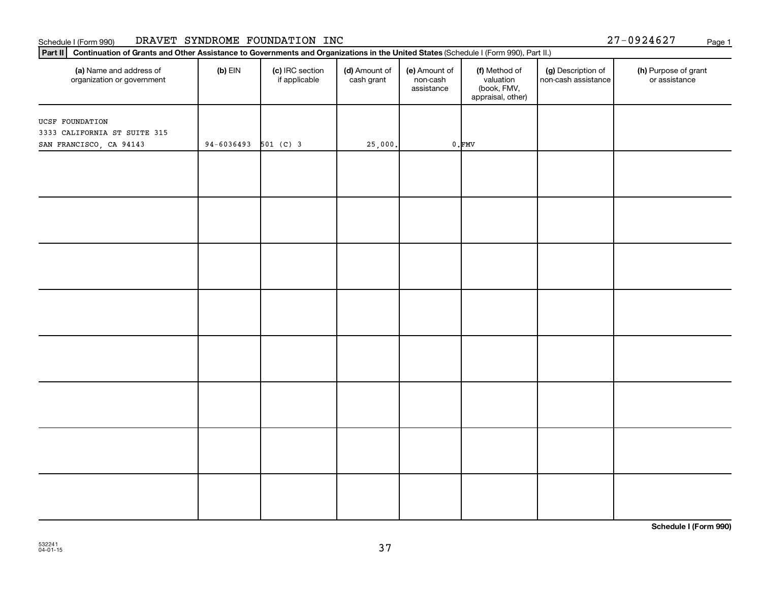### Schedule I (Form 990) Page 1 DRAVET SYNDROME FOUNDATION INC 27-0924627

| (a) Name and address of<br>organization or government | $(b)$ EIN      | (c) IRC section<br>if applicable | (d) Amount of<br>cash grant | (e) Amount of<br>non-cash<br>assistance | (f) Method of<br>valuation<br>(book, FMV,<br>appraisal, other) | (g) Description of<br>non-cash assistance | (h) Purpose of grant<br>or assistance |
|-------------------------------------------------------|----------------|----------------------------------|-----------------------------|-----------------------------------------|----------------------------------------------------------------|-------------------------------------------|---------------------------------------|
| UCSF FOUNDATION                                       |                |                                  |                             |                                         |                                                                |                                           |                                       |
| 3333 CALIFORNIA ST SUITE 315                          |                |                                  |                             |                                         |                                                                |                                           |                                       |
| SAN FRANCISCO, CA 94143                               | $94 - 6036493$ | 501 (C) 3                        | 25,000.                     |                                         | $0.$ $FMV$                                                     |                                           |                                       |
|                                                       |                |                                  |                             |                                         |                                                                |                                           |                                       |
|                                                       |                |                                  |                             |                                         |                                                                |                                           |                                       |
|                                                       |                |                                  |                             |                                         |                                                                |                                           |                                       |
|                                                       |                |                                  |                             |                                         |                                                                |                                           |                                       |
|                                                       |                |                                  |                             |                                         |                                                                |                                           |                                       |
|                                                       |                |                                  |                             |                                         |                                                                |                                           |                                       |
|                                                       |                |                                  |                             |                                         |                                                                |                                           |                                       |
|                                                       |                |                                  |                             |                                         |                                                                |                                           |                                       |
|                                                       |                |                                  |                             |                                         |                                                                |                                           |                                       |
|                                                       |                |                                  |                             |                                         |                                                                |                                           |                                       |
|                                                       |                |                                  |                             |                                         |                                                                |                                           |                                       |
|                                                       |                |                                  |                             |                                         |                                                                |                                           |                                       |
|                                                       |                |                                  |                             |                                         |                                                                |                                           |                                       |
|                                                       |                |                                  |                             |                                         |                                                                |                                           |                                       |
|                                                       |                |                                  |                             |                                         |                                                                |                                           |                                       |
|                                                       |                |                                  |                             |                                         |                                                                |                                           |                                       |
|                                                       |                |                                  |                             |                                         |                                                                |                                           |                                       |
|                                                       |                |                                  |                             |                                         |                                                                |                                           |                                       |
|                                                       |                |                                  |                             |                                         |                                                                |                                           |                                       |
|                                                       |                |                                  |                             |                                         |                                                                |                                           |                                       |
|                                                       |                |                                  |                             |                                         |                                                                |                                           |                                       |
|                                                       |                |                                  |                             |                                         |                                                                |                                           |                                       |
|                                                       |                |                                  |                             |                                         |                                                                |                                           |                                       |
|                                                       |                |                                  |                             |                                         |                                                                |                                           |                                       |
|                                                       |                |                                  |                             |                                         |                                                                |                                           |                                       |
|                                                       |                |                                  |                             |                                         |                                                                |                                           |                                       |
|                                                       |                |                                  |                             |                                         |                                                                |                                           |                                       |
|                                                       |                |                                  |                             |                                         |                                                                |                                           |                                       |
|                                                       |                |                                  |                             |                                         |                                                                |                                           |                                       |
|                                                       |                |                                  |                             |                                         |                                                                |                                           |                                       |

**Schedule I (Form 990)**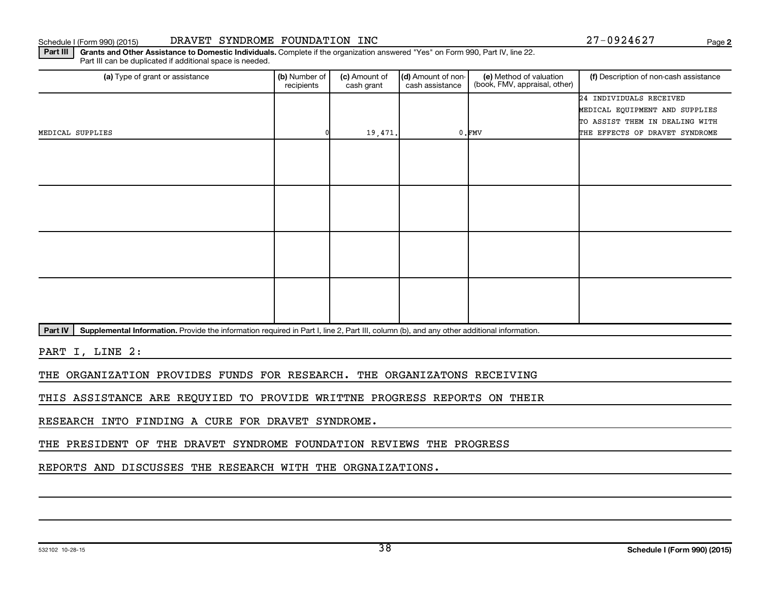**2**

Part III | Grants and Other Assistance to Domestic Individuals. Complete if the organization answered "Yes" on Form 990, Part IV, line 22. Part III can be duplicated if additional space is needed.

| (a) Type of grant or assistance | (b) Number of<br>recipients | (c) Amount of<br>cash grant | (d) Amount of non-<br>cash assistance | (e) Method of valuation<br>(book, FMV, appraisal, other) | (f) Description of non-cash assistance |
|---------------------------------|-----------------------------|-----------------------------|---------------------------------------|----------------------------------------------------------|----------------------------------------|
|                                 |                             |                             |                                       |                                                          | 24 INDIVIDUALS RECEIVED                |
|                                 |                             |                             |                                       |                                                          | MEDICAL EQUIPMENT AND SUPPLIES         |
|                                 |                             |                             |                                       |                                                          | TO ASSIST THEM IN DEALING WITH         |
| MEDICAL SUPPLIES                |                             | 19,471.                     |                                       | $0.$ $FMV$                                               | THE EFFECTS OF DRAVET SYNDROME         |
|                                 |                             |                             |                                       |                                                          |                                        |
|                                 |                             |                             |                                       |                                                          |                                        |
|                                 |                             |                             |                                       |                                                          |                                        |
|                                 |                             |                             |                                       |                                                          |                                        |
|                                 |                             |                             |                                       |                                                          |                                        |
|                                 |                             |                             |                                       |                                                          |                                        |
|                                 |                             |                             |                                       |                                                          |                                        |
|                                 |                             |                             |                                       |                                                          |                                        |
|                                 |                             |                             |                                       |                                                          |                                        |
|                                 |                             |                             |                                       |                                                          |                                        |
|                                 |                             |                             |                                       |                                                          |                                        |
|                                 |                             |                             |                                       |                                                          |                                        |
|                                 |                             |                             |                                       |                                                          |                                        |
|                                 |                             |                             |                                       |                                                          |                                        |
|                                 |                             |                             |                                       |                                                          |                                        |
|                                 |                             |                             |                                       |                                                          |                                        |

Part IV | Supplemental Information. Provide the information required in Part I, line 2, Part III, column (b), and any other additional information.

PART I, LINE 2:

THE ORGANIZATION PROVIDES FUNDS FOR RESEARCH. THE ORGANIZATONS RECEIVING

THIS ASSISTANCE ARE REQUYIED TO PROVIDE WRITTNE PROGRESS REPORTS ON THEIR

RESEARCH INTO FINDING A CURE FOR DRAVET SYNDROME.

THE PRESIDENT OF THE DRAVET SYNDROME FOUNDATION REVIEWS THE PROGRESS

REPORTS AND DISCUSSES THE RESEARCH WITH THE ORGNAIZATIONS.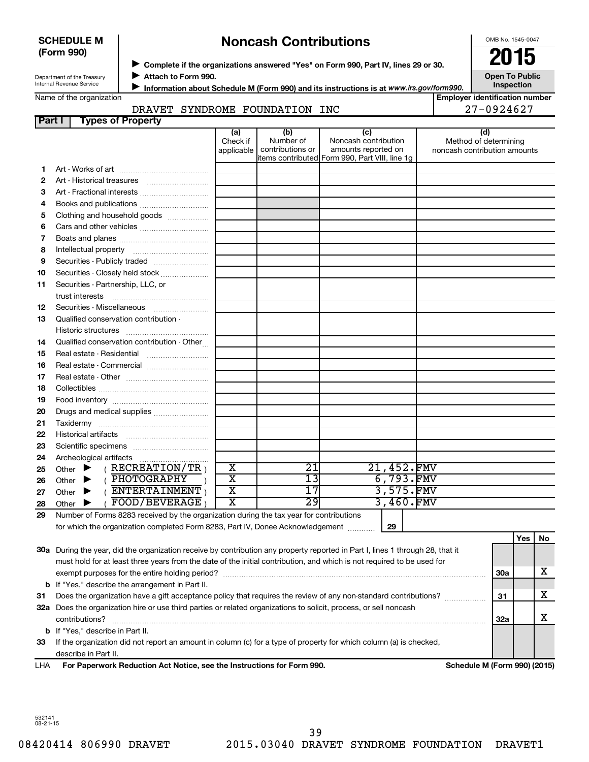| <b>SCHEDULE M</b> |  |
|-------------------|--|
| (Form 990)        |  |

# **Noncash Contributions**

OMB No. 1545-0047

Department of the Treasury Internal Revenue Service

◆ Complete if the organizations answered "Yes" on Form 990, Part IV, lines 29 or 30.<br>▶ Complete if the organizations answered "Yes" on Form 990, Part IV, lines 29 or 30. **Attach to Form 990.**  $\blacktriangleright$ 

**Open To Public Inspection**

**Information about Schedule M (Form 990) and its instructions is at www.irs.gov/form990.** 

**Employer identification number**

|  | $27 - 0924627$ |  |
|--|----------------|--|

|--|

| Part I | <b>Types of Property</b>                                                                                                       |                             |                  |                                                                       |                              |            |            |     |
|--------|--------------------------------------------------------------------------------------------------------------------------------|-----------------------------|------------------|-----------------------------------------------------------------------|------------------------------|------------|------------|-----|
|        |                                                                                                                                | (a)                         | (b)              | (c)                                                                   | (d)                          |            |            |     |
|        |                                                                                                                                | Check if                    | Number of        | Noncash contribution                                                  | Method of determining        |            |            |     |
|        |                                                                                                                                | applicable                  | contributions or | amounts reported on<br>tems contributed  Form 990, Part VIII, line 1g | noncash contribution amounts |            |            |     |
| 1      |                                                                                                                                |                             |                  |                                                                       |                              |            |            |     |
| 2      | Art - Historical treasures                                                                                                     |                             |                  |                                                                       |                              |            |            |     |
| 3      | Art - Fractional interests                                                                                                     |                             |                  |                                                                       |                              |            |            |     |
| 4      | Books and publications                                                                                                         |                             |                  |                                                                       |                              |            |            |     |
| 5      | Clothing and household goods                                                                                                   |                             |                  |                                                                       |                              |            |            |     |
| 6      | Cars and other vehicles                                                                                                        |                             |                  |                                                                       |                              |            |            |     |
| 7      |                                                                                                                                |                             |                  |                                                                       |                              |            |            |     |
| 8      |                                                                                                                                |                             |                  |                                                                       |                              |            |            |     |
| 9      | Securities - Publicly traded                                                                                                   |                             |                  |                                                                       |                              |            |            |     |
| 10     | Securities - Closely held stock                                                                                                |                             |                  |                                                                       |                              |            |            |     |
| 11     | Securities - Partnership, LLC, or                                                                                              |                             |                  |                                                                       |                              |            |            |     |
|        | trust interests                                                                                                                |                             |                  |                                                                       |                              |            |            |     |
| 12     | Securities - Miscellaneous                                                                                                     |                             |                  |                                                                       |                              |            |            |     |
| 13     | Qualified conservation contribution -                                                                                          |                             |                  |                                                                       |                              |            |            |     |
|        |                                                                                                                                |                             |                  |                                                                       |                              |            |            |     |
| 14     | Qualified conservation contribution - Other                                                                                    |                             |                  |                                                                       |                              |            |            |     |
| 15     | Real estate - Residential                                                                                                      |                             |                  |                                                                       |                              |            |            |     |
| 16     | Real estate - Commercial                                                                                                       |                             |                  |                                                                       |                              |            |            |     |
| 17     |                                                                                                                                |                             |                  |                                                                       |                              |            |            |     |
| 18     |                                                                                                                                |                             |                  |                                                                       |                              |            |            |     |
| 19     |                                                                                                                                |                             |                  |                                                                       |                              |            |            |     |
| 20     | Drugs and medical supplies                                                                                                     |                             |                  |                                                                       |                              |            |            |     |
| 21     |                                                                                                                                |                             |                  |                                                                       |                              |            |            |     |
| 22     |                                                                                                                                |                             |                  |                                                                       |                              |            |            |     |
| 23     |                                                                                                                                |                             |                  |                                                                       |                              |            |            |     |
| 24     | Archeological artifacts                                                                                                        |                             |                  |                                                                       |                              |            |            |     |
| 25     | (RECREATION/TR)<br>Other $\blacktriangleright$                                                                                 | $\overline{\textnormal{x}}$ | $\overline{21}$  | 21,452.FMV                                                            |                              |            |            |     |
| 26     | ( PHOTOGRAPHY<br>Other $\blacktriangleright$                                                                                   | $\overline{\text{x}}$       | 13               | 6,793.FMV                                                             |                              |            |            |     |
| 27     | $($ ENTERTAINMENT $)$<br>Other $\blacktriangleright$                                                                           | $\overline{\textnormal{x}}$ | 17               | 3,575.FMV                                                             |                              |            |            |     |
| 28     | (FOOD/BEVERAGE)<br>Other $\blacktriangleright$                                                                                 | $\overline{\text{x}}$       | 29               | 3,460.FMV                                                             |                              |            |            |     |
| 29     | Number of Forms 8283 received by the organization during the tax year for contributions                                        |                             |                  |                                                                       |                              |            |            |     |
|        | for which the organization completed Form 8283, Part IV, Donee Acknowledgement                                                 |                             |                  | 29                                                                    |                              |            |            |     |
|        |                                                                                                                                |                             |                  |                                                                       |                              |            | <b>Yes</b> | No. |
|        | 30a During the year, did the organization receive by contribution any property reported in Part I, lines 1 through 28, that it |                             |                  |                                                                       |                              |            |            |     |
|        | must hold for at least three years from the date of the initial contribution, and which is not required to be used for         |                             |                  |                                                                       |                              |            |            |     |
|        |                                                                                                                                |                             |                  |                                                                       |                              | <b>30a</b> |            | x   |
|        | <b>b</b> If "Yes," describe the arrangement in Part II.                                                                        |                             |                  |                                                                       |                              |            |            |     |
| 31     | Does the organization have a gift acceptance policy that requires the review of any non-standard contributions?                |                             |                  |                                                                       |                              | 31         |            | x   |
|        | 32a Does the organization hire or use third parties or related organizations to solicit, process, or sell noncash              |                             |                  |                                                                       |                              |            |            |     |

contributions? ~~~~~~~~~~~~~~~~~~~~~~~~~~~~~~~~~~~~~~~~~~~~~~~~~~~~~~

| <b>LHA</b> | For Paperwork Reduction Act Notice, see the Instructions for Form 990. |
|------------|------------------------------------------------------------------------|
|            |                                                                        |

**Schedule M (Form 990) (2015)** 

**32a**

X

532141 08-21-15

**b** If "Yes," describe in Part II.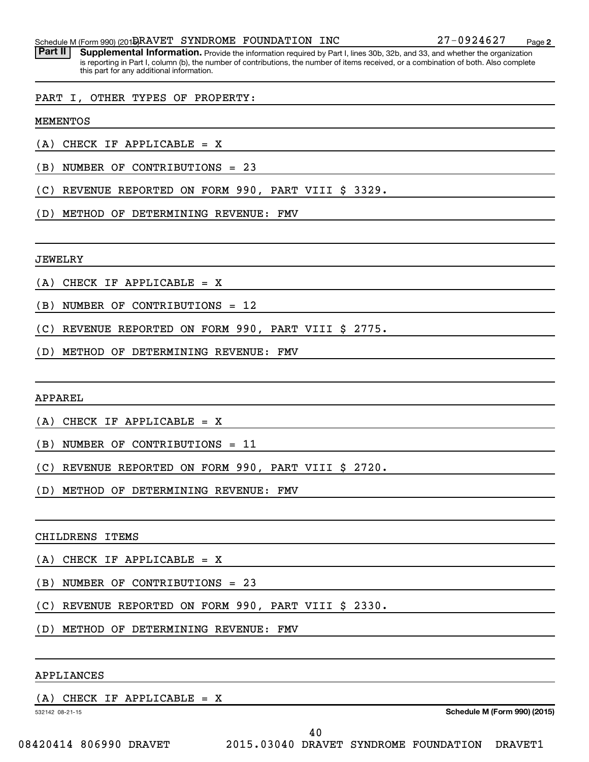### Schedule M (Form 990) (201 $B$ RAVET SYNDROME FOUNDATION INC  $27-0924627$  Page

Part II | Supplemental Information. Provide the information required by Part I, lines 30b, 32b, and 33, and whether the organization is reporting in Part I, column (b), the number of contributions, the number of items received, or a combination of both. Also complete this part for any additional information.

### PART I, OTHER TYPES OF PROPERTY:

MEMENTOS

- (A) CHECK IF APPLICABLE = X
- (B) NUMBER OF CONTRIBUTIONS = 23
- (C) REVENUE REPORTED ON FORM 990, PART VIII \$ 3329.
- (D) METHOD OF DETERMINING REVENUE: FMV

JEWELRY

- (A) CHECK IF APPLICABLE = X
- (B) NUMBER OF CONTRIBUTIONS = 12
- (C) REVENUE REPORTED ON FORM 990, PART VIII \$ 2775.
- (D) METHOD OF DETERMINING REVENUE: FMV

### APPAREL

(A) CHECK IF APPLICABLE = X

- (B) NUMBER OF CONTRIBUTIONS = 11
- (C) REVENUE REPORTED ON FORM 990, PART VIII \$ 2720.
- (D) METHOD OF DETERMINING REVENUE: FMV

CHILDRENS ITEMS

- (A) CHECK IF APPLICABLE = X
- (B) NUMBER OF CONTRIBUTIONS = 23
- (C) REVENUE REPORTED ON FORM 990, PART VIII \$ 2330.
- (D) METHOD OF DETERMINING REVENUE: FMV

### APPLIANCES

(A) CHECK IF APPLICABLE = X

532142 08-21-15

**Schedule M (Form 990) (2015)**

**2**

40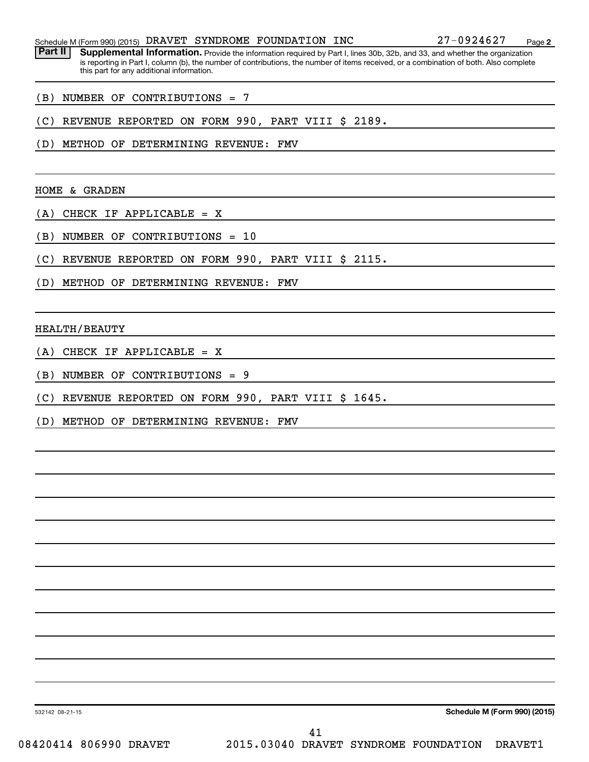### Schedule M (Form 990) (2015) DRAVET SYNDROME FOUNDATION INC  $27-0924627$  Page

Part II | Supplemental Information. Provide the information required by Part I, lines 30b, 32b, and 33, and whether the organization is reporting in Part I, column (b), the number of contributions, the number of items received, or a combination of both. Also complete this part for any additional information.

(B) NUMBER OF CONTRIBUTIONS = 7

- (C) REVENUE REPORTED ON FORM 990, PART VIII \$ 2189.
- (D) METHOD OF DETERMINING REVENUE: FMV

HOME & GRADEN

(A) CHECK IF APPLICABLE = X

(B) NUMBER OF CONTRIBUTIONS = 10

(C) REVENUE REPORTED ON FORM 990, PART VIII \$ 2115.

(D) METHOD OF DETERMINING REVENUE: FMV

HEALTH/BEAUTY

(A) CHECK IF APPLICABLE = X

(B) NUMBER OF CONTRIBUTIONS = 9

(C) REVENUE REPORTED ON FORM 990, PART VIII \$ 1645.

(D) METHOD OF DETERMINING REVENUE: FMV

**Schedule M (Form 990) (2015)**

532142 08-21-15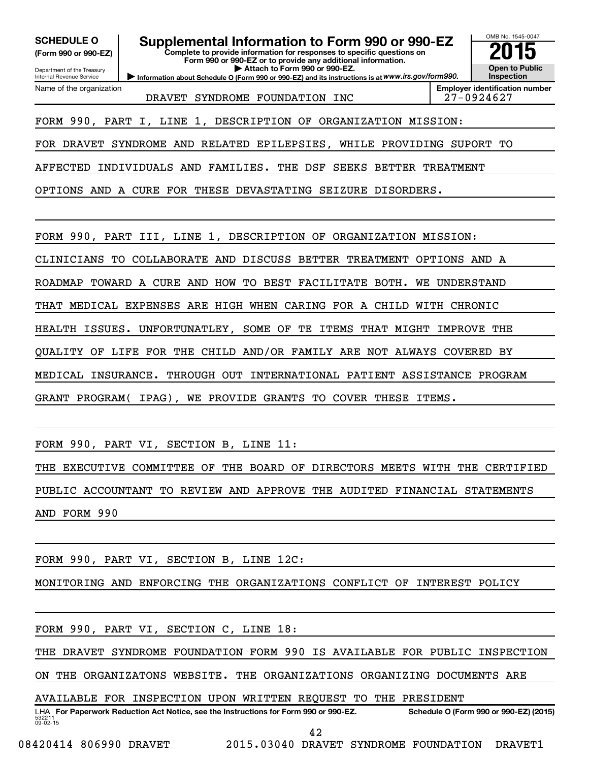**(Form 990 or 990-EZ)**

Department of the Treasury Internal Revenue Service Name of the organization

SCHEDULE O **Supplemental Information to Form 990 or 990-EZ 2015**<br>(Form 990 or 990-EZ) Complete to provide information for responses to specific questions on

**Complete to provide information for responses to specific questions on Form 990 or 990-EZ or to provide any additional information. | Attach to Form 990 or 990-EZ.**

**Information about Schedule O (Form 990 or 990-EZ) and its instructions is at WWW.irs.gov/form990.** 

OMB No. 1545-0047 **Open to Public Inspection**

DRAVET SYNDROME FOUNDATION INC | 27-0924627

**Employer identification number**

FORM 990, PART I, LINE 1, DESCRIPTION OF ORGANIZATION MISSION:

FOR DRAVET SYNDROME AND RELATED EPILEPSIES, WHILE PROVIDING SUPORT TO

AFFECTED INDIVIDUALS AND FAMILIES. THE DSF SEEKS BETTER TREATMENT

OPTIONS AND A CURE FOR THESE DEVASTATING SEIZURE DISORDERS.

FORM 990, PART III, LINE 1, DESCRIPTION OF ORGANIZATION MISSION:

CLINICIANS TO COLLABORATE AND DISCUSS BETTER TREATMENT OPTIONS AND A

ROADMAP TOWARD A CURE AND HOW TO BEST FACILITATE BOTH. WE UNDERSTAND

THAT MEDICAL EXPENSES ARE HIGH WHEN CARING FOR A CHILD WITH CHRONIC

HEALTH ISSUES. UNFORTUNATLEY, SOME OF TE ITEMS THAT MIGHT IMPROVE THE

QUALITY OF LIFE FOR THE CHILD AND/OR FAMILY ARE NOT ALWAYS COVERED BY

MEDICAL INSURANCE. THROUGH OUT INTERNATIONAL PATIENT ASSISTANCE PROGRAM

GRANT PROGRAM( IPAG), WE PROVIDE GRANTS TO COVER THESE ITEMS.

FORM 990, PART VI, SECTION B, LINE 11:

THE EXECUTIVE COMMITTEE OF THE BOARD OF DIRECTORS MEETS WITH THE CERTIFIED

PUBLIC ACCOUNTANT TO REVIEW AND APPROVE THE AUDITED FINANCIAL STATEMENTS

AND FORM 990

FORM 990, PART VI, SECTION B, LINE 12C:

MONITORING AND ENFORCING THE ORGANIZATIONS CONFLICT OF INTEREST POLICY

FORM 990, PART VI, SECTION C, LINE 18:

THE DRAVET SYNDROME FOUNDATION FORM 990 IS AVAILABLE FOR PUBLIC INSPECTION

ON THE ORGANIZATONS WEBSITE. THE ORGANIZATIONS ORGANIZING DOCUMENTS ARE

AVAILABLE FOR INSPECTION UPON WRITTEN REQUEST TO THE PRESIDENT

532211  $09 - 02 - 15$ LHA For Paperwork Reduction Act Notice, see the Instructions for Form 990 or 990-EZ. Schedule O (Form 990 or 990-EZ) (2015) 42

08420414 806990 DRAVET 2015.03040 DRAVET SYNDROME FOUNDATION DRAVET1